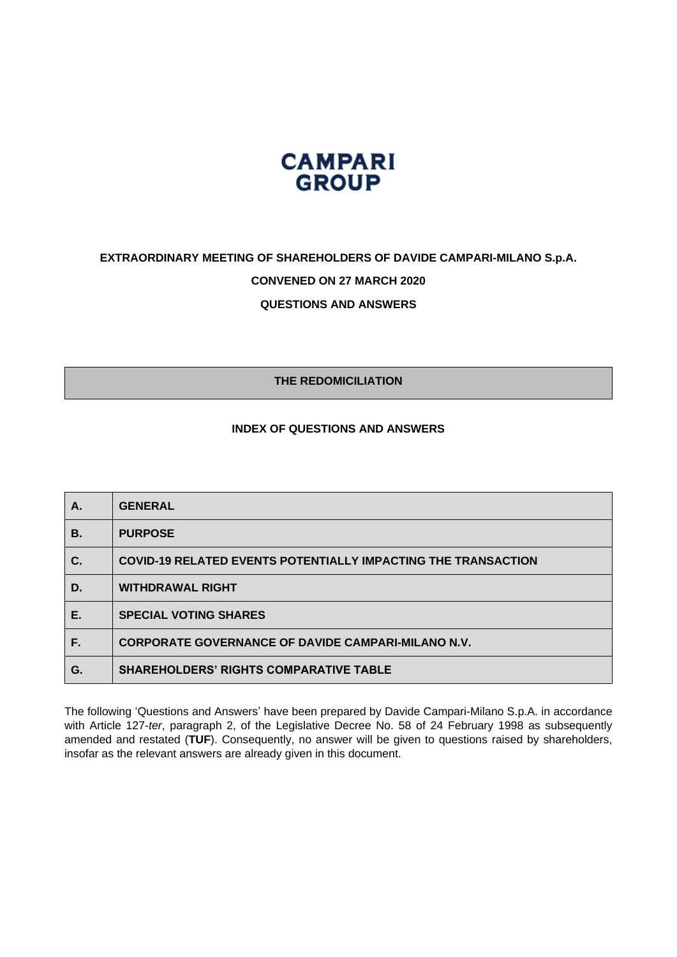

# **EXTRAORDINARY MEETING OF SHAREHOLDERS OF DAVIDE CAMPARI-MILANO S.p.A. CONVENED ON 27 MARCH 2020 QUESTIONS AND ANSWERS**

**THE REDOMICILIATION**

### **INDEX OF QUESTIONS AND ANSWERS**

| Α. | <b>GENERAL</b>                                                       |
|----|----------------------------------------------------------------------|
| В. | <b>PURPOSE</b>                                                       |
| C. | <b>COVID-19 RELATED EVENTS POTENTIALLY IMPACTING THE TRANSACTION</b> |
| D. | <b>WITHDRAWAL RIGHT</b>                                              |
| Е. | <b>SPECIAL VOTING SHARES</b>                                         |
| F. | <b>CORPORATE GOVERNANCE OF DAVIDE CAMPARI-MILANO N.V.</b>            |
| G. | <b>SHAREHOLDERS' RIGHTS COMPARATIVE TABLE</b>                        |

The following 'Questions and Answers' have been prepared by Davide Campari-Milano S.p.A. in accordance with Article 127-*ter*, paragraph 2, of the Legislative Decree No. 58 of 24 February 1998 as subsequently amended and restated (**TUF**). Consequently, no answer will be given to questions raised by shareholders, insofar as the relevant answers are already given in this document.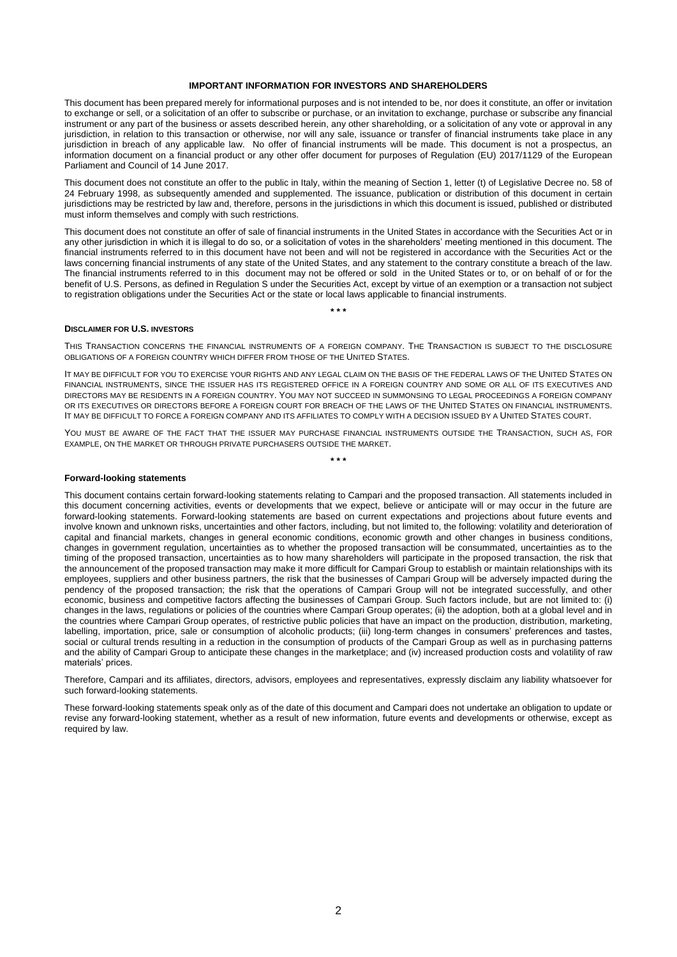#### **IMPORTANT INFORMATION FOR INVESTORS AND SHAREHOLDERS**

This document has been prepared merely for informational purposes and is not intended to be, nor does it constitute, an offer or invitation to exchange or sell, or a solicitation of an offer to subscribe or purchase, or an invitation to exchange, purchase or subscribe any financial instrument or any part of the business or assets described herein, any other shareholding, or a solicitation of any vote or approval in any jurisdiction, in relation to this transaction or otherwise, nor will any sale, issuance or transfer of financial instruments take place in any jurisdiction in breach of any applicable law. No offer of financial instruments will be made. This document is not a prospectus, an information document on a financial product or any other offer document for purposes of Regulation (EU) 2017/1129 of the European Parliament and Council of 14 June 2017.

This document does not constitute an offer to the public in Italy, within the meaning of Section 1, letter (t) of Legislative Decree no. 58 of 24 February 1998, as subsequently amended and supplemented. The issuance, publication or distribution of this document in certain jurisdictions may be restricted by law and, therefore, persons in the jurisdictions in which this document is issued, published or distributed must inform themselves and comply with such restrictions.

This document does not constitute an offer of sale of financial instruments in the United States in accordance with the Securities Act or in any other jurisdiction in which it is illegal to do so, or a solicitation of votes in the shareholders' meeting mentioned in this document. The financial instruments referred to in this document have not been and will not be registered in accordance with the Securities Act or the laws concerning financial instruments of any state of the United States, and any statement to the contrary constitute a breach of the law. The financial instruments referred to in this document may not be offered or sold in the United States or to, or on behalf of or for the benefit of U.S. Persons, as defined in Regulation S under the Securities Act, except by virtue of an exemption or a transaction not subject to registration obligations under the Securities Act or the state or local laws applicable to financial instruments.

#### **DISCLAIMER FOR U.S. INVESTORS**

THIS TRANSACTION CONCERNS THE FINANCIAL INSTRUMENTS OF A FOREIGN COMPANY. THE TRANSACTION IS SUBJECT TO THE DISCLOSURE OBLIGATIONS OF A FOREIGN COUNTRY WHICH DIFFER FROM THOSE OF THE UNITED STATES.

**\* \* \***

IT MAY BE DIFFICULT FOR YOU TO EXERCISE YOUR RIGHTS AND ANY LEGAL CLAIM ON THE BASIS OF THE FEDERAL LAWS OF THE UNITED STATES ON FINANCIAL INSTRUMENTS, SINCE THE ISSUER HAS ITS REGISTERED OFFICE IN A FOREIGN COUNTRY AND SOME OR ALL OF ITS EXECUTIVES AND DIRECTORS MAY BE RESIDENTS IN A FOREIGN COUNTRY. YOU MAY NOT SUCCEED IN SUMMONSING TO LEGAL PROCEEDINGS A FOREIGN COMPANY OR ITS EXECUTIVES OR DIRECTORS BEFORE A FOREIGN COURT FOR BREACH OF THE LAWS OF THE UNITED STATES ON FINANCIAL INSTRUMENTS. IT MAY BE DIFFICULT TO FORCE A FOREIGN COMPANY AND ITS AFFILIATES TO COMPLY WITH A DECISION ISSUED BY A UNITED STATES COURT.

YOU MUST BE AWARE OF THE FACT THAT THE ISSUER MAY PURCHASE FINANCIAL INSTRUMENTS OUTSIDE THE TRANSACTION, SUCH AS, FOR EXAMPLE, ON THE MARKET OR THROUGH PRIVATE PURCHASERS OUTSIDE THE MARKET. **\* \* \***

#### **Forward-looking statements**

This document contains certain forward-looking statements relating to Campari and the proposed transaction. All statements included in this document concerning activities, events or developments that we expect, believe or anticipate will or may occur in the future are forward-looking statements. Forward-looking statements are based on current expectations and projections about future events and involve known and unknown risks, uncertainties and other factors, including, but not limited to, the following: volatility and deterioration of capital and financial markets, changes in general economic conditions, economic growth and other changes in business conditions, changes in government regulation, uncertainties as to whether the proposed transaction will be consummated, uncertainties as to the timing of the proposed transaction, uncertainties as to how many shareholders will participate in the proposed transaction, the risk that the announcement of the proposed transaction may make it more difficult for Campari Group to establish or maintain relationships with its employees, suppliers and other business partners, the risk that the businesses of Campari Group will be adversely impacted during the pendency of the proposed transaction; the risk that the operations of Campari Group will not be integrated successfully, and other economic, business and competitive factors affecting the businesses of Campari Group. Such factors include, but are not limited to: (i) changes in the laws, regulations or policies of the countries where Campari Group operates; (ii) the adoption, both at a global level and in the countries where Campari Group operates, of restrictive public policies that have an impact on the production, distribution, marketing, labelling, importation, price, sale or consumption of alcoholic products; (iii) long-term changes in consumers' preferences and tastes, social or cultural trends resulting in a reduction in the consumption of products of the Campari Group as well as in purchasing patterns and the ability of Campari Group to anticipate these changes in the marketplace; and (iv) increased production costs and volatility of raw materials' prices.

Therefore, Campari and its affiliates, directors, advisors, employees and representatives, expressly disclaim any liability whatsoever for such forward-looking statements.

These forward-looking statements speak only as of the date of this document and Campari does not undertake an obligation to update or revise any forward-looking statement, whether as a result of new information, future events and developments or otherwise, except as required by law.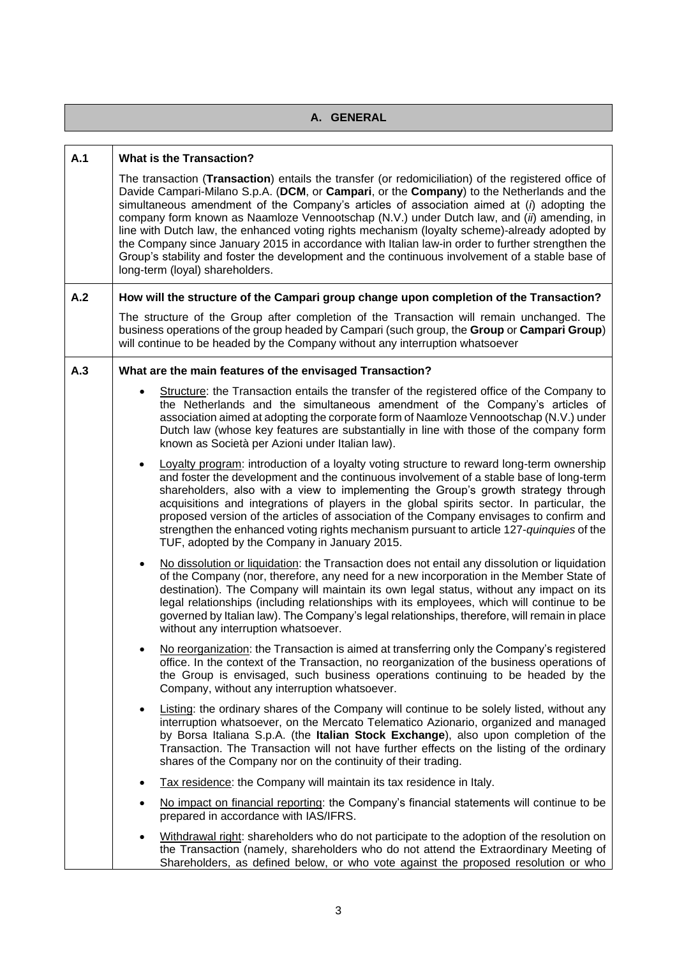| A. GENERAL |                                                                                                                                                                                                                                                                                                                                                                                                                                                                                                                                                                                                                                                                                                                                                                            |
|------------|----------------------------------------------------------------------------------------------------------------------------------------------------------------------------------------------------------------------------------------------------------------------------------------------------------------------------------------------------------------------------------------------------------------------------------------------------------------------------------------------------------------------------------------------------------------------------------------------------------------------------------------------------------------------------------------------------------------------------------------------------------------------------|
|            |                                                                                                                                                                                                                                                                                                                                                                                                                                                                                                                                                                                                                                                                                                                                                                            |
| A.1        | <b>What is the Transaction?</b><br>The transaction (Transaction) entails the transfer (or redomiciliation) of the registered office of<br>Davide Campari-Milano S.p.A. (DCM, or Campari, or the Company) to the Netherlands and the<br>simultaneous amendment of the Company's articles of association aimed at $(i)$ adopting the<br>company form known as Naamloze Vennootschap (N.V.) under Dutch law, and (ii) amending, in<br>line with Dutch law, the enhanced voting rights mechanism (loyalty scheme)-already adopted by<br>the Company since January 2015 in accordance with Italian law-in order to further strengthen the<br>Group's stability and foster the development and the continuous involvement of a stable base of<br>long-term (loyal) shareholders. |
| A.2        | How will the structure of the Campari group change upon completion of the Transaction?                                                                                                                                                                                                                                                                                                                                                                                                                                                                                                                                                                                                                                                                                     |
|            | The structure of the Group after completion of the Transaction will remain unchanged. The<br>business operations of the group headed by Campari (such group, the Group or Campari Group)<br>will continue to be headed by the Company without any interruption whatsoever                                                                                                                                                                                                                                                                                                                                                                                                                                                                                                  |
| A.3        | What are the main features of the envisaged Transaction?                                                                                                                                                                                                                                                                                                                                                                                                                                                                                                                                                                                                                                                                                                                   |
|            | Structure: the Transaction entails the transfer of the registered office of the Company to<br>the Netherlands and the simultaneous amendment of the Company's articles of<br>association aimed at adopting the corporate form of Naamloze Vennootschap (N.V.) under<br>Dutch law (whose key features are substantially in line with those of the company form<br>known as Società per Azioni under Italian law).                                                                                                                                                                                                                                                                                                                                                           |
|            | Loyalty program: introduction of a loyalty voting structure to reward long-term ownership<br>$\bullet$<br>and foster the development and the continuous involvement of a stable base of long-term<br>shareholders, also with a view to implementing the Group's growth strategy through<br>acquisitions and integrations of players in the global spirits sector. In particular, the<br>proposed version of the articles of association of the Company envisages to confirm and<br>strengthen the enhanced voting rights mechanism pursuant to article 127-quinquies of the<br>TUF, adopted by the Company in January 2015.                                                                                                                                                |
|            | No dissolution or liquidation: the Transaction does not entail any dissolution or liquidation<br>$\bullet$<br>of the Company (nor, therefore, any need for a new incorporation in the Member State of<br>destination). The Company will maintain its own legal status, without any impact on its<br>legal relationships (including relationships with its employees, which will continue to be<br>governed by Italian law). The Company's legal relationships, therefore, will remain in place<br>without any interruption whatsoever.                                                                                                                                                                                                                                     |
|            | No reorganization: the Transaction is aimed at transferring only the Company's registered<br>$\bullet$<br>office. In the context of the Transaction, no reorganization of the business operations of<br>the Group is envisaged, such business operations continuing to be headed by the<br>Company, without any interruption whatsoever.                                                                                                                                                                                                                                                                                                                                                                                                                                   |
|            | Listing: the ordinary shares of the Company will continue to be solely listed, without any<br>$\bullet$<br>interruption whatsoever, on the Mercato Telematico Azionario, organized and managed<br>by Borsa Italiana S.p.A. (the Italian Stock Exchange), also upon completion of the<br>Transaction. The Transaction will not have further effects on the listing of the ordinary<br>shares of the Company nor on the continuity of their trading.                                                                                                                                                                                                                                                                                                                         |
|            | Tax residence: the Company will maintain its tax residence in Italy.<br>$\bullet$                                                                                                                                                                                                                                                                                                                                                                                                                                                                                                                                                                                                                                                                                          |
|            | No impact on financial reporting: the Company's financial statements will continue to be<br>$\bullet$<br>prepared in accordance with IAS/IFRS.                                                                                                                                                                                                                                                                                                                                                                                                                                                                                                                                                                                                                             |
|            | Withdrawal right: shareholders who do not participate to the adoption of the resolution on<br>$\bullet$<br>the Transaction (namely, shareholders who do not attend the Extraordinary Meeting of<br>Shareholders, as defined below, or who vote against the proposed resolution or who                                                                                                                                                                                                                                                                                                                                                                                                                                                                                      |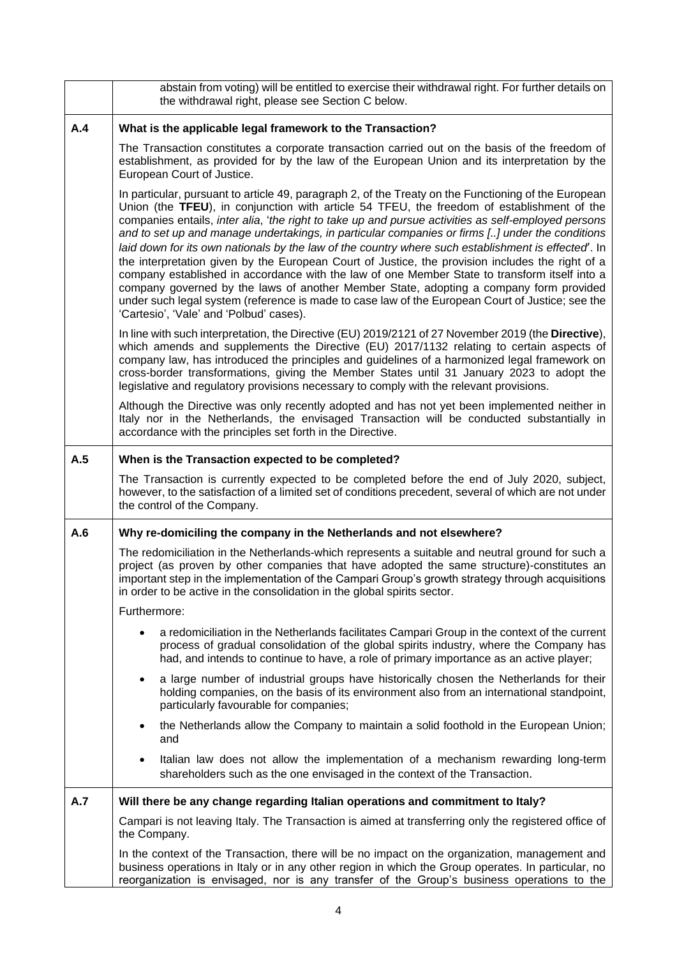|     | abstain from voting) will be entitled to exercise their withdrawal right. For further details on<br>the withdrawal right, please see Section C below.                                                                                                                                                                                                                                                                                                                                                                                                                                                                                                                                                                                                                                                                                                                                                                                                             |
|-----|-------------------------------------------------------------------------------------------------------------------------------------------------------------------------------------------------------------------------------------------------------------------------------------------------------------------------------------------------------------------------------------------------------------------------------------------------------------------------------------------------------------------------------------------------------------------------------------------------------------------------------------------------------------------------------------------------------------------------------------------------------------------------------------------------------------------------------------------------------------------------------------------------------------------------------------------------------------------|
| A.4 | What is the applicable legal framework to the Transaction?                                                                                                                                                                                                                                                                                                                                                                                                                                                                                                                                                                                                                                                                                                                                                                                                                                                                                                        |
|     | The Transaction constitutes a corporate transaction carried out on the basis of the freedom of<br>establishment, as provided for by the law of the European Union and its interpretation by the<br>European Court of Justice.                                                                                                                                                                                                                                                                                                                                                                                                                                                                                                                                                                                                                                                                                                                                     |
|     | In particular, pursuant to article 49, paragraph 2, of the Treaty on the Functioning of the European<br>Union (the TFEU), in conjunction with article 54 TFEU, the freedom of establishment of the<br>companies entails, inter alia, 'the right to take up and pursue activities as self-employed persons<br>and to set up and manage undertakings, in particular companies or firms [] under the conditions<br>laid down for its own nationals by the law of the country where such establishment is effected'. In<br>the interpretation given by the European Court of Justice, the provision includes the right of a<br>company established in accordance with the law of one Member State to transform itself into a<br>company governed by the laws of another Member State, adopting a company form provided<br>under such legal system (reference is made to case law of the European Court of Justice; see the<br>'Cartesio', 'Vale' and 'Polbud' cases). |
|     | In line with such interpretation, the Directive (EU) 2019/2121 of 27 November 2019 (the Directive),<br>which amends and supplements the Directive (EU) 2017/1132 relating to certain aspects of<br>company law, has introduced the principles and guidelines of a harmonized legal framework on<br>cross-border transformations, giving the Member States until 31 January 2023 to adopt the<br>legislative and regulatory provisions necessary to comply with the relevant provisions.                                                                                                                                                                                                                                                                                                                                                                                                                                                                           |
|     | Although the Directive was only recently adopted and has not yet been implemented neither in<br>Italy nor in the Netherlands, the envisaged Transaction will be conducted substantially in<br>accordance with the principles set forth in the Directive.                                                                                                                                                                                                                                                                                                                                                                                                                                                                                                                                                                                                                                                                                                          |
| A.5 | When is the Transaction expected to be completed?                                                                                                                                                                                                                                                                                                                                                                                                                                                                                                                                                                                                                                                                                                                                                                                                                                                                                                                 |
|     | The Transaction is currently expected to be completed before the end of July 2020, subject,<br>however, to the satisfaction of a limited set of conditions precedent, several of which are not under<br>the control of the Company.                                                                                                                                                                                                                                                                                                                                                                                                                                                                                                                                                                                                                                                                                                                               |
| A.6 | Why re-domiciling the company in the Netherlands and not elsewhere?                                                                                                                                                                                                                                                                                                                                                                                                                                                                                                                                                                                                                                                                                                                                                                                                                                                                                               |
|     | The redomiciliation in the Netherlands-which represents a suitable and neutral ground for such a<br>project (as proven by other companies that have adopted the same structure)-constitutes an<br>important step in the implementation of the Campari Group's growth strategy through acquisitions<br>in order to be active in the consolidation in the global spirits sector.                                                                                                                                                                                                                                                                                                                                                                                                                                                                                                                                                                                    |
|     | Furthermore:                                                                                                                                                                                                                                                                                                                                                                                                                                                                                                                                                                                                                                                                                                                                                                                                                                                                                                                                                      |
|     | a redomiciliation in the Netherlands facilitates Campari Group in the context of the current<br>$\bullet$<br>process of gradual consolidation of the global spirits industry, where the Company has<br>had, and intends to continue to have, a role of primary importance as an active player;                                                                                                                                                                                                                                                                                                                                                                                                                                                                                                                                                                                                                                                                    |
|     | a large number of industrial groups have historically chosen the Netherlands for their<br>$\bullet$<br>holding companies, on the basis of its environment also from an international standpoint,<br>particularly favourable for companies;                                                                                                                                                                                                                                                                                                                                                                                                                                                                                                                                                                                                                                                                                                                        |
|     | the Netherlands allow the Company to maintain a solid foothold in the European Union;<br>$\bullet$<br>and                                                                                                                                                                                                                                                                                                                                                                                                                                                                                                                                                                                                                                                                                                                                                                                                                                                         |
|     | Italian law does not allow the implementation of a mechanism rewarding long-term<br>$\bullet$<br>shareholders such as the one envisaged in the context of the Transaction.                                                                                                                                                                                                                                                                                                                                                                                                                                                                                                                                                                                                                                                                                                                                                                                        |
| A.7 | Will there be any change regarding Italian operations and commitment to Italy?                                                                                                                                                                                                                                                                                                                                                                                                                                                                                                                                                                                                                                                                                                                                                                                                                                                                                    |
|     | Campari is not leaving Italy. The Transaction is aimed at transferring only the registered office of<br>the Company.                                                                                                                                                                                                                                                                                                                                                                                                                                                                                                                                                                                                                                                                                                                                                                                                                                              |
|     | In the context of the Transaction, there will be no impact on the organization, management and<br>business operations in Italy or in any other region in which the Group operates. In particular, no<br>reorganization is envisaged, nor is any transfer of the Group's business operations to the                                                                                                                                                                                                                                                                                                                                                                                                                                                                                                                                                                                                                                                                |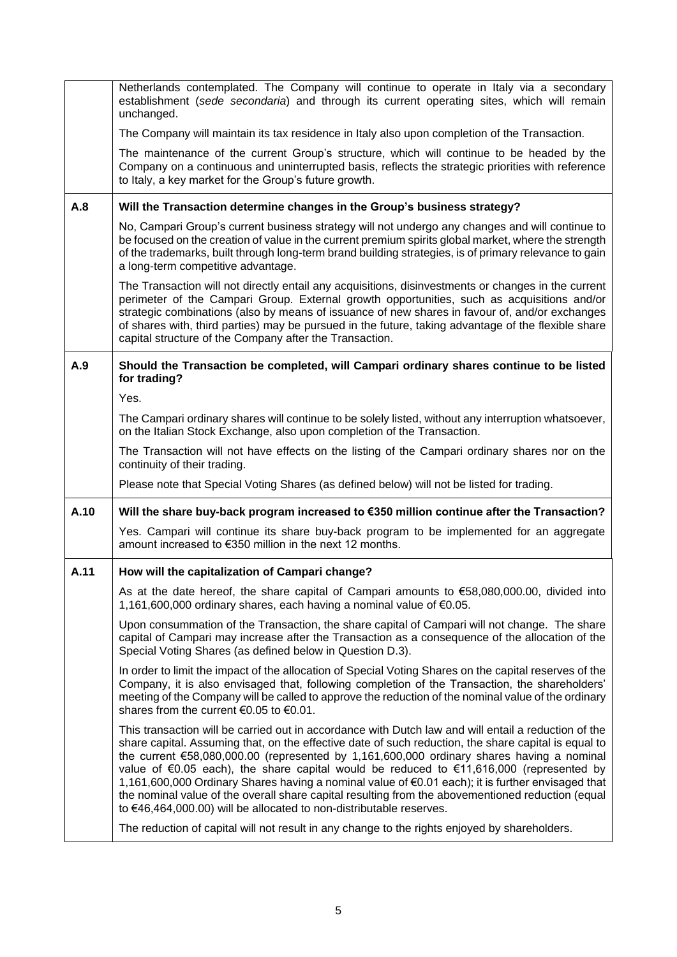|      | Netherlands contemplated. The Company will continue to operate in Italy via a secondary<br>establishment (sede secondaria) and through its current operating sites, which will remain<br>unchanged.                                                                                                                                                                                                                                                                                                                                                                                                                                                                                   |
|------|---------------------------------------------------------------------------------------------------------------------------------------------------------------------------------------------------------------------------------------------------------------------------------------------------------------------------------------------------------------------------------------------------------------------------------------------------------------------------------------------------------------------------------------------------------------------------------------------------------------------------------------------------------------------------------------|
|      | The Company will maintain its tax residence in Italy also upon completion of the Transaction.                                                                                                                                                                                                                                                                                                                                                                                                                                                                                                                                                                                         |
|      | The maintenance of the current Group's structure, which will continue to be headed by the<br>Company on a continuous and uninterrupted basis, reflects the strategic priorities with reference<br>to Italy, a key market for the Group's future growth.                                                                                                                                                                                                                                                                                                                                                                                                                               |
| A.8  | Will the Transaction determine changes in the Group's business strategy?                                                                                                                                                                                                                                                                                                                                                                                                                                                                                                                                                                                                              |
|      | No, Campari Group's current business strategy will not undergo any changes and will continue to<br>be focused on the creation of value in the current premium spirits global market, where the strength<br>of the trademarks, built through long-term brand building strategies, is of primary relevance to gain<br>a long-term competitive advantage.                                                                                                                                                                                                                                                                                                                                |
|      | The Transaction will not directly entail any acquisitions, disinvestments or changes in the current<br>perimeter of the Campari Group. External growth opportunities, such as acquisitions and/or<br>strategic combinations (also by means of issuance of new shares in favour of, and/or exchanges<br>of shares with, third parties) may be pursued in the future, taking advantage of the flexible share<br>capital structure of the Company after the Transaction.                                                                                                                                                                                                                 |
| A.9  | Should the Transaction be completed, will Campari ordinary shares continue to be listed<br>for trading?                                                                                                                                                                                                                                                                                                                                                                                                                                                                                                                                                                               |
|      | Yes.                                                                                                                                                                                                                                                                                                                                                                                                                                                                                                                                                                                                                                                                                  |
|      | The Campari ordinary shares will continue to be solely listed, without any interruption whatsoever,<br>on the Italian Stock Exchange, also upon completion of the Transaction.                                                                                                                                                                                                                                                                                                                                                                                                                                                                                                        |
|      | The Transaction will not have effects on the listing of the Campari ordinary shares nor on the<br>continuity of their trading.                                                                                                                                                                                                                                                                                                                                                                                                                                                                                                                                                        |
|      | Please note that Special Voting Shares (as defined below) will not be listed for trading.                                                                                                                                                                                                                                                                                                                                                                                                                                                                                                                                                                                             |
| A.10 | Will the share buy-back program increased to €350 million continue after the Transaction?                                                                                                                                                                                                                                                                                                                                                                                                                                                                                                                                                                                             |
|      | Yes. Campari will continue its share buy-back program to be implemented for an aggregate<br>amount increased to €350 million in the next 12 months.                                                                                                                                                                                                                                                                                                                                                                                                                                                                                                                                   |
| A.11 | How will the capitalization of Campari change?                                                                                                                                                                                                                                                                                                                                                                                                                                                                                                                                                                                                                                        |
|      | As at the date hereof, the share capital of Campari amounts to $€58,080,000.00$ , divided into<br>1,161,600,000 ordinary shares, each having a nominal value of €0.05.                                                                                                                                                                                                                                                                                                                                                                                                                                                                                                                |
|      | Upon consummation of the Transaction, the share capital of Campari will not change. The share<br>capital of Campari may increase after the Transaction as a consequence of the allocation of the<br>Special Voting Shares (as defined below in Question D.3).                                                                                                                                                                                                                                                                                                                                                                                                                         |
|      | In order to limit the impact of the allocation of Special Voting Shares on the capital reserves of the<br>Company, it is also envisaged that, following completion of the Transaction, the shareholders'<br>meeting of the Company will be called to approve the reduction of the nominal value of the ordinary<br>shares from the current €0.05 to €0.01.                                                                                                                                                                                                                                                                                                                            |
|      | This transaction will be carried out in accordance with Dutch law and will entail a reduction of the<br>share capital. Assuming that, on the effective date of such reduction, the share capital is equal to<br>the current €58,080,000.00 (represented by 1,161,600,000 ordinary shares having a nominal<br>value of €0.05 each), the share capital would be reduced to €11,616,000 (represented by<br>1,161,600,000 Ordinary Shares having a nominal value of €0.01 each); it is further envisaged that<br>the nominal value of the overall share capital resulting from the abovementioned reduction (equal<br>to €46,464,000.00) will be allocated to non-distributable reserves. |
|      | The reduction of capital will not result in any change to the rights enjoyed by shareholders.                                                                                                                                                                                                                                                                                                                                                                                                                                                                                                                                                                                         |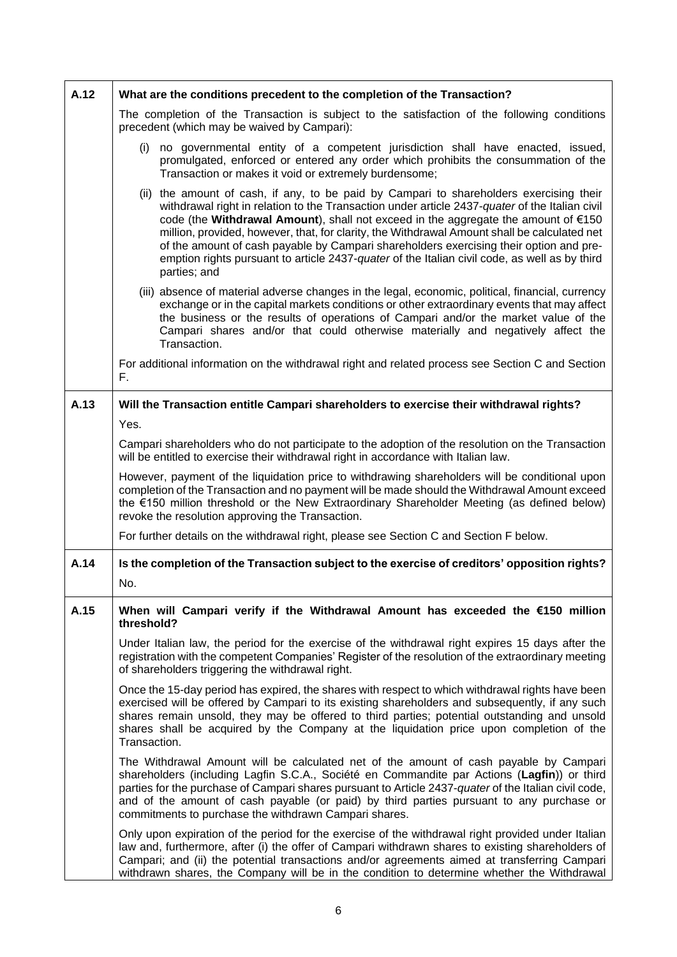| A.12 | What are the conditions precedent to the completion of the Transaction?                                                                                                                                                                                                                                                                                                                                                                                                                                                                                                                              |
|------|------------------------------------------------------------------------------------------------------------------------------------------------------------------------------------------------------------------------------------------------------------------------------------------------------------------------------------------------------------------------------------------------------------------------------------------------------------------------------------------------------------------------------------------------------------------------------------------------------|
|      | The completion of the Transaction is subject to the satisfaction of the following conditions<br>precedent (which may be waived by Campari):                                                                                                                                                                                                                                                                                                                                                                                                                                                          |
|      | no governmental entity of a competent jurisdiction shall have enacted, issued,<br>(i)<br>promulgated, enforced or entered any order which prohibits the consummation of the<br>Transaction or makes it void or extremely burdensome;                                                                                                                                                                                                                                                                                                                                                                 |
|      | (ii) the amount of cash, if any, to be paid by Campari to shareholders exercising their<br>withdrawal right in relation to the Transaction under article 2437-quater of the Italian civil<br>code (the Withdrawal Amount), shall not exceed in the aggregate the amount of $\epsilon$ 150<br>million, provided, however, that, for clarity, the Withdrawal Amount shall be calculated net<br>of the amount of cash payable by Campari shareholders exercising their option and pre-<br>emption rights pursuant to article 2437-quater of the Italian civil code, as well as by third<br>parties; and |
|      | (iii) absence of material adverse changes in the legal, economic, political, financial, currency<br>exchange or in the capital markets conditions or other extraordinary events that may affect<br>the business or the results of operations of Campari and/or the market value of the<br>Campari shares and/or that could otherwise materially and negatively affect the<br>Transaction.                                                                                                                                                                                                            |
|      | For additional information on the withdrawal right and related process see Section C and Section<br>F.                                                                                                                                                                                                                                                                                                                                                                                                                                                                                               |
| A.13 | Will the Transaction entitle Campari shareholders to exercise their withdrawal rights?                                                                                                                                                                                                                                                                                                                                                                                                                                                                                                               |
|      | Yes.                                                                                                                                                                                                                                                                                                                                                                                                                                                                                                                                                                                                 |
|      | Campari shareholders who do not participate to the adoption of the resolution on the Transaction<br>will be entitled to exercise their withdrawal right in accordance with Italian law.                                                                                                                                                                                                                                                                                                                                                                                                              |
|      | However, payment of the liquidation price to withdrawing shareholders will be conditional upon<br>completion of the Transaction and no payment will be made should the Withdrawal Amount exceed<br>the €150 million threshold or the New Extraordinary Shareholder Meeting (as defined below)<br>revoke the resolution approving the Transaction.                                                                                                                                                                                                                                                    |
|      | For further details on the withdrawal right, please see Section C and Section F below.                                                                                                                                                                                                                                                                                                                                                                                                                                                                                                               |
| A.14 | Is the completion of the Transaction subject to the exercise of creditors' opposition rights?<br>No.                                                                                                                                                                                                                                                                                                                                                                                                                                                                                                 |
| A.15 | When will Campari verify if the Withdrawal Amount has exceeded the €150 million<br>threshold?                                                                                                                                                                                                                                                                                                                                                                                                                                                                                                        |
|      | Under Italian law, the period for the exercise of the withdrawal right expires 15 days after the<br>registration with the competent Companies' Register of the resolution of the extraordinary meeting<br>of shareholders triggering the withdrawal right.                                                                                                                                                                                                                                                                                                                                           |
|      | Once the 15-day period has expired, the shares with respect to which withdrawal rights have been<br>exercised will be offered by Campari to its existing shareholders and subsequently, if any such<br>shares remain unsold, they may be offered to third parties; potential outstanding and unsold<br>shares shall be acquired by the Company at the liquidation price upon completion of the<br>Transaction.                                                                                                                                                                                       |
|      | The Withdrawal Amount will be calculated net of the amount of cash payable by Campari<br>shareholders (including Lagfin S.C.A., Société en Commandite par Actions (Lagfin)) or third<br>parties for the purchase of Campari shares pursuant to Article 2437-quater of the Italian civil code,<br>and of the amount of cash payable (or paid) by third parties pursuant to any purchase or<br>commitments to purchase the withdrawn Campari shares.                                                                                                                                                   |
|      | Only upon expiration of the period for the exercise of the withdrawal right provided under Italian<br>law and, furthermore, after (i) the offer of Campari withdrawn shares to existing shareholders of<br>Campari; and (ii) the potential transactions and/or agreements aimed at transferring Campari<br>withdrawn shares, the Company will be in the condition to determine whether the Withdrawal                                                                                                                                                                                                |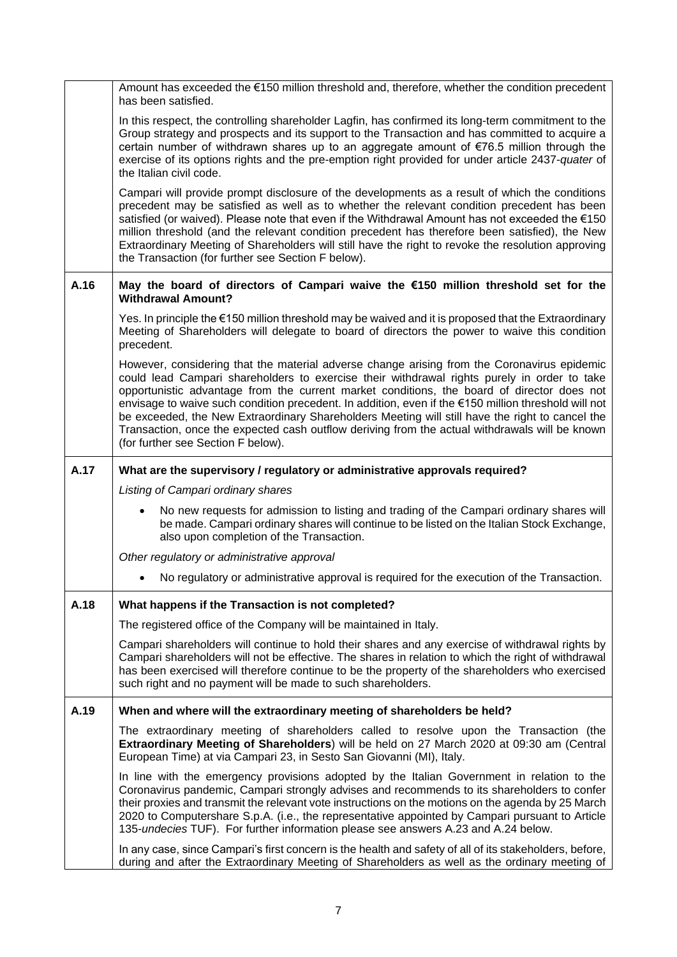|      | Amount has exceeded the $\epsilon$ 150 million threshold and, therefore, whether the condition precedent<br>has been satisfied.                                                                                                                                                                                                                                                                                                                                                                                                                                                                                                             |
|------|---------------------------------------------------------------------------------------------------------------------------------------------------------------------------------------------------------------------------------------------------------------------------------------------------------------------------------------------------------------------------------------------------------------------------------------------------------------------------------------------------------------------------------------------------------------------------------------------------------------------------------------------|
|      | In this respect, the controlling shareholder Lagfin, has confirmed its long-term commitment to the<br>Group strategy and prospects and its support to the Transaction and has committed to acquire a<br>certain number of withdrawn shares up to an aggregate amount of €76.5 million through the<br>exercise of its options rights and the pre-emption right provided for under article 2437-quater of<br>the Italian civil code.                                                                                                                                                                                                          |
|      | Campari will provide prompt disclosure of the developments as a result of which the conditions<br>precedent may be satisfied as well as to whether the relevant condition precedent has been<br>satisfied (or waived). Please note that even if the Withdrawal Amount has not exceeded the $\epsilon$ 150<br>million threshold (and the relevant condition precedent has therefore been satisfied), the New<br>Extraordinary Meeting of Shareholders will still have the right to revoke the resolution approving<br>the Transaction (for further see Section F below).                                                                     |
| A.16 | May the board of directors of Campari waive the €150 million threshold set for the<br><b>Withdrawal Amount?</b>                                                                                                                                                                                                                                                                                                                                                                                                                                                                                                                             |
|      | Yes. In principle the $\epsilon$ 150 million threshold may be waived and it is proposed that the Extraordinary<br>Meeting of Shareholders will delegate to board of directors the power to waive this condition<br>precedent.                                                                                                                                                                                                                                                                                                                                                                                                               |
|      | However, considering that the material adverse change arising from the Coronavirus epidemic<br>could lead Campari shareholders to exercise their withdrawal rights purely in order to take<br>opportunistic advantage from the current market conditions, the board of director does not<br>envisage to waive such condition precedent. In addition, even if the €150 million threshold will not<br>be exceeded, the New Extraordinary Shareholders Meeting will still have the right to cancel the<br>Transaction, once the expected cash outflow deriving from the actual withdrawals will be known<br>(for further see Section F below). |
| A.17 | What are the supervisory / regulatory or administrative approvals required?                                                                                                                                                                                                                                                                                                                                                                                                                                                                                                                                                                 |
|      | Listing of Campari ordinary shares                                                                                                                                                                                                                                                                                                                                                                                                                                                                                                                                                                                                          |
|      | No new requests for admission to listing and trading of the Campari ordinary shares will<br>be made. Campari ordinary shares will continue to be listed on the Italian Stock Exchange,<br>also upon completion of the Transaction.                                                                                                                                                                                                                                                                                                                                                                                                          |
|      | Other regulatory or administrative approval                                                                                                                                                                                                                                                                                                                                                                                                                                                                                                                                                                                                 |
|      | No regulatory or administrative approval is required for the execution of the Transaction.                                                                                                                                                                                                                                                                                                                                                                                                                                                                                                                                                  |
| A.18 | What happens if the Transaction is not completed?                                                                                                                                                                                                                                                                                                                                                                                                                                                                                                                                                                                           |
|      | The registered office of the Company will be maintained in Italy.                                                                                                                                                                                                                                                                                                                                                                                                                                                                                                                                                                           |
|      | Campari shareholders will continue to hold their shares and any exercise of withdrawal rights by<br>Campari shareholders will not be effective. The shares in relation to which the right of withdrawal<br>has been exercised will therefore continue to be the property of the shareholders who exercised<br>such right and no payment will be made to such shareholders.                                                                                                                                                                                                                                                                  |
| A.19 | When and where will the extraordinary meeting of shareholders be held?                                                                                                                                                                                                                                                                                                                                                                                                                                                                                                                                                                      |
|      | The extraordinary meeting of shareholders called to resolve upon the Transaction (the<br>Extraordinary Meeting of Shareholders) will be held on 27 March 2020 at 09:30 am (Central<br>European Time) at via Campari 23, in Sesto San Giovanni (MI), Italy.                                                                                                                                                                                                                                                                                                                                                                                  |
|      | In line with the emergency provisions adopted by the Italian Government in relation to the<br>Coronavirus pandemic, Campari strongly advises and recommends to its shareholders to confer<br>their proxies and transmit the relevant vote instructions on the motions on the agenda by 25 March<br>2020 to Computershare S.p.A. (i.e., the representative appointed by Campari pursuant to Article<br>135-undecies TUF). For further information please see answers A.23 and A.24 below.                                                                                                                                                    |
|      | In any case, since Campari's first concern is the health and safety of all of its stakeholders, before,<br>during and after the Extraordinary Meeting of Shareholders as well as the ordinary meeting of                                                                                                                                                                                                                                                                                                                                                                                                                                    |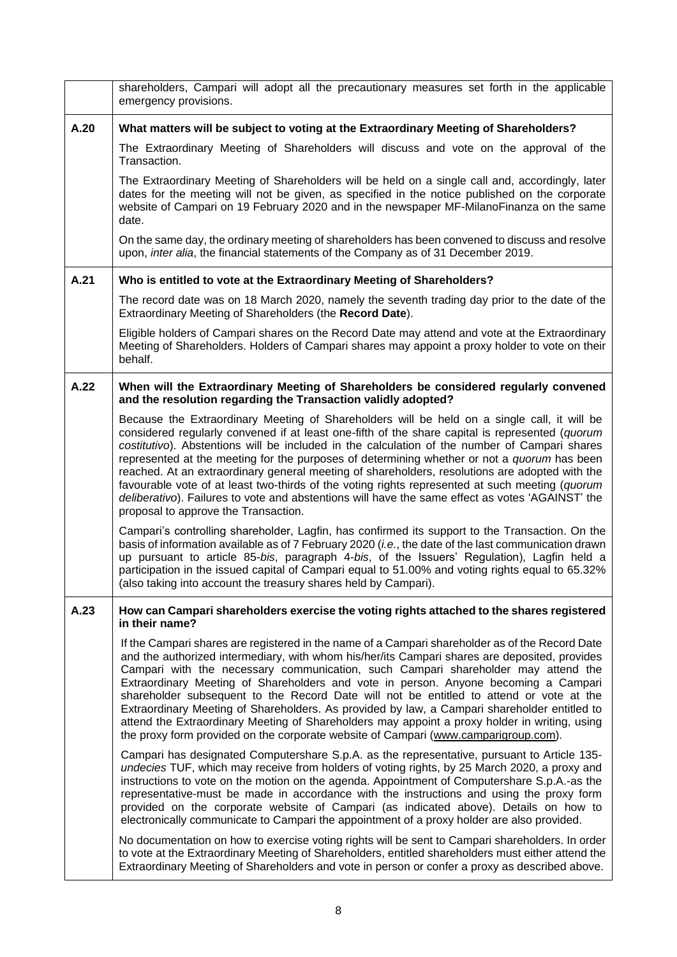|      | shareholders, Campari will adopt all the precautionary measures set forth in the applicable<br>emergency provisions.                                                                                                                                                                                                                                                                                                                                                                                                                                                                                                                                                                                                                                            |
|------|-----------------------------------------------------------------------------------------------------------------------------------------------------------------------------------------------------------------------------------------------------------------------------------------------------------------------------------------------------------------------------------------------------------------------------------------------------------------------------------------------------------------------------------------------------------------------------------------------------------------------------------------------------------------------------------------------------------------------------------------------------------------|
| A.20 | What matters will be subject to voting at the Extraordinary Meeting of Shareholders?                                                                                                                                                                                                                                                                                                                                                                                                                                                                                                                                                                                                                                                                            |
|      | The Extraordinary Meeting of Shareholders will discuss and vote on the approval of the<br>Transaction.                                                                                                                                                                                                                                                                                                                                                                                                                                                                                                                                                                                                                                                          |
|      | The Extraordinary Meeting of Shareholders will be held on a single call and, accordingly, later<br>dates for the meeting will not be given, as specified in the notice published on the corporate<br>website of Campari on 19 February 2020 and in the newspaper MF-MilanoFinanza on the same<br>date.                                                                                                                                                                                                                                                                                                                                                                                                                                                          |
|      | On the same day, the ordinary meeting of shareholders has been convened to discuss and resolve<br>upon, inter alia, the financial statements of the Company as of 31 December 2019.                                                                                                                                                                                                                                                                                                                                                                                                                                                                                                                                                                             |
| A.21 | Who is entitled to vote at the Extraordinary Meeting of Shareholders?                                                                                                                                                                                                                                                                                                                                                                                                                                                                                                                                                                                                                                                                                           |
|      | The record date was on 18 March 2020, namely the seventh trading day prior to the date of the<br>Extraordinary Meeting of Shareholders (the Record Date).                                                                                                                                                                                                                                                                                                                                                                                                                                                                                                                                                                                                       |
|      | Eligible holders of Campari shares on the Record Date may attend and vote at the Extraordinary<br>Meeting of Shareholders. Holders of Campari shares may appoint a proxy holder to vote on their<br>behalf.                                                                                                                                                                                                                                                                                                                                                                                                                                                                                                                                                     |
| A.22 | When will the Extraordinary Meeting of Shareholders be considered regularly convened<br>and the resolution regarding the Transaction validly adopted?                                                                                                                                                                                                                                                                                                                                                                                                                                                                                                                                                                                                           |
|      | Because the Extraordinary Meeting of Shareholders will be held on a single call, it will be<br>considered regularly convened if at least one-fifth of the share capital is represented (quorum<br>costitutivo). Abstentions will be included in the calculation of the number of Campari shares<br>represented at the meeting for the purposes of determining whether or not a quorum has been<br>reached. At an extraordinary general meeting of shareholders, resolutions are adopted with the<br>favourable vote of at least two-thirds of the voting rights represented at such meeting (quorum<br>deliberativo). Failures to vote and abstentions will have the same effect as votes 'AGAINST' the<br>proposal to approve the Transaction.                 |
|      | Campari's controlling shareholder, Lagfin, has confirmed its support to the Transaction. On the<br>basis of information available as of 7 February 2020 (i.e., the date of the last communication drawn<br>up pursuant to article 85-bis, paragraph 4-bis, of the Issuers' Regulation), Lagfin held a<br>participation in the issued capital of Campari equal to 51.00% and voting rights equal to 65.32%<br>(also taking into account the treasury shares held by Campari).                                                                                                                                                                                                                                                                                    |
| A.23 | How can Campari shareholders exercise the voting rights attached to the shares registered<br>in their name?                                                                                                                                                                                                                                                                                                                                                                                                                                                                                                                                                                                                                                                     |
|      | If the Campari shares are registered in the name of a Campari shareholder as of the Record Date<br>and the authorized intermediary, with whom his/her/its Campari shares are deposited, provides<br>Campari with the necessary communication, such Campari shareholder may attend the<br>Extraordinary Meeting of Shareholders and vote in person. Anyone becoming a Campari<br>shareholder subsequent to the Record Date will not be entitled to attend or vote at the<br>Extraordinary Meeting of Shareholders. As provided by law, a Campari shareholder entitled to<br>attend the Extraordinary Meeting of Shareholders may appoint a proxy holder in writing, using<br>the proxy form provided on the corporate website of Campari (www.camparigroup.com). |
|      | Campari has designated Computershare S.p.A. as the representative, pursuant to Article 135-<br>undecies TUF, which may receive from holders of voting rights, by 25 March 2020, a proxy and<br>instructions to vote on the motion on the agenda. Appointment of Computershare S.p.A.-as the<br>representative-must be made in accordance with the instructions and using the proxy form<br>provided on the corporate website of Campari (as indicated above). Details on how to<br>electronically communicate to Campari the appointment of a proxy holder are also provided.                                                                                                                                                                                   |
|      | No documentation on how to exercise voting rights will be sent to Campari shareholders. In order<br>to vote at the Extraordinary Meeting of Shareholders, entitled shareholders must either attend the<br>Extraordinary Meeting of Shareholders and vote in person or confer a proxy as described above.                                                                                                                                                                                                                                                                                                                                                                                                                                                        |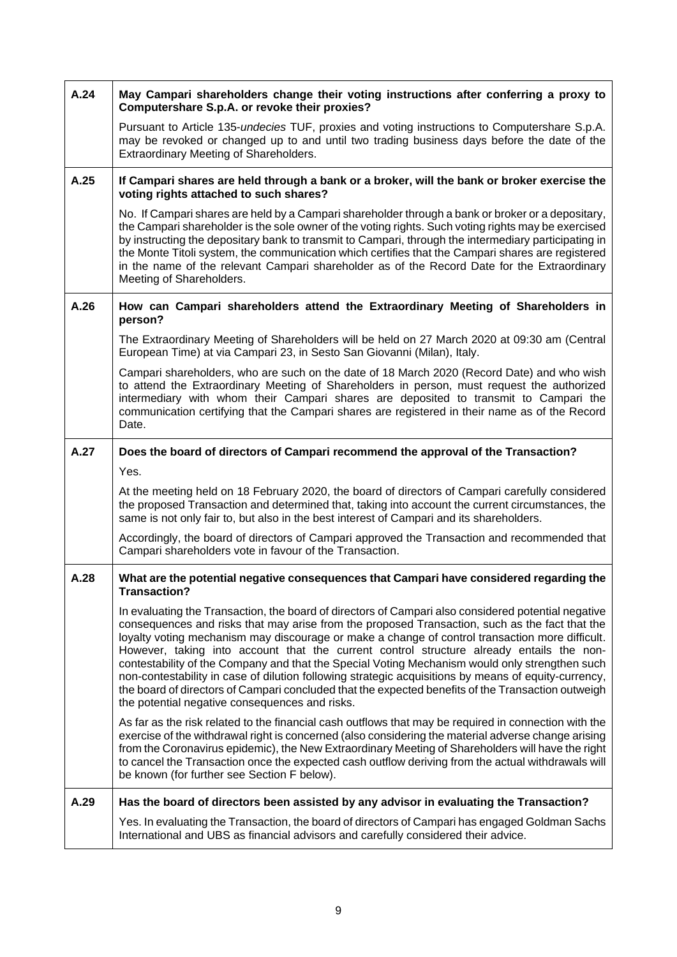| A.24 | May Campari shareholders change their voting instructions after conferring a proxy to<br>Computershare S.p.A. or revoke their proxies?                                                                                                                                                                                                                                                                                                                                                                                                                                                                                                                                                                                                                                 |
|------|------------------------------------------------------------------------------------------------------------------------------------------------------------------------------------------------------------------------------------------------------------------------------------------------------------------------------------------------------------------------------------------------------------------------------------------------------------------------------------------------------------------------------------------------------------------------------------------------------------------------------------------------------------------------------------------------------------------------------------------------------------------------|
|      | Pursuant to Article 135-undecies TUF, proxies and voting instructions to Computershare S.p.A.<br>may be revoked or changed up to and until two trading business days before the date of the<br>Extraordinary Meeting of Shareholders.                                                                                                                                                                                                                                                                                                                                                                                                                                                                                                                                  |
| A.25 | If Campari shares are held through a bank or a broker, will the bank or broker exercise the<br>voting rights attached to such shares?                                                                                                                                                                                                                                                                                                                                                                                                                                                                                                                                                                                                                                  |
|      | No. If Campari shares are held by a Campari shareholder through a bank or broker or a depositary,<br>the Campari shareholder is the sole owner of the voting rights. Such voting rights may be exercised<br>by instructing the depositary bank to transmit to Campari, through the intermediary participating in<br>the Monte Titoli system, the communication which certifies that the Campari shares are registered<br>in the name of the relevant Campari shareholder as of the Record Date for the Extraordinary<br>Meeting of Shareholders.                                                                                                                                                                                                                       |
| A.26 | How can Campari shareholders attend the Extraordinary Meeting of Shareholders in<br>person?                                                                                                                                                                                                                                                                                                                                                                                                                                                                                                                                                                                                                                                                            |
|      | The Extraordinary Meeting of Shareholders will be held on 27 March 2020 at 09:30 am (Central<br>European Time) at via Campari 23, in Sesto San Giovanni (Milan), Italy.                                                                                                                                                                                                                                                                                                                                                                                                                                                                                                                                                                                                |
|      | Campari shareholders, who are such on the date of 18 March 2020 (Record Date) and who wish<br>to attend the Extraordinary Meeting of Shareholders in person, must request the authorized<br>intermediary with whom their Campari shares are deposited to transmit to Campari the<br>communication certifying that the Campari shares are registered in their name as of the Record<br>Date.                                                                                                                                                                                                                                                                                                                                                                            |
| A.27 | Does the board of directors of Campari recommend the approval of the Transaction?                                                                                                                                                                                                                                                                                                                                                                                                                                                                                                                                                                                                                                                                                      |
|      | Yes.                                                                                                                                                                                                                                                                                                                                                                                                                                                                                                                                                                                                                                                                                                                                                                   |
|      |                                                                                                                                                                                                                                                                                                                                                                                                                                                                                                                                                                                                                                                                                                                                                                        |
|      | At the meeting held on 18 February 2020, the board of directors of Campari carefully considered<br>the proposed Transaction and determined that, taking into account the current circumstances, the<br>same is not only fair to, but also in the best interest of Campari and its shareholders.                                                                                                                                                                                                                                                                                                                                                                                                                                                                        |
|      | Accordingly, the board of directors of Campari approved the Transaction and recommended that<br>Campari shareholders vote in favour of the Transaction.                                                                                                                                                                                                                                                                                                                                                                                                                                                                                                                                                                                                                |
| A.28 | What are the potential negative consequences that Campari have considered regarding the<br>Transaction?                                                                                                                                                                                                                                                                                                                                                                                                                                                                                                                                                                                                                                                                |
|      | In evaluating the Transaction, the board of directors of Campari also considered potential negative<br>consequences and risks that may arise from the proposed Transaction, such as the fact that the<br>loyalty voting mechanism may discourage or make a change of control transaction more difficult.<br>However, taking into account that the current control structure already entails the non-<br>contestability of the Company and that the Special Voting Mechanism would only strengthen such<br>non-contestability in case of dilution following strategic acquisitions by means of equity-currency,<br>the board of directors of Campari concluded that the expected benefits of the Transaction outweigh<br>the potential negative consequences and risks. |
|      | As far as the risk related to the financial cash outflows that may be required in connection with the<br>exercise of the withdrawal right is concerned (also considering the material adverse change arising<br>from the Coronavirus epidemic), the New Extraordinary Meeting of Shareholders will have the right<br>to cancel the Transaction once the expected cash outflow deriving from the actual withdrawals will<br>be known (for further see Section F below).                                                                                                                                                                                                                                                                                                 |
| A.29 | Has the board of directors been assisted by any advisor in evaluating the Transaction?                                                                                                                                                                                                                                                                                                                                                                                                                                                                                                                                                                                                                                                                                 |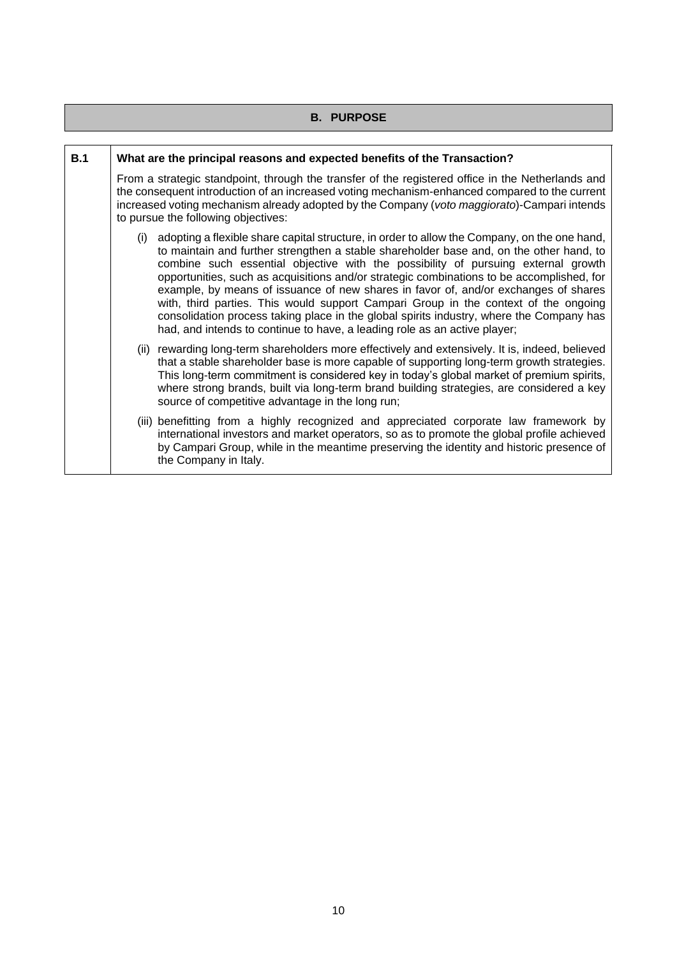|     | <b>B. PURPOSE</b>                                                                                                                                                                                                                                                                                                                                                                                                                                                                                                                                                                                                                                                                                                                       |
|-----|-----------------------------------------------------------------------------------------------------------------------------------------------------------------------------------------------------------------------------------------------------------------------------------------------------------------------------------------------------------------------------------------------------------------------------------------------------------------------------------------------------------------------------------------------------------------------------------------------------------------------------------------------------------------------------------------------------------------------------------------|
|     |                                                                                                                                                                                                                                                                                                                                                                                                                                                                                                                                                                                                                                                                                                                                         |
| B.1 | What are the principal reasons and expected benefits of the Transaction?                                                                                                                                                                                                                                                                                                                                                                                                                                                                                                                                                                                                                                                                |
|     | From a strategic standpoint, through the transfer of the registered office in the Netherlands and<br>the consequent introduction of an increased voting mechanism-enhanced compared to the current<br>increased voting mechanism already adopted by the Company (voto maggiorato)-Campari intends<br>to pursue the following objectives:                                                                                                                                                                                                                                                                                                                                                                                                |
|     | adopting a flexible share capital structure, in order to allow the Company, on the one hand,<br>(i)<br>to maintain and further strengthen a stable shareholder base and, on the other hand, to<br>combine such essential objective with the possibility of pursuing external growth<br>opportunities, such as acquisitions and/or strategic combinations to be accomplished, for<br>example, by means of issuance of new shares in favor of, and/or exchanges of shares<br>with, third parties. This would support Campari Group in the context of the ongoing<br>consolidation process taking place in the global spirits industry, where the Company has<br>had, and intends to continue to have, a leading role as an active player; |
|     | (ii) rewarding long-term shareholders more effectively and extensively. It is, indeed, believed<br>that a stable shareholder base is more capable of supporting long-term growth strategies.<br>This long-term commitment is considered key in today's global market of premium spirits,<br>where strong brands, built via long-term brand building strategies, are considered a key<br>source of competitive advantage in the long run;                                                                                                                                                                                                                                                                                                |
|     | (iii) benefitting from a highly recognized and appreciated corporate law framework by<br>international investors and market operators, so as to promote the global profile achieved<br>by Campari Group, while in the meantime preserving the identity and historic presence of<br>the Company in Italy.                                                                                                                                                                                                                                                                                                                                                                                                                                |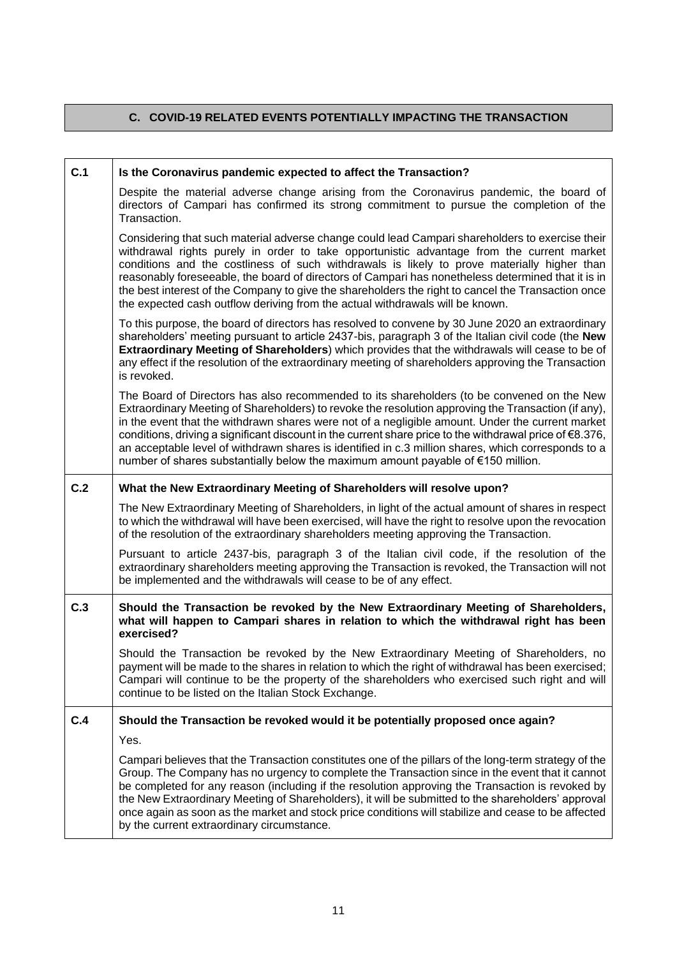## **C. COVID-19 RELATED EVENTS POTENTIALLY IMPACTING THE TRANSACTION**

| C.1 | Is the Coronavirus pandemic expected to affect the Transaction?                                                                                                                                                                                                                                                                                                                                                                                                                                                                                                                                                        |
|-----|------------------------------------------------------------------------------------------------------------------------------------------------------------------------------------------------------------------------------------------------------------------------------------------------------------------------------------------------------------------------------------------------------------------------------------------------------------------------------------------------------------------------------------------------------------------------------------------------------------------------|
|     | Despite the material adverse change arising from the Coronavirus pandemic, the board of<br>directors of Campari has confirmed its strong commitment to pursue the completion of the<br>Transaction.                                                                                                                                                                                                                                                                                                                                                                                                                    |
|     | Considering that such material adverse change could lead Campari shareholders to exercise their<br>withdrawal rights purely in order to take opportunistic advantage from the current market<br>conditions and the costliness of such withdrawals is likely to prove materially higher than<br>reasonably foreseeable, the board of directors of Campari has nonetheless determined that it is in<br>the best interest of the Company to give the shareholders the right to cancel the Transaction once<br>the expected cash outflow deriving from the actual withdrawals will be known.                               |
|     | To this purpose, the board of directors has resolved to convene by 30 June 2020 an extraordinary<br>shareholders' meeting pursuant to article 2437-bis, paragraph 3 of the Italian civil code (the New<br>Extraordinary Meeting of Shareholders) which provides that the withdrawals will cease to be of<br>any effect if the resolution of the extraordinary meeting of shareholders approving the Transaction<br>is revoked.                                                                                                                                                                                         |
|     | The Board of Directors has also recommended to its shareholders (to be convened on the New<br>Extraordinary Meeting of Shareholders) to revoke the resolution approving the Transaction (if any),<br>in the event that the withdrawn shares were not of a negligible amount. Under the current market<br>conditions, driving a significant discount in the current share price to the withdrawal price of $\epsilon$ 8.376,<br>an acceptable level of withdrawn shares is identified in c.3 million shares, which corresponds to a<br>number of shares substantially below the maximum amount payable of €150 million. |
| C.2 | What the New Extraordinary Meeting of Shareholders will resolve upon?                                                                                                                                                                                                                                                                                                                                                                                                                                                                                                                                                  |
|     | The New Extraordinary Meeting of Shareholders, in light of the actual amount of shares in respect<br>to which the withdrawal will have been exercised, will have the right to resolve upon the revocation<br>of the resolution of the extraordinary shareholders meeting approving the Transaction.                                                                                                                                                                                                                                                                                                                    |
|     | Pursuant to article 2437-bis, paragraph 3 of the Italian civil code, if the resolution of the<br>extraordinary shareholders meeting approving the Transaction is revoked, the Transaction will not<br>be implemented and the withdrawals will cease to be of any effect.                                                                                                                                                                                                                                                                                                                                               |
| C.3 | Should the Transaction be revoked by the New Extraordinary Meeting of Shareholders,<br>what will happen to Campari shares in relation to which the withdrawal right has been<br>exercised?                                                                                                                                                                                                                                                                                                                                                                                                                             |
|     | Should the Transaction be revoked by the New Extraordinary Meeting of Shareholders, no<br>payment will be made to the shares in relation to which the right of withdrawal has been exercised;<br>Campari will continue to be the property of the shareholders who exercised such right and will<br>continue to be listed on the Italian Stock Exchange.                                                                                                                                                                                                                                                                |
| C.4 | Should the Transaction be revoked would it be potentially proposed once again?                                                                                                                                                                                                                                                                                                                                                                                                                                                                                                                                         |
|     | Yes.                                                                                                                                                                                                                                                                                                                                                                                                                                                                                                                                                                                                                   |
|     | Campari believes that the Transaction constitutes one of the pillars of the long-term strategy of the<br>Group. The Company has no urgency to complete the Transaction since in the event that it cannot<br>be completed for any reason (including if the resolution approving the Transaction is revoked by<br>the New Extraordinary Meeting of Shareholders), it will be submitted to the shareholders' approval<br>once again as soon as the market and stock price conditions will stabilize and cease to be affected<br>by the current extraordinary circumstance.                                                |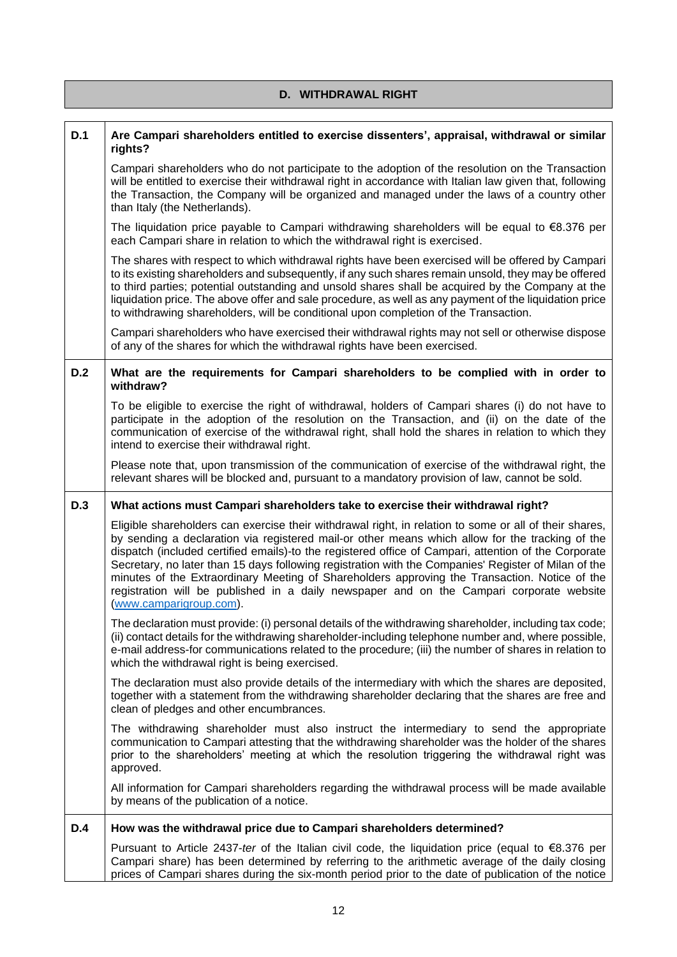| <b>D. WITHDRAWAL RIGHT</b> |                                                                                                                                                                                                                                                                                                                                                                                                                                                                                                                                                                                                                                                   |
|----------------------------|---------------------------------------------------------------------------------------------------------------------------------------------------------------------------------------------------------------------------------------------------------------------------------------------------------------------------------------------------------------------------------------------------------------------------------------------------------------------------------------------------------------------------------------------------------------------------------------------------------------------------------------------------|
| D.1                        | Are Campari shareholders entitled to exercise dissenters', appraisal, withdrawal or similar<br>rights?                                                                                                                                                                                                                                                                                                                                                                                                                                                                                                                                            |
|                            | Campari shareholders who do not participate to the adoption of the resolution on the Transaction<br>will be entitled to exercise their withdrawal right in accordance with Italian law given that, following<br>the Transaction, the Company will be organized and managed under the laws of a country other<br>than Italy (the Netherlands).                                                                                                                                                                                                                                                                                                     |
|                            | The liquidation price payable to Campari withdrawing shareholders will be equal to $€8.376$ per<br>each Campari share in relation to which the withdrawal right is exercised.                                                                                                                                                                                                                                                                                                                                                                                                                                                                     |
|                            | The shares with respect to which withdrawal rights have been exercised will be offered by Campari<br>to its existing shareholders and subsequently, if any such shares remain unsold, they may be offered<br>to third parties; potential outstanding and unsold shares shall be acquired by the Company at the<br>liquidation price. The above offer and sale procedure, as well as any payment of the liquidation price<br>to withdrawing shareholders, will be conditional upon completion of the Transaction.                                                                                                                                  |
|                            | Campari shareholders who have exercised their withdrawal rights may not sell or otherwise dispose<br>of any of the shares for which the withdrawal rights have been exercised.                                                                                                                                                                                                                                                                                                                                                                                                                                                                    |
| D.2                        | What are the requirements for Campari shareholders to be complied with in order to<br>withdraw?                                                                                                                                                                                                                                                                                                                                                                                                                                                                                                                                                   |
|                            | To be eligible to exercise the right of withdrawal, holders of Campari shares (i) do not have to<br>participate in the adoption of the resolution on the Transaction, and (ii) on the date of the<br>communication of exercise of the withdrawal right, shall hold the shares in relation to which they<br>intend to exercise their withdrawal right.                                                                                                                                                                                                                                                                                             |
|                            | Please note that, upon transmission of the communication of exercise of the withdrawal right, the<br>relevant shares will be blocked and, pursuant to a mandatory provision of law, cannot be sold.                                                                                                                                                                                                                                                                                                                                                                                                                                               |
| D.3                        | What actions must Campari shareholders take to exercise their withdrawal right?                                                                                                                                                                                                                                                                                                                                                                                                                                                                                                                                                                   |
|                            | Eligible shareholders can exercise their withdrawal right, in relation to some or all of their shares,<br>by sending a declaration via registered mail-or other means which allow for the tracking of the<br>dispatch (included certified emails)-to the registered office of Campari, attention of the Corporate<br>Secretary, no later than 15 days following registration with the Companies' Register of Milan of the<br>minutes of the Extraordinary Meeting of Shareholders approving the Transaction. Notice of the<br>registration will be published in a daily newspaper and on the Campari corporate website<br>(www.camparigroup.com). |
|                            | The declaration must provide: (i) personal details of the withdrawing shareholder, including tax code;<br>(ii) contact details for the withdrawing shareholder-including telephone number and, where possible,<br>e-mail address-for communications related to the procedure; (iii) the number of shares in relation to<br>which the withdrawal right is being exercised.                                                                                                                                                                                                                                                                         |
|                            | The declaration must also provide details of the intermediary with which the shares are deposited,<br>together with a statement from the withdrawing shareholder declaring that the shares are free and<br>clean of pledges and other encumbrances.                                                                                                                                                                                                                                                                                                                                                                                               |
|                            | The withdrawing shareholder must also instruct the intermediary to send the appropriate<br>communication to Campari attesting that the withdrawing shareholder was the holder of the shares<br>prior to the shareholders' meeting at which the resolution triggering the withdrawal right was<br>approved.                                                                                                                                                                                                                                                                                                                                        |
|                            | All information for Campari shareholders regarding the withdrawal process will be made available<br>by means of the publication of a notice.                                                                                                                                                                                                                                                                                                                                                                                                                                                                                                      |
| D.4                        | How was the withdrawal price due to Campari shareholders determined?                                                                                                                                                                                                                                                                                                                                                                                                                                                                                                                                                                              |
|                            | Pursuant to Article 2437-ter of the Italian civil code, the liquidation price (equal to $€8.376$ per<br>Campari share) has been determined by referring to the arithmetic average of the daily closing<br>prices of Campari shares during the six-month period prior to the date of publication of the notice                                                                                                                                                                                                                                                                                                                                     |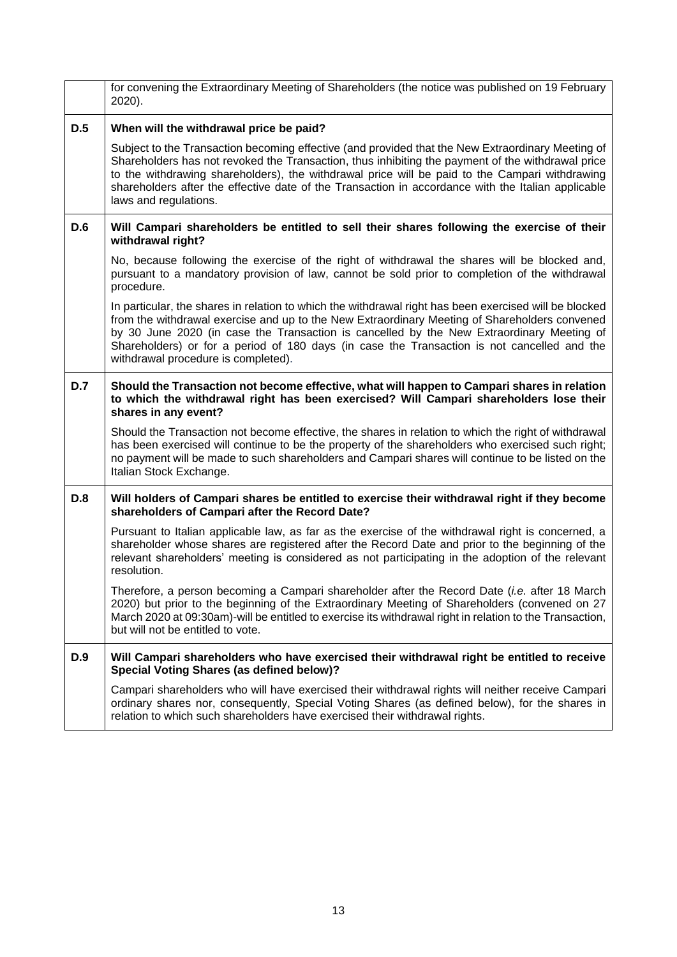|            | for convening the Extraordinary Meeting of Shareholders (the notice was published on 19 February<br>2020).                                                                                                                                                                                                                                                                                                                                 |
|------------|--------------------------------------------------------------------------------------------------------------------------------------------------------------------------------------------------------------------------------------------------------------------------------------------------------------------------------------------------------------------------------------------------------------------------------------------|
| D.5        | When will the withdrawal price be paid?                                                                                                                                                                                                                                                                                                                                                                                                    |
|            | Subject to the Transaction becoming effective (and provided that the New Extraordinary Meeting of<br>Shareholders has not revoked the Transaction, thus inhibiting the payment of the withdrawal price<br>to the withdrawing shareholders), the withdrawal price will be paid to the Campari withdrawing<br>shareholders after the effective date of the Transaction in accordance with the Italian applicable<br>laws and regulations.    |
| D.6        | Will Campari shareholders be entitled to sell their shares following the exercise of their<br>withdrawal right?                                                                                                                                                                                                                                                                                                                            |
|            | No, because following the exercise of the right of withdrawal the shares will be blocked and,<br>pursuant to a mandatory provision of law, cannot be sold prior to completion of the withdrawal<br>procedure.                                                                                                                                                                                                                              |
|            | In particular, the shares in relation to which the withdrawal right has been exercised will be blocked<br>from the withdrawal exercise and up to the New Extraordinary Meeting of Shareholders convened<br>by 30 June 2020 (in case the Transaction is cancelled by the New Extraordinary Meeting of<br>Shareholders) or for a period of 180 days (in case the Transaction is not cancelled and the<br>withdrawal procedure is completed). |
| D.7        | Should the Transaction not become effective, what will happen to Campari shares in relation<br>to which the withdrawal right has been exercised? Will Campari shareholders lose their<br>shares in any event?                                                                                                                                                                                                                              |
|            | Should the Transaction not become effective, the shares in relation to which the right of withdrawal<br>has been exercised will continue to be the property of the shareholders who exercised such right;<br>no payment will be made to such shareholders and Campari shares will continue to be listed on the<br>Italian Stock Exchange.                                                                                                  |
| <b>D.8</b> | Will holders of Campari shares be entitled to exercise their withdrawal right if they become<br>shareholders of Campari after the Record Date?                                                                                                                                                                                                                                                                                             |
|            | Pursuant to Italian applicable law, as far as the exercise of the withdrawal right is concerned, a<br>shareholder whose shares are registered after the Record Date and prior to the beginning of the<br>relevant shareholders' meeting is considered as not participating in the adoption of the relevant<br>resolution.                                                                                                                  |
|            | Therefore, a person becoming a Campari shareholder after the Record Date (i.e. after 18 March<br>2020) but prior to the beginning of the Extraordinary Meeting of Shareholders (convened on 27<br>March 2020 at 09:30am)-will be entitled to exercise its withdrawal right in relation to the Transaction,<br>but will not be entitled to vote.                                                                                            |
| <b>D.9</b> | Will Campari shareholders who have exercised their withdrawal right be entitled to receive<br>Special Voting Shares (as defined below)?                                                                                                                                                                                                                                                                                                    |
|            | Campari shareholders who will have exercised their withdrawal rights will neither receive Campari<br>ordinary shares nor, consequently, Special Voting Shares (as defined below), for the shares in<br>relation to which such shareholders have exercised their withdrawal rights.                                                                                                                                                         |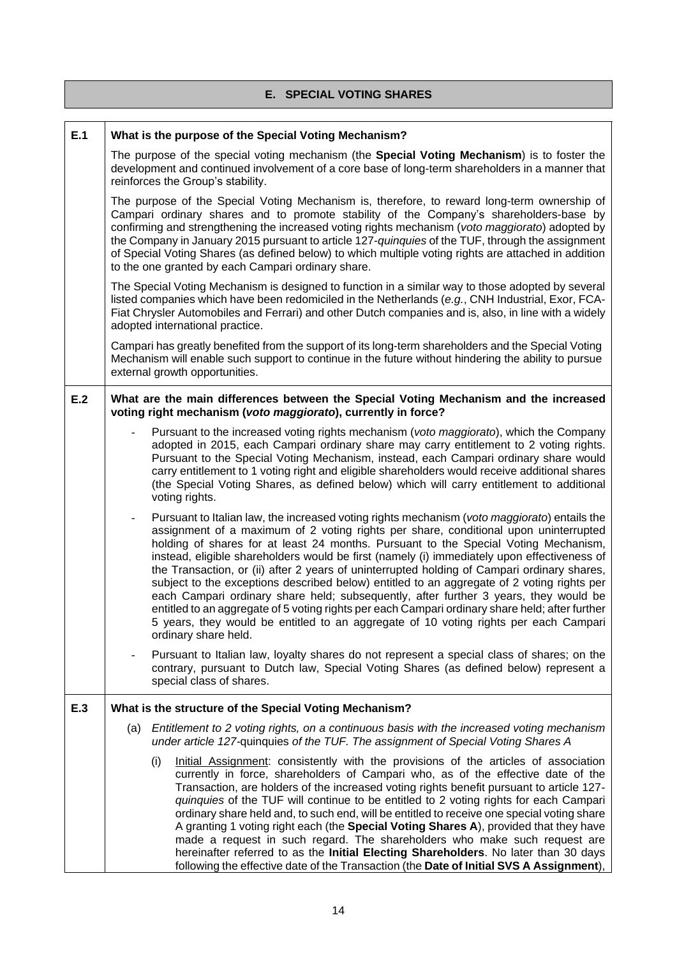## **E. SPECIAL VOTING SHARES**

| E.1 | What is the purpose of the Special Voting Mechanism?                                                                                                                                                                                                                                                                                                                                                                                                                                                                                                                                                                                                                                                                                                                                                                                                                                                           |  |  |
|-----|----------------------------------------------------------------------------------------------------------------------------------------------------------------------------------------------------------------------------------------------------------------------------------------------------------------------------------------------------------------------------------------------------------------------------------------------------------------------------------------------------------------------------------------------------------------------------------------------------------------------------------------------------------------------------------------------------------------------------------------------------------------------------------------------------------------------------------------------------------------------------------------------------------------|--|--|
|     | The purpose of the special voting mechanism (the <b>Special Voting Mechanism</b> ) is to foster the<br>development and continued involvement of a core base of long-term shareholders in a manner that<br>reinforces the Group's stability.                                                                                                                                                                                                                                                                                                                                                                                                                                                                                                                                                                                                                                                                    |  |  |
|     | The purpose of the Special Voting Mechanism is, therefore, to reward long-term ownership of<br>Campari ordinary shares and to promote stability of the Company's shareholders-base by<br>confirming and strengthening the increased voting rights mechanism (voto maggiorato) adopted by<br>the Company in January 2015 pursuant to article 127-quinquies of the TUF, through the assignment<br>of Special Voting Shares (as defined below) to which multiple voting rights are attached in addition<br>to the one granted by each Campari ordinary share.                                                                                                                                                                                                                                                                                                                                                     |  |  |
|     | The Special Voting Mechanism is designed to function in a similar way to those adopted by several<br>listed companies which have been redomiciled in the Netherlands (e.g., CNH Industrial, Exor, FCA-<br>Fiat Chrysler Automobiles and Ferrari) and other Dutch companies and is, also, in line with a widely<br>adopted international practice.                                                                                                                                                                                                                                                                                                                                                                                                                                                                                                                                                              |  |  |
|     | Campari has greatly benefited from the support of its long-term shareholders and the Special Voting<br>Mechanism will enable such support to continue in the future without hindering the ability to pursue<br>external growth opportunities.                                                                                                                                                                                                                                                                                                                                                                                                                                                                                                                                                                                                                                                                  |  |  |
| E.2 | What are the main differences between the Special Voting Mechanism and the increased<br>voting right mechanism (voto maggiorato), currently in force?                                                                                                                                                                                                                                                                                                                                                                                                                                                                                                                                                                                                                                                                                                                                                          |  |  |
|     | Pursuant to the increased voting rights mechanism (voto maggiorato), which the Company<br>adopted in 2015, each Campari ordinary share may carry entitlement to 2 voting rights.<br>Pursuant to the Special Voting Mechanism, instead, each Campari ordinary share would<br>carry entitlement to 1 voting right and eligible shareholders would receive additional shares<br>(the Special Voting Shares, as defined below) which will carry entitlement to additional<br>voting rights.                                                                                                                                                                                                                                                                                                                                                                                                                        |  |  |
|     | Pursuant to Italian law, the increased voting rights mechanism (voto maggiorato) entails the<br>$\overline{\phantom{0}}$<br>assignment of a maximum of 2 voting rights per share, conditional upon uninterrupted<br>holding of shares for at least 24 months. Pursuant to the Special Voting Mechanism,<br>instead, eligible shareholders would be first (namely (i) immediately upon effectiveness of<br>the Transaction, or (ii) after 2 years of uninterrupted holding of Campari ordinary shares,<br>subject to the exceptions described below) entitled to an aggregate of 2 voting rights per<br>each Campari ordinary share held; subsequently, after further 3 years, they would be<br>entitled to an aggregate of 5 voting rights per each Campari ordinary share held; after further<br>5 years, they would be entitled to an aggregate of 10 voting rights per each Campari<br>ordinary share held. |  |  |
|     | Pursuant to Italian law, loyalty shares do not represent a special class of shares; on the<br>contrary, pursuant to Dutch law, Special Voting Shares (as defined below) represent a<br>special class of shares.                                                                                                                                                                                                                                                                                                                                                                                                                                                                                                                                                                                                                                                                                                |  |  |
| E.3 | What is the structure of the Special Voting Mechanism?                                                                                                                                                                                                                                                                                                                                                                                                                                                                                                                                                                                                                                                                                                                                                                                                                                                         |  |  |
|     | Entitlement to 2 voting rights, on a continuous basis with the increased voting mechanism<br>(a)<br>under article 127-quinquies of the TUF. The assignment of Special Voting Shares A                                                                                                                                                                                                                                                                                                                                                                                                                                                                                                                                                                                                                                                                                                                          |  |  |
|     | (i)<br>Initial Assignment: consistently with the provisions of the articles of association<br>currently in force, shareholders of Campari who, as of the effective date of the<br>Transaction, are holders of the increased voting rights benefit pursuant to article 127-<br>quinquies of the TUF will continue to be entitled to 2 voting rights for each Campari<br>ordinary share held and, to such end, will be entitled to receive one special voting share<br>A granting 1 voting right each (the Special Voting Shares A), provided that they have<br>made a request in such regard. The shareholders who make such request are<br>hereinafter referred to as the Initial Electing Shareholders. No later than 30 days<br>following the effective date of the Transaction (the Date of Initial SVS A Assignment),                                                                                      |  |  |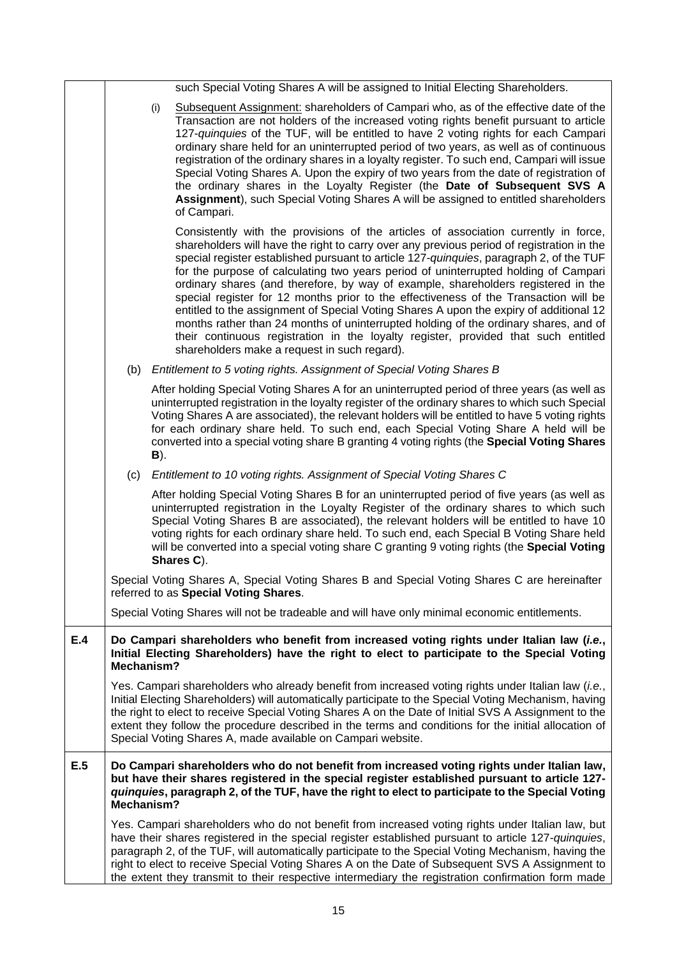|     |                                                                                                                                                                                                        | such Special Voting Shares A will be assigned to Initial Electing Shareholders.                                                                                                                                                                                                                                                                                                                                                                                                                                                                                                                                                                                                                                                                                                                                                                                         |
|-----|--------------------------------------------------------------------------------------------------------------------------------------------------------------------------------------------------------|-------------------------------------------------------------------------------------------------------------------------------------------------------------------------------------------------------------------------------------------------------------------------------------------------------------------------------------------------------------------------------------------------------------------------------------------------------------------------------------------------------------------------------------------------------------------------------------------------------------------------------------------------------------------------------------------------------------------------------------------------------------------------------------------------------------------------------------------------------------------------|
|     |                                                                                                                                                                                                        | Subsequent Assignment: shareholders of Campari who, as of the effective date of the<br>(i)<br>Transaction are not holders of the increased voting rights benefit pursuant to article<br>127-quinquies of the TUF, will be entitled to have 2 voting rights for each Campari<br>ordinary share held for an uninterrupted period of two years, as well as of continuous<br>registration of the ordinary shares in a loyalty register. To such end, Campari will issue<br>Special Voting Shares A. Upon the expiry of two years from the date of registration of<br>the ordinary shares in the Loyalty Register (the Date of Subsequent SVS A<br>Assignment), such Special Voting Shares A will be assigned to entitled shareholders<br>of Campari.                                                                                                                        |
|     |                                                                                                                                                                                                        | Consistently with the provisions of the articles of association currently in force,<br>shareholders will have the right to carry over any previous period of registration in the<br>special register established pursuant to article 127-quinquies, paragraph 2, of the TUF<br>for the purpose of calculating two years period of uninterrupted holding of Campari<br>ordinary shares (and therefore, by way of example, shareholders registered in the<br>special register for 12 months prior to the effectiveness of the Transaction will be<br>entitled to the assignment of Special Voting Shares A upon the expiry of additional 12<br>months rather than 24 months of uninterrupted holding of the ordinary shares, and of<br>their continuous registration in the loyalty register, provided that such entitled<br>shareholders make a request in such regard). |
|     |                                                                                                                                                                                                        | (b) Entitlement to 5 voting rights. Assignment of Special Voting Shares B                                                                                                                                                                                                                                                                                                                                                                                                                                                                                                                                                                                                                                                                                                                                                                                               |
|     |                                                                                                                                                                                                        | After holding Special Voting Shares A for an uninterrupted period of three years (as well as<br>uninterrupted registration in the loyalty register of the ordinary shares to which such Special<br>Voting Shares A are associated), the relevant holders will be entitled to have 5 voting rights<br>for each ordinary share held. To such end, each Special Voting Share A held will be<br>converted into a special voting share B granting 4 voting rights (the Special Voting Shares<br><b>B</b> ).                                                                                                                                                                                                                                                                                                                                                                  |
|     | (c)                                                                                                                                                                                                    | Entitlement to 10 voting rights. Assignment of Special Voting Shares C                                                                                                                                                                                                                                                                                                                                                                                                                                                                                                                                                                                                                                                                                                                                                                                                  |
|     |                                                                                                                                                                                                        | After holding Special Voting Shares B for an uninterrupted period of five years (as well as<br>uninterrupted registration in the Loyalty Register of the ordinary shares to which such<br>Special Voting Shares B are associated), the relevant holders will be entitled to have 10<br>voting rights for each ordinary share held. To such end, each Special B Voting Share held<br>will be converted into a special voting share C granting 9 voting rights (the Special Voting<br>Shares C).                                                                                                                                                                                                                                                                                                                                                                          |
|     |                                                                                                                                                                                                        | Special Voting Shares A, Special Voting Shares B and Special Voting Shares C are hereinafter<br>referred to as Special Voting Shares.                                                                                                                                                                                                                                                                                                                                                                                                                                                                                                                                                                                                                                                                                                                                   |
|     |                                                                                                                                                                                                        | Special Voting Shares will not be tradeable and will have only minimal economic entitlements.                                                                                                                                                                                                                                                                                                                                                                                                                                                                                                                                                                                                                                                                                                                                                                           |
| E.4 | Do Campari shareholders who benefit from increased voting rights under Italian law (i.e.,<br>Initial Electing Shareholders) have the right to elect to participate to the Special Voting<br>Mechanism? |                                                                                                                                                                                                                                                                                                                                                                                                                                                                                                                                                                                                                                                                                                                                                                                                                                                                         |
|     |                                                                                                                                                                                                        | Yes. Campari shareholders who already benefit from increased voting rights under Italian law (i.e.,<br>Initial Electing Shareholders) will automatically participate to the Special Voting Mechanism, having<br>the right to elect to receive Special Voting Shares A on the Date of Initial SVS A Assignment to the<br>extent they follow the procedure described in the terms and conditions for the initial allocation of<br>Special Voting Shares A, made available on Campari website.                                                                                                                                                                                                                                                                                                                                                                             |
| E.5 | Mechanism?                                                                                                                                                                                             | Do Campari shareholders who do not benefit from increased voting rights under Italian law,<br>but have their shares registered in the special register established pursuant to article 127-<br>quinquies, paragraph 2, of the TUF, have the right to elect to participate to the Special Voting                                                                                                                                                                                                                                                                                                                                                                                                                                                                                                                                                                         |
|     |                                                                                                                                                                                                        | Yes. Campari shareholders who do not benefit from increased voting rights under Italian law, but<br>have their shares registered in the special register established pursuant to article 127-quinquies,<br>paragraph 2, of the TUF, will automatically participate to the Special Voting Mechanism, having the<br>right to elect to receive Special Voting Shares A on the Date of Subsequent SVS A Assignment to<br>the extent they transmit to their respective intermediary the registration confirmation form made                                                                                                                                                                                                                                                                                                                                                  |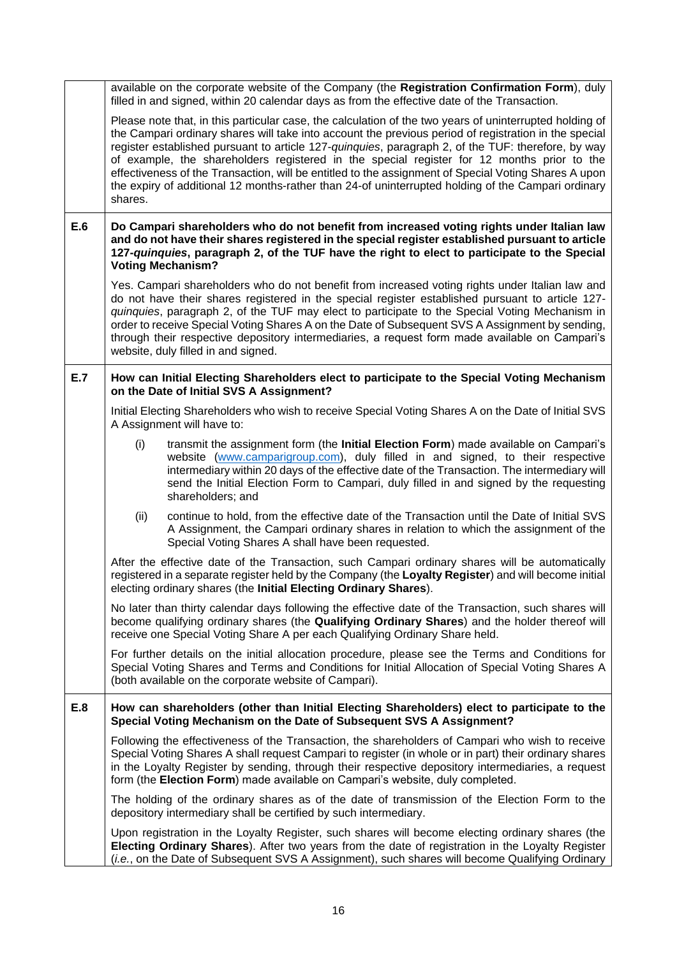|     | available on the corporate website of the Company (the Registration Confirmation Form), duly<br>filled in and signed, within 20 calendar days as from the effective date of the Transaction.                                                                                                                                                                                                                                                                                                                                                                                                                                                  |  |
|-----|-----------------------------------------------------------------------------------------------------------------------------------------------------------------------------------------------------------------------------------------------------------------------------------------------------------------------------------------------------------------------------------------------------------------------------------------------------------------------------------------------------------------------------------------------------------------------------------------------------------------------------------------------|--|
|     | Please note that, in this particular case, the calculation of the two years of uninterrupted holding of<br>the Campari ordinary shares will take into account the previous period of registration in the special<br>register established pursuant to article 127-quinquies, paragraph 2, of the TUF: therefore, by way<br>of example, the shareholders registered in the special register for 12 months prior to the<br>effectiveness of the Transaction, will be entitled to the assignment of Special Voting Shares A upon<br>the expiry of additional 12 months-rather than 24-of uninterrupted holding of the Campari ordinary<br>shares. |  |
| E.6 | Do Campari shareholders who do not benefit from increased voting rights under Italian law<br>and do not have their shares registered in the special register established pursuant to article<br>127-quinquies, paragraph 2, of the TUF have the right to elect to participate to the Special<br><b>Voting Mechanism?</b>                                                                                                                                                                                                                                                                                                                      |  |
|     | Yes. Campari shareholders who do not benefit from increased voting rights under Italian law and<br>do not have their shares registered in the special register established pursuant to article 127-<br>quinquies, paragraph 2, of the TUF may elect to participate to the Special Voting Mechanism in<br>order to receive Special Voting Shares A on the Date of Subsequent SVS A Assignment by sending,<br>through their respective depository intermediaries, a request form made available on Campari's<br>website, duly filled in and signed.                                                                                             |  |
| E.7 | How can Initial Electing Shareholders elect to participate to the Special Voting Mechanism<br>on the Date of Initial SVS A Assignment?                                                                                                                                                                                                                                                                                                                                                                                                                                                                                                        |  |
|     | Initial Electing Shareholders who wish to receive Special Voting Shares A on the Date of Initial SVS<br>A Assignment will have to:                                                                                                                                                                                                                                                                                                                                                                                                                                                                                                            |  |
|     | (i)<br>transmit the assignment form (the Initial Election Form) made available on Campari's<br>website (www.camparigroup.com), duly filled in and signed, to their respective<br>intermediary within 20 days of the effective date of the Transaction. The intermediary will<br>send the Initial Election Form to Campari, duly filled in and signed by the requesting<br>shareholders; and                                                                                                                                                                                                                                                   |  |
|     | continue to hold, from the effective date of the Transaction until the Date of Initial SVS<br>(ii)<br>A Assignment, the Campari ordinary shares in relation to which the assignment of the<br>Special Voting Shares A shall have been requested.                                                                                                                                                                                                                                                                                                                                                                                              |  |
|     | After the effective date of the Transaction, such Campari ordinary shares will be automatically<br>registered in a separate register held by the Company (the Loyalty Register) and will become initial<br>electing ordinary shares (the Initial Electing Ordinary Shares).                                                                                                                                                                                                                                                                                                                                                                   |  |
|     | No later than thirty calendar days following the effective date of the Transaction, such shares will<br>become qualifying ordinary shares (the Qualifying Ordinary Shares) and the holder thereof will<br>receive one Special Voting Share A per each Qualifying Ordinary Share held.                                                                                                                                                                                                                                                                                                                                                         |  |
|     | For further details on the initial allocation procedure, please see the Terms and Conditions for<br>Special Voting Shares and Terms and Conditions for Initial Allocation of Special Voting Shares A<br>(both available on the corporate website of Campari).                                                                                                                                                                                                                                                                                                                                                                                 |  |
| E.8 | How can shareholders (other than Initial Electing Shareholders) elect to participate to the<br>Special Voting Mechanism on the Date of Subsequent SVS A Assignment?                                                                                                                                                                                                                                                                                                                                                                                                                                                                           |  |
|     | Following the effectiveness of the Transaction, the shareholders of Campari who wish to receive<br>Special Voting Shares A shall request Campari to register (in whole or in part) their ordinary shares<br>in the Loyalty Register by sending, through their respective depository intermediaries, a request<br>form (the Election Form) made available on Campari's website, duly completed.                                                                                                                                                                                                                                                |  |
|     | The holding of the ordinary shares as of the date of transmission of the Election Form to the<br>depository intermediary shall be certified by such intermediary.                                                                                                                                                                                                                                                                                                                                                                                                                                                                             |  |
|     | Upon registration in the Loyalty Register, such shares will become electing ordinary shares (the<br>Electing Ordinary Shares). After two years from the date of registration in the Loyalty Register<br>(i.e., on the Date of Subsequent SVS A Assignment), such shares will become Qualifying Ordinary                                                                                                                                                                                                                                                                                                                                       |  |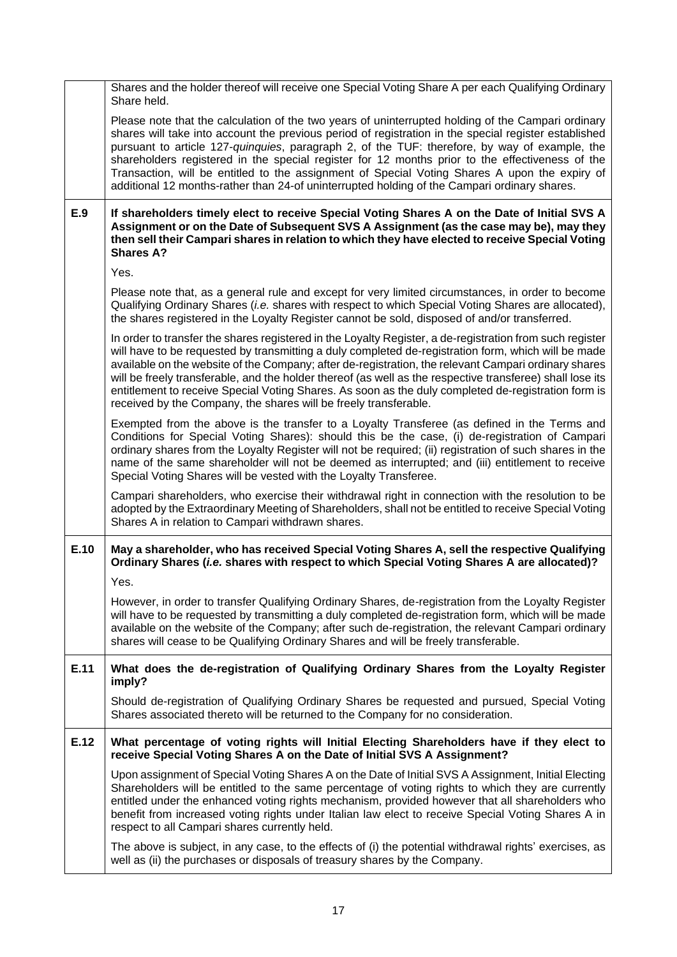|      | Shares and the holder thereof will receive one Special Voting Share A per each Qualifying Ordinary<br>Share held.                                                                                                                                                                                                                                                                                                                                                                                                                                                                                                |  |  |
|------|------------------------------------------------------------------------------------------------------------------------------------------------------------------------------------------------------------------------------------------------------------------------------------------------------------------------------------------------------------------------------------------------------------------------------------------------------------------------------------------------------------------------------------------------------------------------------------------------------------------|--|--|
|      | Please note that the calculation of the two years of uninterrupted holding of the Campari ordinary<br>shares will take into account the previous period of registration in the special register established<br>pursuant to article 127-quinquies, paragraph 2, of the TUF: therefore, by way of example, the<br>shareholders registered in the special register for 12 months prior to the effectiveness of the<br>Transaction, will be entitled to the assignment of Special Voting Shares A upon the expiry of<br>additional 12 months-rather than 24-of uninterrupted holding of the Campari ordinary shares. |  |  |
| E.9  | If shareholders timely elect to receive Special Voting Shares A on the Date of Initial SVS A<br>Assignment or on the Date of Subsequent SVS A Assignment (as the case may be), may they<br>then sell their Campari shares in relation to which they have elected to receive Special Voting<br><b>Shares A?</b>                                                                                                                                                                                                                                                                                                   |  |  |
|      | Yes.                                                                                                                                                                                                                                                                                                                                                                                                                                                                                                                                                                                                             |  |  |
|      | Please note that, as a general rule and except for very limited circumstances, in order to become<br>Qualifying Ordinary Shares (i.e. shares with respect to which Special Voting Shares are allocated),<br>the shares registered in the Loyalty Register cannot be sold, disposed of and/or transferred.                                                                                                                                                                                                                                                                                                        |  |  |
|      | In order to transfer the shares registered in the Loyalty Register, a de-registration from such register<br>will have to be requested by transmitting a duly completed de-registration form, which will be made<br>available on the website of the Company; after de-registration, the relevant Campari ordinary shares<br>will be freely transferable, and the holder thereof (as well as the respective transferee) shall lose its<br>entitlement to receive Special Voting Shares. As soon as the duly completed de-registration form is<br>received by the Company, the shares will be freely transferable.  |  |  |
|      | Exempted from the above is the transfer to a Loyalty Transferee (as defined in the Terms and<br>Conditions for Special Voting Shares): should this be the case, (i) de-registration of Campari<br>ordinary shares from the Loyalty Register will not be required; (ii) registration of such shares in the<br>name of the same shareholder will not be deemed as interrupted; and (iii) entitlement to receive<br>Special Voting Shares will be vested with the Loyalty Transferee.                                                                                                                               |  |  |
|      | Campari shareholders, who exercise their withdrawal right in connection with the resolution to be<br>adopted by the Extraordinary Meeting of Shareholders, shall not be entitled to receive Special Voting<br>Shares A in relation to Campari withdrawn shares.                                                                                                                                                                                                                                                                                                                                                  |  |  |
| E.10 | May a shareholder, who has received Special Voting Shares A, sell the respective Qualifying<br>Ordinary Shares (i.e. shares with respect to which Special Voting Shares A are allocated)?                                                                                                                                                                                                                                                                                                                                                                                                                        |  |  |
|      |                                                                                                                                                                                                                                                                                                                                                                                                                                                                                                                                                                                                                  |  |  |
|      | Yes.                                                                                                                                                                                                                                                                                                                                                                                                                                                                                                                                                                                                             |  |  |
|      | However, in order to transfer Qualifying Ordinary Shares, de-registration from the Loyalty Register<br>will have to be requested by transmitting a duly completed de-registration form, which will be made<br>available on the website of the Company; after such de-registration, the relevant Campari ordinary<br>shares will cease to be Qualifying Ordinary Shares and will be freely transferable.                                                                                                                                                                                                          |  |  |
| E.11 | What does the de-registration of Qualifying Ordinary Shares from the Loyalty Register<br>imply?                                                                                                                                                                                                                                                                                                                                                                                                                                                                                                                  |  |  |
|      | Should de-registration of Qualifying Ordinary Shares be requested and pursued, Special Voting<br>Shares associated thereto will be returned to the Company for no consideration.                                                                                                                                                                                                                                                                                                                                                                                                                                 |  |  |
| E.12 | What percentage of voting rights will Initial Electing Shareholders have if they elect to<br>receive Special Voting Shares A on the Date of Initial SVS A Assignment?                                                                                                                                                                                                                                                                                                                                                                                                                                            |  |  |
|      | Upon assignment of Special Voting Shares A on the Date of Initial SVS A Assignment, Initial Electing<br>Shareholders will be entitled to the same percentage of voting rights to which they are currently<br>entitled under the enhanced voting rights mechanism, provided however that all shareholders who<br>benefit from increased voting rights under Italian law elect to receive Special Voting Shares A in<br>respect to all Campari shares currently held.                                                                                                                                              |  |  |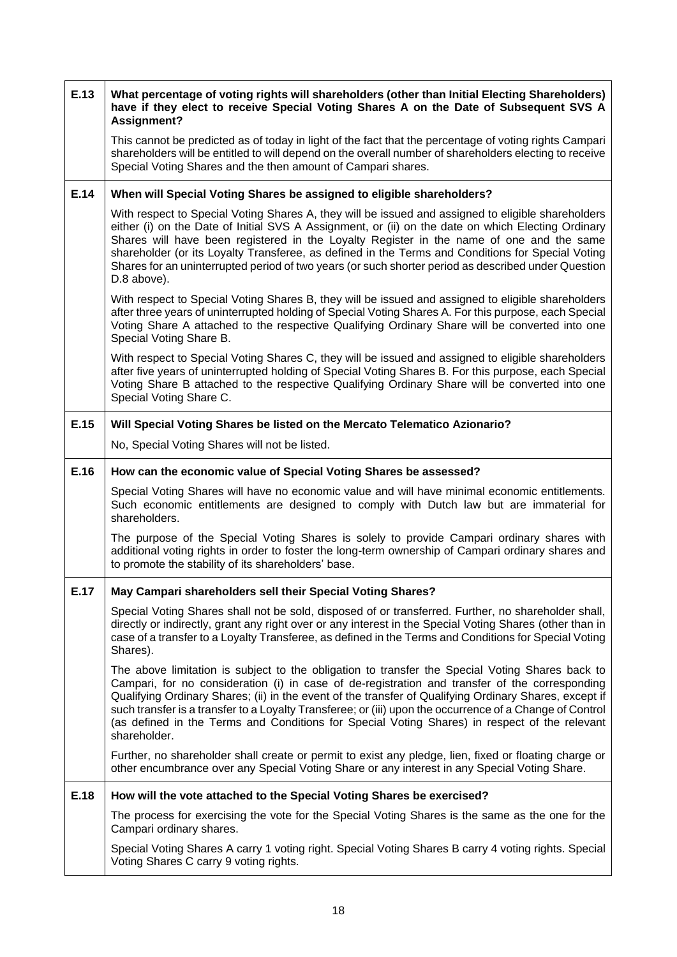| E.13 | What percentage of voting rights will shareholders (other than Initial Electing Shareholders)<br>have if they elect to receive Special Voting Shares A on the Date of Subsequent SVS A<br>Assignment?                                                                                                                                                                                                                                                                                                                                    |  |
|------|------------------------------------------------------------------------------------------------------------------------------------------------------------------------------------------------------------------------------------------------------------------------------------------------------------------------------------------------------------------------------------------------------------------------------------------------------------------------------------------------------------------------------------------|--|
|      | This cannot be predicted as of today in light of the fact that the percentage of voting rights Campari<br>shareholders will be entitled to will depend on the overall number of shareholders electing to receive<br>Special Voting Shares and the then amount of Campari shares.                                                                                                                                                                                                                                                         |  |
| E.14 | When will Special Voting Shares be assigned to eligible shareholders?                                                                                                                                                                                                                                                                                                                                                                                                                                                                    |  |
|      | With respect to Special Voting Shares A, they will be issued and assigned to eligible shareholders<br>either (i) on the Date of Initial SVS A Assignment, or (ii) on the date on which Electing Ordinary<br>Shares will have been registered in the Loyalty Register in the name of one and the same<br>shareholder (or its Loyalty Transferee, as defined in the Terms and Conditions for Special Voting<br>Shares for an uninterrupted period of two years (or such shorter period as described under Question<br>D.8 above).          |  |
|      | With respect to Special Voting Shares B, they will be issued and assigned to eligible shareholders<br>after three years of uninterrupted holding of Special Voting Shares A. For this purpose, each Special<br>Voting Share A attached to the respective Qualifying Ordinary Share will be converted into one<br>Special Voting Share B.                                                                                                                                                                                                 |  |
|      | With respect to Special Voting Shares C, they will be issued and assigned to eligible shareholders<br>after five years of uninterrupted holding of Special Voting Shares B. For this purpose, each Special<br>Voting Share B attached to the respective Qualifying Ordinary Share will be converted into one<br>Special Voting Share C.                                                                                                                                                                                                  |  |
| E.15 | Will Special Voting Shares be listed on the Mercato Telematico Azionario?                                                                                                                                                                                                                                                                                                                                                                                                                                                                |  |
|      | No, Special Voting Shares will not be listed.                                                                                                                                                                                                                                                                                                                                                                                                                                                                                            |  |
| E.16 | How can the economic value of Special Voting Shares be assessed?                                                                                                                                                                                                                                                                                                                                                                                                                                                                         |  |
|      | Special Voting Shares will have no economic value and will have minimal economic entitlements.<br>Such economic entitlements are designed to comply with Dutch law but are immaterial for<br>shareholders.                                                                                                                                                                                                                                                                                                                               |  |
|      | The purpose of the Special Voting Shares is solely to provide Campari ordinary shares with<br>additional voting rights in order to foster the long-term ownership of Campari ordinary shares and<br>to promote the stability of its shareholders' base.                                                                                                                                                                                                                                                                                  |  |
| E.17 | May Campari shareholders sell their Special Voting Shares?                                                                                                                                                                                                                                                                                                                                                                                                                                                                               |  |
|      | Special Voting Shares shall not be sold, disposed of or transferred. Further, no shareholder shall,<br>directly or indirectly, grant any right over or any interest in the Special Voting Shares (other than in<br>case of a transfer to a Loyalty Transferee, as defined in the Terms and Conditions for Special Voting<br>Shares).                                                                                                                                                                                                     |  |
|      | The above limitation is subject to the obligation to transfer the Special Voting Shares back to<br>Campari, for no consideration (i) in case of de-registration and transfer of the corresponding<br>Qualifying Ordinary Shares; (ii) in the event of the transfer of Qualifying Ordinary Shares, except if<br>such transfer is a transfer to a Loyalty Transferee; or (iii) upon the occurrence of a Change of Control<br>(as defined in the Terms and Conditions for Special Voting Shares) in respect of the relevant<br>shareholder. |  |
|      | Further, no shareholder shall create or permit to exist any pledge, lien, fixed or floating charge or<br>other encumbrance over any Special Voting Share or any interest in any Special Voting Share.                                                                                                                                                                                                                                                                                                                                    |  |
| E.18 | How will the vote attached to the Special Voting Shares be exercised?                                                                                                                                                                                                                                                                                                                                                                                                                                                                    |  |
|      | The process for exercising the vote for the Special Voting Shares is the same as the one for the<br>Campari ordinary shares.                                                                                                                                                                                                                                                                                                                                                                                                             |  |
|      | Special Voting Shares A carry 1 voting right. Special Voting Shares B carry 4 voting rights. Special<br>Voting Shares C carry 9 voting rights.                                                                                                                                                                                                                                                                                                                                                                                           |  |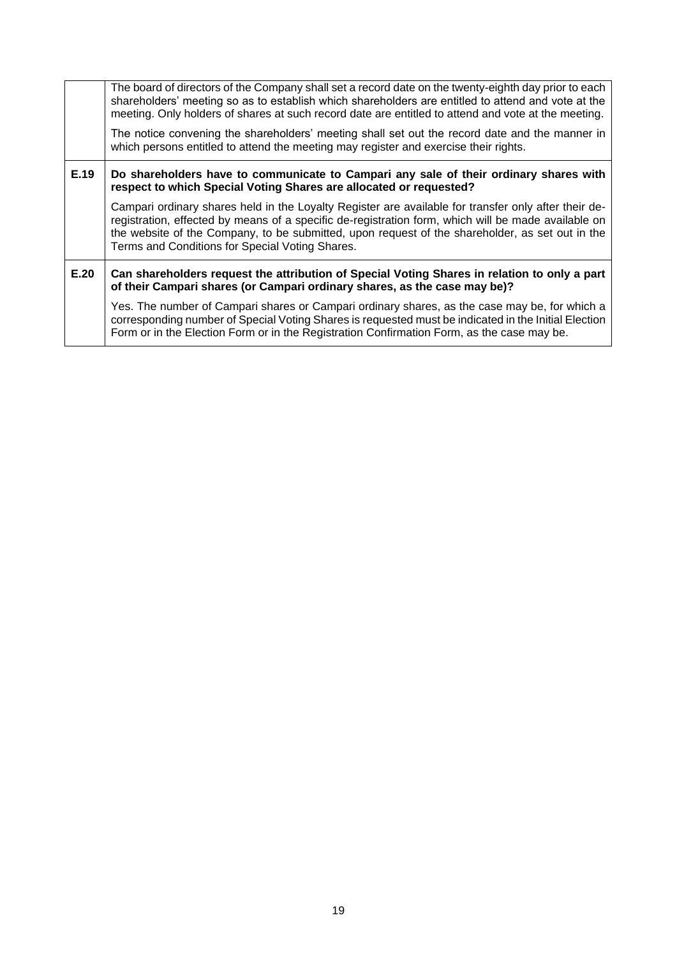|      | The board of directors of the Company shall set a record date on the twenty-eighth day prior to each<br>shareholders' meeting so as to establish which shareholders are entitled to attend and vote at the<br>meeting. Only holders of shares at such record date are entitled to attend and vote at the meeting.                                                 |  |
|------|-------------------------------------------------------------------------------------------------------------------------------------------------------------------------------------------------------------------------------------------------------------------------------------------------------------------------------------------------------------------|--|
|      | The notice convening the shareholders' meeting shall set out the record date and the manner in<br>which persons entitled to attend the meeting may register and exercise their rights.                                                                                                                                                                            |  |
| E.19 | Do shareholders have to communicate to Campari any sale of their ordinary shares with<br>respect to which Special Voting Shares are allocated or requested?                                                                                                                                                                                                       |  |
|      | Campari ordinary shares held in the Loyalty Register are available for transfer only after their de-<br>registration, effected by means of a specific de-registration form, which will be made available on<br>the website of the Company, to be submitted, upon request of the shareholder, as set out in the<br>Terms and Conditions for Special Voting Shares. |  |
| E.20 | Can shareholders request the attribution of Special Voting Shares in relation to only a part<br>of their Campari shares (or Campari ordinary shares, as the case may be)?                                                                                                                                                                                         |  |
|      | Yes. The number of Campari shares or Campari ordinary shares, as the case may be, for which a<br>corresponding number of Special Voting Shares is requested must be indicated in the Initial Election<br>Form or in the Election Form or in the Registration Confirmation Form, as the case may be.                                                               |  |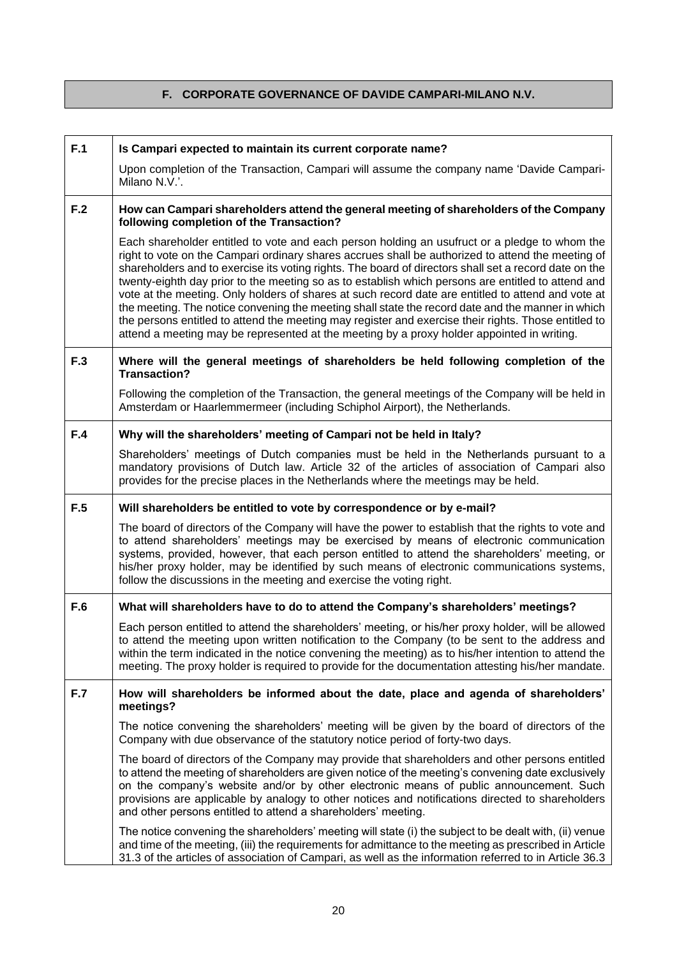## **F. CORPORATE GOVERNANCE OF DAVIDE CAMPARI-MILANO N.V.**

| F.1 | Is Campari expected to maintain its current corporate name?                                                                                                                                                                                                                                                                                                                                                                                                                                                                                                                                                                                                                                                                                                                                                                        |  |
|-----|------------------------------------------------------------------------------------------------------------------------------------------------------------------------------------------------------------------------------------------------------------------------------------------------------------------------------------------------------------------------------------------------------------------------------------------------------------------------------------------------------------------------------------------------------------------------------------------------------------------------------------------------------------------------------------------------------------------------------------------------------------------------------------------------------------------------------------|--|
|     | Upon completion of the Transaction, Campari will assume the company name 'Davide Campari-<br>Milano N.V.'.                                                                                                                                                                                                                                                                                                                                                                                                                                                                                                                                                                                                                                                                                                                         |  |
| F.2 | How can Campari shareholders attend the general meeting of shareholders of the Company<br>following completion of the Transaction?                                                                                                                                                                                                                                                                                                                                                                                                                                                                                                                                                                                                                                                                                                 |  |
|     | Each shareholder entitled to vote and each person holding an usufruct or a pledge to whom the<br>right to vote on the Campari ordinary shares accrues shall be authorized to attend the meeting of<br>shareholders and to exercise its voting rights. The board of directors shall set a record date on the<br>twenty-eighth day prior to the meeting so as to establish which persons are entitled to attend and<br>vote at the meeting. Only holders of shares at such record date are entitled to attend and vote at<br>the meeting. The notice convening the meeting shall state the record date and the manner in which<br>the persons entitled to attend the meeting may register and exercise their rights. Those entitled to<br>attend a meeting may be represented at the meeting by a proxy holder appointed in writing. |  |
| F.3 | Where will the general meetings of shareholders be held following completion of the<br><b>Transaction?</b>                                                                                                                                                                                                                                                                                                                                                                                                                                                                                                                                                                                                                                                                                                                         |  |
|     | Following the completion of the Transaction, the general meetings of the Company will be held in<br>Amsterdam or Haarlemmermeer (including Schiphol Airport), the Netherlands.                                                                                                                                                                                                                                                                                                                                                                                                                                                                                                                                                                                                                                                     |  |
| F.4 | Why will the shareholders' meeting of Campari not be held in Italy?                                                                                                                                                                                                                                                                                                                                                                                                                                                                                                                                                                                                                                                                                                                                                                |  |
|     | Shareholders' meetings of Dutch companies must be held in the Netherlands pursuant to a<br>mandatory provisions of Dutch law. Article 32 of the articles of association of Campari also<br>provides for the precise places in the Netherlands where the meetings may be held.                                                                                                                                                                                                                                                                                                                                                                                                                                                                                                                                                      |  |
| F.5 | Will shareholders be entitled to vote by correspondence or by e-mail?                                                                                                                                                                                                                                                                                                                                                                                                                                                                                                                                                                                                                                                                                                                                                              |  |
|     | The board of directors of the Company will have the power to establish that the rights to vote and<br>to attend shareholders' meetings may be exercised by means of electronic communication<br>systems, provided, however, that each person entitled to attend the shareholders' meeting, or<br>his/her proxy holder, may be identified by such means of electronic communications systems,<br>follow the discussions in the meeting and exercise the voting right.                                                                                                                                                                                                                                                                                                                                                               |  |
| F.6 | What will shareholders have to do to attend the Company's shareholders' meetings?                                                                                                                                                                                                                                                                                                                                                                                                                                                                                                                                                                                                                                                                                                                                                  |  |
|     | Each person entitled to attend the shareholders' meeting, or his/her proxy holder, will be allowed<br>to attend the meeting upon written notification to the Company (to be sent to the address and<br>within the term indicated in the notice convening the meeting) as to his/her intention to attend the<br>meeting. The proxy holder is required to provide for the documentation attesting his/her mandate.                                                                                                                                                                                                                                                                                                                                                                                                                   |  |
| F.7 | How will shareholders be informed about the date, place and agenda of shareholders'<br>meetings?                                                                                                                                                                                                                                                                                                                                                                                                                                                                                                                                                                                                                                                                                                                                   |  |
|     | The notice convening the shareholders' meeting will be given by the board of directors of the<br>Company with due observance of the statutory notice period of forty-two days.                                                                                                                                                                                                                                                                                                                                                                                                                                                                                                                                                                                                                                                     |  |
|     | The board of directors of the Company may provide that shareholders and other persons entitled<br>to attend the meeting of shareholders are given notice of the meeting's convening date exclusively<br>on the company's website and/or by other electronic means of public announcement. Such<br>provisions are applicable by analogy to other notices and notifications directed to shareholders<br>and other persons entitled to attend a shareholders' meeting.                                                                                                                                                                                                                                                                                                                                                                |  |
|     | The notice convening the shareholders' meeting will state (i) the subject to be dealt with, (ii) venue<br>and time of the meeting, (iii) the requirements for admittance to the meeting as prescribed in Article                                                                                                                                                                                                                                                                                                                                                                                                                                                                                                                                                                                                                   |  |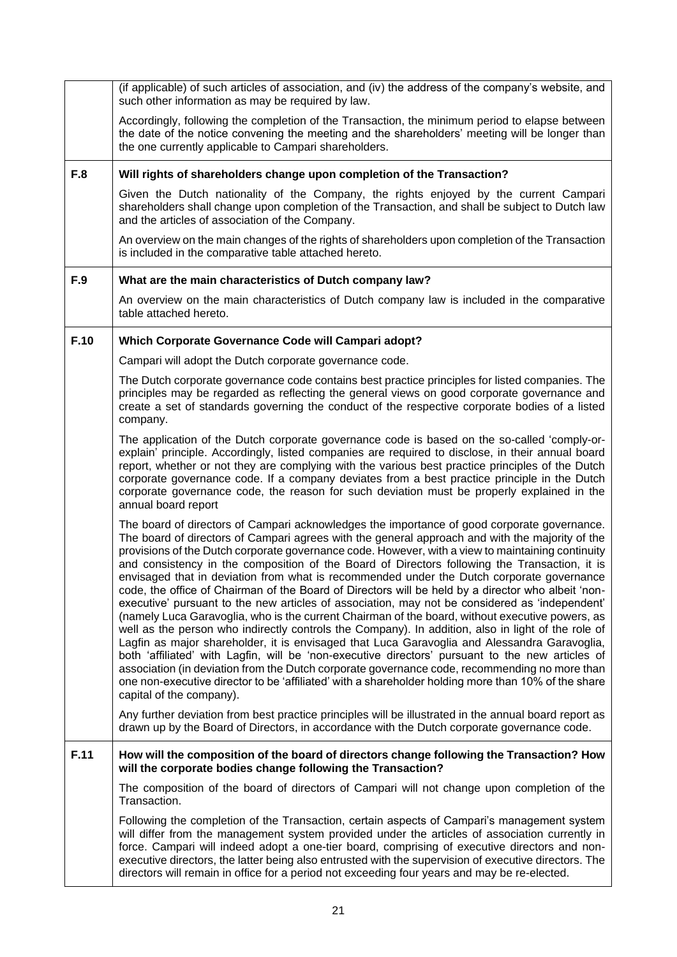|      | (if applicable) of such articles of association, and (iv) the address of the company's website, and<br>such other information as may be required by law.                                                                                                                                                                                                                                                                                                                                                                                                                                                                                                                                                                                                                                                                                                                                                                                                                                                                                                                                                                                                                                                                                                                                                                                                   |  |
|------|------------------------------------------------------------------------------------------------------------------------------------------------------------------------------------------------------------------------------------------------------------------------------------------------------------------------------------------------------------------------------------------------------------------------------------------------------------------------------------------------------------------------------------------------------------------------------------------------------------------------------------------------------------------------------------------------------------------------------------------------------------------------------------------------------------------------------------------------------------------------------------------------------------------------------------------------------------------------------------------------------------------------------------------------------------------------------------------------------------------------------------------------------------------------------------------------------------------------------------------------------------------------------------------------------------------------------------------------------------|--|
|      | Accordingly, following the completion of the Transaction, the minimum period to elapse between<br>the date of the notice convening the meeting and the shareholders' meeting will be longer than<br>the one currently applicable to Campari shareholders.                                                                                                                                                                                                                                                                                                                                                                                                                                                                                                                                                                                                                                                                                                                                                                                                                                                                                                                                                                                                                                                                                                  |  |
| F.8  | Will rights of shareholders change upon completion of the Transaction?                                                                                                                                                                                                                                                                                                                                                                                                                                                                                                                                                                                                                                                                                                                                                                                                                                                                                                                                                                                                                                                                                                                                                                                                                                                                                     |  |
|      | Given the Dutch nationality of the Company, the rights enjoyed by the current Campari<br>shareholders shall change upon completion of the Transaction, and shall be subject to Dutch law<br>and the articles of association of the Company.                                                                                                                                                                                                                                                                                                                                                                                                                                                                                                                                                                                                                                                                                                                                                                                                                                                                                                                                                                                                                                                                                                                |  |
|      | An overview on the main changes of the rights of shareholders upon completion of the Transaction<br>is included in the comparative table attached hereto.                                                                                                                                                                                                                                                                                                                                                                                                                                                                                                                                                                                                                                                                                                                                                                                                                                                                                                                                                                                                                                                                                                                                                                                                  |  |
| F.9  | What are the main characteristics of Dutch company law?                                                                                                                                                                                                                                                                                                                                                                                                                                                                                                                                                                                                                                                                                                                                                                                                                                                                                                                                                                                                                                                                                                                                                                                                                                                                                                    |  |
|      | An overview on the main characteristics of Dutch company law is included in the comparative<br>table attached hereto.                                                                                                                                                                                                                                                                                                                                                                                                                                                                                                                                                                                                                                                                                                                                                                                                                                                                                                                                                                                                                                                                                                                                                                                                                                      |  |
| F.10 | Which Corporate Governance Code will Campari adopt?                                                                                                                                                                                                                                                                                                                                                                                                                                                                                                                                                                                                                                                                                                                                                                                                                                                                                                                                                                                                                                                                                                                                                                                                                                                                                                        |  |
|      | Campari will adopt the Dutch corporate governance code.                                                                                                                                                                                                                                                                                                                                                                                                                                                                                                                                                                                                                                                                                                                                                                                                                                                                                                                                                                                                                                                                                                                                                                                                                                                                                                    |  |
|      | The Dutch corporate governance code contains best practice principles for listed companies. The<br>principles may be regarded as reflecting the general views on good corporate governance and<br>create a set of standards governing the conduct of the respective corporate bodies of a listed<br>company.                                                                                                                                                                                                                                                                                                                                                                                                                                                                                                                                                                                                                                                                                                                                                                                                                                                                                                                                                                                                                                               |  |
|      | The application of the Dutch corporate governance code is based on the so-called 'comply-or-<br>explain' principle. Accordingly, listed companies are required to disclose, in their annual board<br>report, whether or not they are complying with the various best practice principles of the Dutch<br>corporate governance code. If a company deviates from a best practice principle in the Dutch<br>corporate governance code, the reason for such deviation must be properly explained in the<br>annual board report                                                                                                                                                                                                                                                                                                                                                                                                                                                                                                                                                                                                                                                                                                                                                                                                                                 |  |
|      | The board of directors of Campari acknowledges the importance of good corporate governance.<br>The board of directors of Campari agrees with the general approach and with the majority of the<br>provisions of the Dutch corporate governance code. However, with a view to maintaining continuity<br>and consistency in the composition of the Board of Directors following the Transaction, it is<br>envisaged that in deviation from what is recommended under the Dutch corporate governance<br>code, the office of Chairman of the Board of Directors will be held by a director who albeit 'non-<br>executive' pursuant to the new articles of association, may not be considered as 'independent'<br>(namely Luca Garavoglia, who is the current Chairman of the board, without executive powers, as<br>well as the person who indirectly controls the Company). In addition, also in light of the role of<br>Lagfin as major shareholder, it is envisaged that Luca Garavoglia and Alessandra Garavoglia,<br>both 'affiliated' with Lagfin, will be 'non-executive directors' pursuant to the new articles of<br>association (in deviation from the Dutch corporate governance code, recommending no more than<br>one non-executive director to be 'affiliated' with a shareholder holding more than 10% of the share<br>capital of the company). |  |
|      | Any further deviation from best practice principles will be illustrated in the annual board report as<br>drawn up by the Board of Directors, in accordance with the Dutch corporate governance code.                                                                                                                                                                                                                                                                                                                                                                                                                                                                                                                                                                                                                                                                                                                                                                                                                                                                                                                                                                                                                                                                                                                                                       |  |
| F.11 | How will the composition of the board of directors change following the Transaction? How<br>will the corporate bodies change following the Transaction?                                                                                                                                                                                                                                                                                                                                                                                                                                                                                                                                                                                                                                                                                                                                                                                                                                                                                                                                                                                                                                                                                                                                                                                                    |  |
|      | The composition of the board of directors of Campari will not change upon completion of the<br>Transaction.                                                                                                                                                                                                                                                                                                                                                                                                                                                                                                                                                                                                                                                                                                                                                                                                                                                                                                                                                                                                                                                                                                                                                                                                                                                |  |
|      | Following the completion of the Transaction, certain aspects of Campari's management system<br>will differ from the management system provided under the articles of association currently in<br>force. Campari will indeed adopt a one-tier board, comprising of executive directors and non-<br>executive directors, the latter being also entrusted with the supervision of executive directors. The<br>directors will remain in office for a period not exceeding four years and may be re-elected.                                                                                                                                                                                                                                                                                                                                                                                                                                                                                                                                                                                                                                                                                                                                                                                                                                                    |  |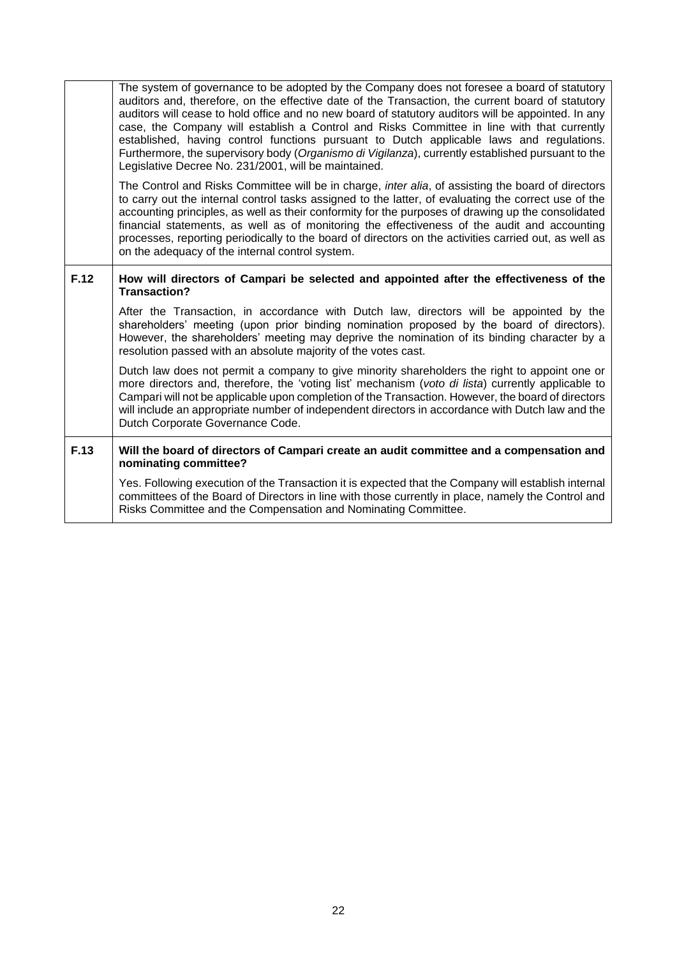|      | The system of governance to be adopted by the Company does not foresee a board of statutory<br>auditors and, therefore, on the effective date of the Transaction, the current board of statutory<br>auditors will cease to hold office and no new board of statutory auditors will be appointed. In any<br>case, the Company will establish a Control and Risks Committee in line with that currently<br>established, having control functions pursuant to Dutch applicable laws and regulations.<br>Furthermore, the supervisory body (Organismo di Vigilanza), currently established pursuant to the<br>Legislative Decree No. 231/2001, will be maintained. |  |
|------|----------------------------------------------------------------------------------------------------------------------------------------------------------------------------------------------------------------------------------------------------------------------------------------------------------------------------------------------------------------------------------------------------------------------------------------------------------------------------------------------------------------------------------------------------------------------------------------------------------------------------------------------------------------|--|
|      | The Control and Risks Committee will be in charge, inter alia, of assisting the board of directors<br>to carry out the internal control tasks assigned to the latter, of evaluating the correct use of the<br>accounting principles, as well as their conformity for the purposes of drawing up the consolidated<br>financial statements, as well as of monitoring the effectiveness of the audit and accounting<br>processes, reporting periodically to the board of directors on the activities carried out, as well as<br>on the adequacy of the internal control system.                                                                                   |  |
| F.12 | How will directors of Campari be selected and appointed after the effectiveness of the<br>Transaction?                                                                                                                                                                                                                                                                                                                                                                                                                                                                                                                                                         |  |
|      | After the Transaction, in accordance with Dutch law, directors will be appointed by the<br>shareholders' meeting (upon prior binding nomination proposed by the board of directors).<br>However, the shareholders' meeting may deprive the nomination of its binding character by a<br>resolution passed with an absolute majority of the votes cast.                                                                                                                                                                                                                                                                                                          |  |
|      | Dutch law does not permit a company to give minority shareholders the right to appoint one or<br>more directors and, therefore, the 'voting list' mechanism (voto di lista) currently applicable to<br>Campari will not be applicable upon completion of the Transaction. However, the board of directors<br>will include an appropriate number of independent directors in accordance with Dutch law and the<br>Dutch Corporate Governance Code.                                                                                                                                                                                                              |  |
| F.13 | Will the board of directors of Campari create an audit committee and a compensation and<br>nominating committee?                                                                                                                                                                                                                                                                                                                                                                                                                                                                                                                                               |  |
|      | Yes. Following execution of the Transaction it is expected that the Company will establish internal<br>committees of the Board of Directors in line with those currently in place, namely the Control and<br>Risks Committee and the Compensation and Nominating Committee.                                                                                                                                                                                                                                                                                                                                                                                    |  |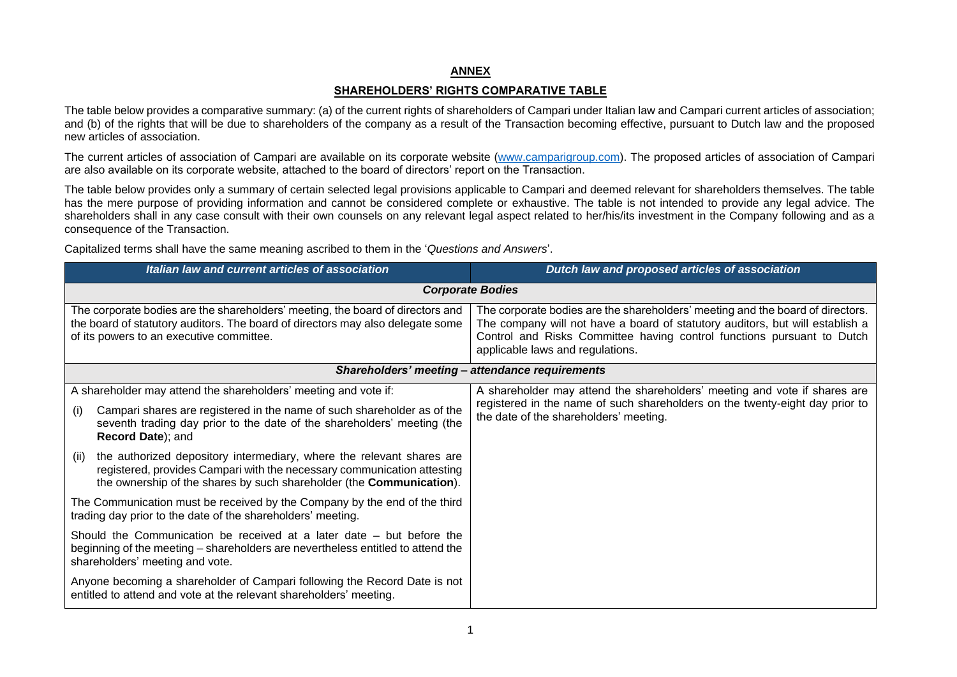### **ANNEX**

### **SHAREHOLDERS' RIGHTS COMPARATIVE TABLE**

The table below provides a comparative summary: (a) of the current rights of shareholders of Campari under Italian law and Campari current articles of association; and (b) of the rights that will be due to shareholders of the company as a result of the Transaction becoming effective, pursuant to Dutch law and the proposed new articles of association.

The current articles of association of Campari are available on its corporate website (www.camparigroup.com). The proposed articles of association of Campari are also available on its corporate website, attached to the board of directors' report on the Transaction.

The table below provides only a summary of certain selected legal provisions applicable to Campari and deemed relevant for shareholders themselves. The table has the mere purpose of providing information and cannot be considered complete or exhaustive. The table is not intended to provide any legal advice. The shareholders shall in any case consult with their own counsels on any relevant legal aspect related to her/his/its investment in the Company following and as a consequence of the Transaction.

Capitalized terms shall have the same meaning ascribed to them in the '*Questions and Answers*'.

| Italian law and current articles of association                                                                                                                                                                                                   | Dutch law and proposed articles of association                                                                                                                                                                                                                                |  |  |
|---------------------------------------------------------------------------------------------------------------------------------------------------------------------------------------------------------------------------------------------------|-------------------------------------------------------------------------------------------------------------------------------------------------------------------------------------------------------------------------------------------------------------------------------|--|--|
| <b>Corporate Bodies</b>                                                                                                                                                                                                                           |                                                                                                                                                                                                                                                                               |  |  |
| The corporate bodies are the shareholders' meeting, the board of directors and<br>the board of statutory auditors. The board of directors may also delegate some<br>of its powers to an executive committee.                                      | The corporate bodies are the shareholders' meeting and the board of directors.<br>The company will not have a board of statutory auditors, but will establish a<br>Control and Risks Committee having control functions pursuant to Dutch<br>applicable laws and regulations. |  |  |
| Shareholders' meeting - attendance requirements                                                                                                                                                                                                   |                                                                                                                                                                                                                                                                               |  |  |
| A shareholder may attend the shareholders' meeting and vote if:<br>Campari shares are registered in the name of such shareholder as of the<br>(i)<br>seventh trading day prior to the date of the shareholders' meeting (the<br>Record Date); and | A shareholder may attend the shareholders' meeting and vote if shares are<br>registered in the name of such shareholders on the twenty-eight day prior to<br>the date of the shareholders' meeting.                                                                           |  |  |
| the authorized depository intermediary, where the relevant shares are<br>(ii)<br>registered, provides Campari with the necessary communication attesting<br>the ownership of the shares by such shareholder (the <b>Communication</b> ).          |                                                                                                                                                                                                                                                                               |  |  |
| The Communication must be received by the Company by the end of the third<br>trading day prior to the date of the shareholders' meeting.                                                                                                          |                                                                                                                                                                                                                                                                               |  |  |
| Should the Communication be received at a later date – but before the<br>beginning of the meeting – shareholders are nevertheless entitled to attend the<br>shareholders' meeting and vote.                                                       |                                                                                                                                                                                                                                                                               |  |  |
| Anyone becoming a shareholder of Campari following the Record Date is not<br>entitled to attend and vote at the relevant shareholders' meeting.                                                                                                   |                                                                                                                                                                                                                                                                               |  |  |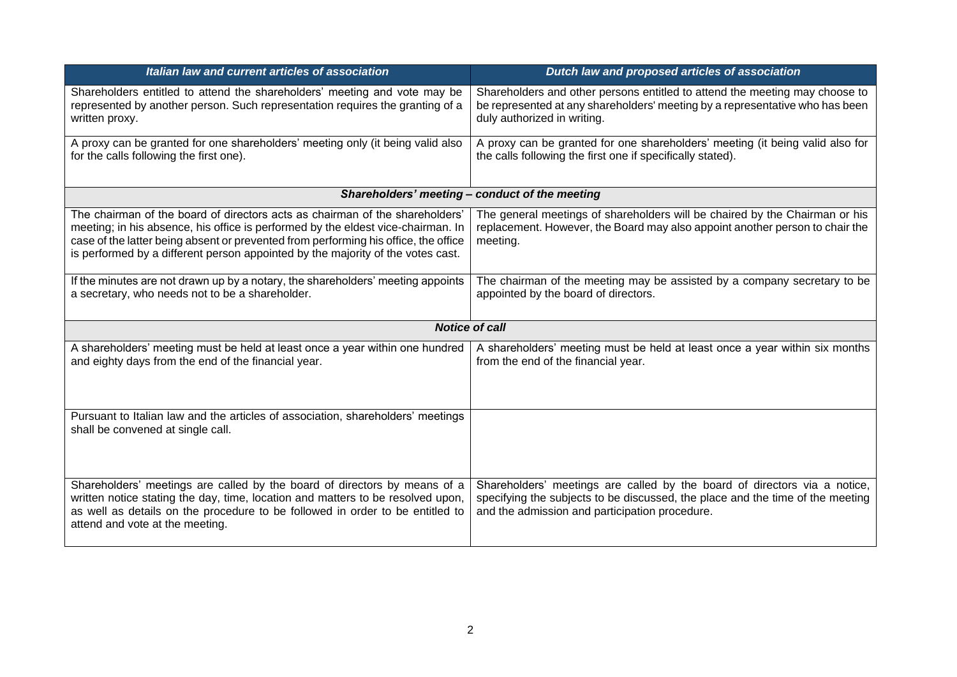| Italian law and current articles of association                                                                                                                                                                                                                                                                                            | Dutch law and proposed articles of association                                                                                                                                                                |  |
|--------------------------------------------------------------------------------------------------------------------------------------------------------------------------------------------------------------------------------------------------------------------------------------------------------------------------------------------|---------------------------------------------------------------------------------------------------------------------------------------------------------------------------------------------------------------|--|
| Shareholders entitled to attend the shareholders' meeting and vote may be<br>represented by another person. Such representation requires the granting of a<br>written proxy.                                                                                                                                                               | Shareholders and other persons entitled to attend the meeting may choose to<br>be represented at any shareholders' meeting by a representative who has been<br>duly authorized in writing.                    |  |
| A proxy can be granted for one shareholders' meeting only (it being valid also<br>for the calls following the first one).                                                                                                                                                                                                                  | A proxy can be granted for one shareholders' meeting (it being valid also for<br>the calls following the first one if specifically stated).                                                                   |  |
|                                                                                                                                                                                                                                                                                                                                            | Shareholders' meeting - conduct of the meeting                                                                                                                                                                |  |
| The chairman of the board of directors acts as chairman of the shareholders'<br>meeting; in his absence, his office is performed by the eldest vice-chairman. In<br>case of the latter being absent or prevented from performing his office, the office<br>is performed by a different person appointed by the majority of the votes cast. | The general meetings of shareholders will be chaired by the Chairman or his<br>replacement. However, the Board may also appoint another person to chair the<br>meeting.                                       |  |
| If the minutes are not drawn up by a notary, the shareholders' meeting appoints<br>a secretary, who needs not to be a shareholder.                                                                                                                                                                                                         | The chairman of the meeting may be assisted by a company secretary to be<br>appointed by the board of directors.                                                                                              |  |
| <b>Notice of call</b>                                                                                                                                                                                                                                                                                                                      |                                                                                                                                                                                                               |  |
| A shareholders' meeting must be held at least once a year within one hundred<br>and eighty days from the end of the financial year.                                                                                                                                                                                                        | A shareholders' meeting must be held at least once a year within six months<br>from the end of the financial year.                                                                                            |  |
| Pursuant to Italian law and the articles of association, shareholders' meetings<br>shall be convened at single call.                                                                                                                                                                                                                       |                                                                                                                                                                                                               |  |
| Shareholders' meetings are called by the board of directors by means of a<br>written notice stating the day, time, location and matters to be resolved upon,<br>as well as details on the procedure to be followed in order to be entitled to<br>attend and vote at the meeting.                                                           | Shareholders' meetings are called by the board of directors via a notice,<br>specifying the subjects to be discussed, the place and the time of the meeting<br>and the admission and participation procedure. |  |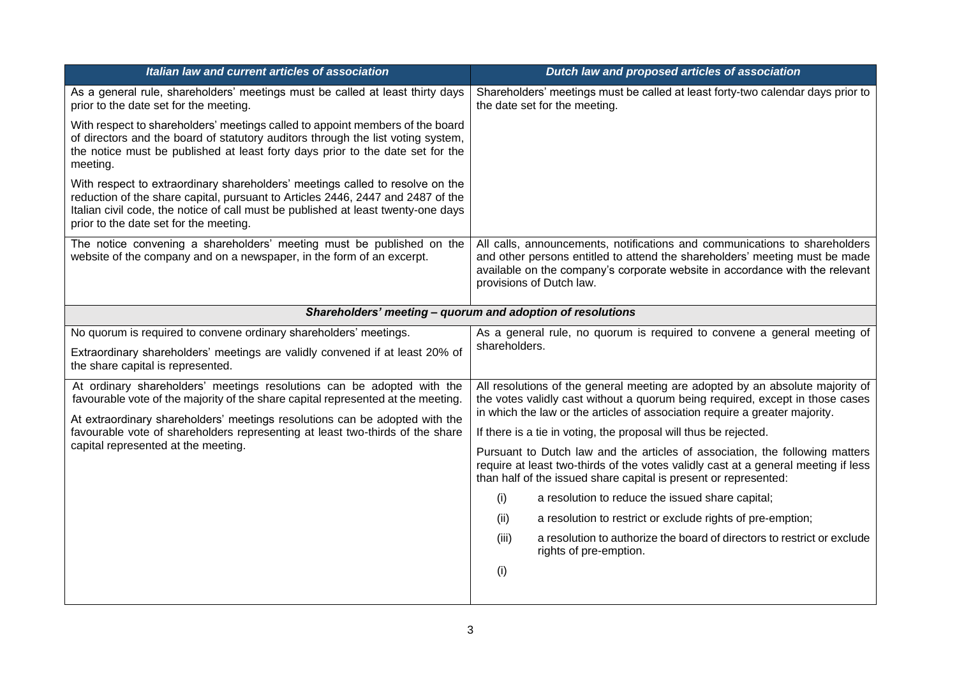| Italian law and current articles of association                                                                                                                                                                                                                                                 | Dutch law and proposed articles of association                                                                                                                                                                                                                        |  |
|-------------------------------------------------------------------------------------------------------------------------------------------------------------------------------------------------------------------------------------------------------------------------------------------------|-----------------------------------------------------------------------------------------------------------------------------------------------------------------------------------------------------------------------------------------------------------------------|--|
| As a general rule, shareholders' meetings must be called at least thirty days<br>prior to the date set for the meeting.                                                                                                                                                                         | Shareholders' meetings must be called at least forty-two calendar days prior to<br>the date set for the meeting.                                                                                                                                                      |  |
| With respect to shareholders' meetings called to appoint members of the board<br>of directors and the board of statutory auditors through the list voting system,<br>the notice must be published at least forty days prior to the date set for the<br>meeting.                                 |                                                                                                                                                                                                                                                                       |  |
| With respect to extraordinary shareholders' meetings called to resolve on the<br>reduction of the share capital, pursuant to Articles 2446, 2447 and 2487 of the<br>Italian civil code, the notice of call must be published at least twenty-one days<br>prior to the date set for the meeting. |                                                                                                                                                                                                                                                                       |  |
| The notice convening a shareholders' meeting must be published on the<br>website of the company and on a newspaper, in the form of an excerpt.                                                                                                                                                  | All calls, announcements, notifications and communications to shareholders<br>and other persons entitled to attend the shareholders' meeting must be made<br>available on the company's corporate website in accordance with the relevant<br>provisions of Dutch law. |  |
| Shareholders' meeting - quorum and adoption of resolutions                                                                                                                                                                                                                                      |                                                                                                                                                                                                                                                                       |  |
| No quorum is required to convene ordinary shareholders' meetings.                                                                                                                                                                                                                               | As a general rule, no quorum is required to convene a general meeting of                                                                                                                                                                                              |  |
| Extraordinary shareholders' meetings are validly convened if at least 20% of<br>the share capital is represented.                                                                                                                                                                               | shareholders.                                                                                                                                                                                                                                                         |  |
| At ordinary shareholders' meetings resolutions can be adopted with the<br>favourable vote of the majority of the share capital represented at the meeting.                                                                                                                                      | All resolutions of the general meeting are adopted by an absolute majority of<br>the votes validly cast without a quorum being required, except in those cases                                                                                                        |  |
| At extraordinary shareholders' meetings resolutions can be adopted with the<br>favourable vote of shareholders representing at least two-thirds of the share                                                                                                                                    | in which the law or the articles of association require a greater majority.<br>If there is a tie in voting, the proposal will thus be rejected.                                                                                                                       |  |
| capital represented at the meeting.                                                                                                                                                                                                                                                             | Pursuant to Dutch law and the articles of association, the following matters                                                                                                                                                                                          |  |
|                                                                                                                                                                                                                                                                                                 | require at least two-thirds of the votes validly cast at a general meeting if less<br>than half of the issued share capital is present or represented:                                                                                                                |  |
|                                                                                                                                                                                                                                                                                                 | (i)<br>a resolution to reduce the issued share capital;                                                                                                                                                                                                               |  |
|                                                                                                                                                                                                                                                                                                 | a resolution to restrict or exclude rights of pre-emption;<br>(ii)                                                                                                                                                                                                    |  |
|                                                                                                                                                                                                                                                                                                 | (iii)<br>a resolution to authorize the board of directors to restrict or exclude<br>rights of pre-emption.                                                                                                                                                            |  |
|                                                                                                                                                                                                                                                                                                 | (i)                                                                                                                                                                                                                                                                   |  |
|                                                                                                                                                                                                                                                                                                 |                                                                                                                                                                                                                                                                       |  |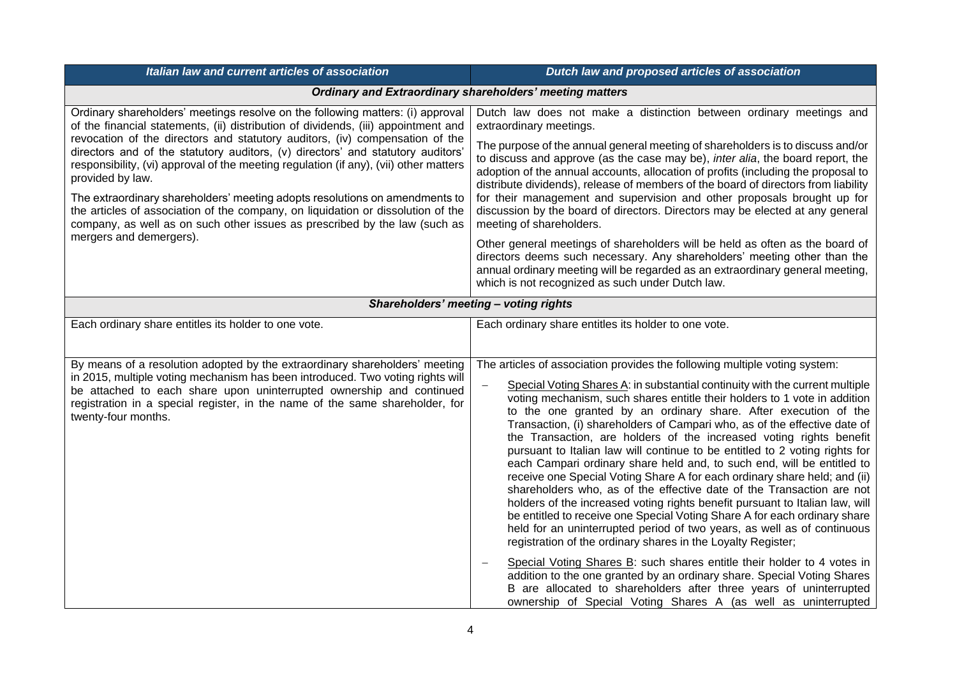| Italian law and current articles of association                                                                                                                                                                                                                                                                                                                                                                                                                                                                                                                                                                                                                                                                                  | Dutch law and proposed articles of association                                                                                                                                                                                                                                                                                                                                                                                                                                                                                                                                                                                                                                                                                                                                                                                                                                                                                                                                                                                                                                                                                                                                                                                                                                                                                                                                      |
|----------------------------------------------------------------------------------------------------------------------------------------------------------------------------------------------------------------------------------------------------------------------------------------------------------------------------------------------------------------------------------------------------------------------------------------------------------------------------------------------------------------------------------------------------------------------------------------------------------------------------------------------------------------------------------------------------------------------------------|-------------------------------------------------------------------------------------------------------------------------------------------------------------------------------------------------------------------------------------------------------------------------------------------------------------------------------------------------------------------------------------------------------------------------------------------------------------------------------------------------------------------------------------------------------------------------------------------------------------------------------------------------------------------------------------------------------------------------------------------------------------------------------------------------------------------------------------------------------------------------------------------------------------------------------------------------------------------------------------------------------------------------------------------------------------------------------------------------------------------------------------------------------------------------------------------------------------------------------------------------------------------------------------------------------------------------------------------------------------------------------------|
| <b>Ordinary and Extraordinary shareholders' meeting matters</b>                                                                                                                                                                                                                                                                                                                                                                                                                                                                                                                                                                                                                                                                  |                                                                                                                                                                                                                                                                                                                                                                                                                                                                                                                                                                                                                                                                                                                                                                                                                                                                                                                                                                                                                                                                                                                                                                                                                                                                                                                                                                                     |
| Ordinary shareholders' meetings resolve on the following matters: (i) approval<br>of the financial statements, (ii) distribution of dividends, (iii) appointment and<br>revocation of the directors and statutory auditors, (iv) compensation of the<br>directors and of the statutory auditors, (v) directors' and statutory auditors'<br>responsibility, (vi) approval of the meeting regulation (if any), (vii) other matters<br>provided by law.<br>The extraordinary shareholders' meeting adopts resolutions on amendments to<br>the articles of association of the company, on liquidation or dissolution of the<br>company, as well as on such other issues as prescribed by the law (such as<br>mergers and demergers). | Dutch law does not make a distinction between ordinary meetings and<br>extraordinary meetings.                                                                                                                                                                                                                                                                                                                                                                                                                                                                                                                                                                                                                                                                                                                                                                                                                                                                                                                                                                                                                                                                                                                                                                                                                                                                                      |
|                                                                                                                                                                                                                                                                                                                                                                                                                                                                                                                                                                                                                                                                                                                                  | The purpose of the annual general meeting of shareholders is to discuss and/or<br>to discuss and approve (as the case may be), inter alia, the board report, the<br>adoption of the annual accounts, allocation of profits (including the proposal to<br>distribute dividends), release of members of the board of directors from liability<br>for their management and supervision and other proposals brought up for<br>discussion by the board of directors. Directors may be elected at any general<br>meeting of shareholders.                                                                                                                                                                                                                                                                                                                                                                                                                                                                                                                                                                                                                                                                                                                                                                                                                                                 |
|                                                                                                                                                                                                                                                                                                                                                                                                                                                                                                                                                                                                                                                                                                                                  | Other general meetings of shareholders will be held as often as the board of<br>directors deems such necessary. Any shareholders' meeting other than the<br>annual ordinary meeting will be regarded as an extraordinary general meeting,<br>which is not recognized as such under Dutch law.                                                                                                                                                                                                                                                                                                                                                                                                                                                                                                                                                                                                                                                                                                                                                                                                                                                                                                                                                                                                                                                                                       |
| Shareholders' meeting - voting rights                                                                                                                                                                                                                                                                                                                                                                                                                                                                                                                                                                                                                                                                                            |                                                                                                                                                                                                                                                                                                                                                                                                                                                                                                                                                                                                                                                                                                                                                                                                                                                                                                                                                                                                                                                                                                                                                                                                                                                                                                                                                                                     |
| Each ordinary share entitles its holder to one vote.                                                                                                                                                                                                                                                                                                                                                                                                                                                                                                                                                                                                                                                                             | Each ordinary share entitles its holder to one vote.                                                                                                                                                                                                                                                                                                                                                                                                                                                                                                                                                                                                                                                                                                                                                                                                                                                                                                                                                                                                                                                                                                                                                                                                                                                                                                                                |
| By means of a resolution adopted by the extraordinary shareholders' meeting<br>in 2015, multiple voting mechanism has been introduced. Two voting rights will<br>be attached to each share upon uninterrupted ownership and continued<br>registration in a special register, in the name of the same shareholder, for<br>twenty-four months.                                                                                                                                                                                                                                                                                                                                                                                     | The articles of association provides the following multiple voting system:<br>Special Voting Shares A: in substantial continuity with the current multiple<br>voting mechanism, such shares entitle their holders to 1 vote in addition<br>to the one granted by an ordinary share. After execution of the<br>Transaction, (i) shareholders of Campari who, as of the effective date of<br>the Transaction, are holders of the increased voting rights benefit<br>pursuant to Italian law will continue to be entitled to 2 voting rights for<br>each Campari ordinary share held and, to such end, will be entitled to<br>receive one Special Voting Share A for each ordinary share held; and (ii)<br>shareholders who, as of the effective date of the Transaction are not<br>holders of the increased voting rights benefit pursuant to Italian law, will<br>be entitled to receive one Special Voting Share A for each ordinary share<br>held for an uninterrupted period of two years, as well as of continuous<br>registration of the ordinary shares in the Loyalty Register;<br>Special Voting Shares B: such shares entitle their holder to 4 votes in<br>addition to the one granted by an ordinary share. Special Voting Shares<br>B are allocated to shareholders after three years of uninterrupted<br>ownership of Special Voting Shares A (as well as uninterrupted |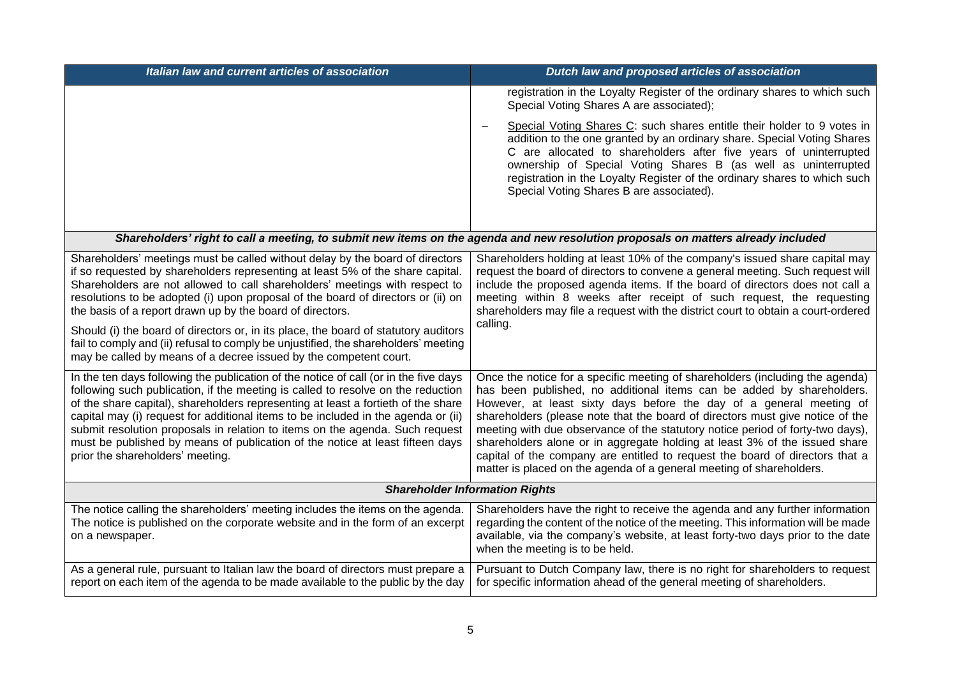| Italian law and current articles of association                                                                                                                                                                                                                                                                                                                                                                                                                                                                                                                                                                                                    | Dutch law and proposed articles of association                                                                                                                                                                                                                                                                                                                                                                                                                                                                                                                                                                                         |
|----------------------------------------------------------------------------------------------------------------------------------------------------------------------------------------------------------------------------------------------------------------------------------------------------------------------------------------------------------------------------------------------------------------------------------------------------------------------------------------------------------------------------------------------------------------------------------------------------------------------------------------------------|----------------------------------------------------------------------------------------------------------------------------------------------------------------------------------------------------------------------------------------------------------------------------------------------------------------------------------------------------------------------------------------------------------------------------------------------------------------------------------------------------------------------------------------------------------------------------------------------------------------------------------------|
|                                                                                                                                                                                                                                                                                                                                                                                                                                                                                                                                                                                                                                                    | registration in the Loyalty Register of the ordinary shares to which such<br>Special Voting Shares A are associated);                                                                                                                                                                                                                                                                                                                                                                                                                                                                                                                  |
|                                                                                                                                                                                                                                                                                                                                                                                                                                                                                                                                                                                                                                                    | Special Voting Shares C: such shares entitle their holder to 9 votes in<br>addition to the one granted by an ordinary share. Special Voting Shares<br>C are allocated to shareholders after five years of uninterrupted<br>ownership of Special Voting Shares B (as well as uninterrupted<br>registration in the Loyalty Register of the ordinary shares to which such<br>Special Voting Shares B are associated).                                                                                                                                                                                                                     |
| Shareholders' right to call a meeting, to submit new items on the agenda and new resolution proposals on matters already included                                                                                                                                                                                                                                                                                                                                                                                                                                                                                                                  |                                                                                                                                                                                                                                                                                                                                                                                                                                                                                                                                                                                                                                        |
| Shareholders' meetings must be called without delay by the board of directors<br>if so requested by shareholders representing at least 5% of the share capital.<br>Shareholders are not allowed to call shareholders' meetings with respect to<br>resolutions to be adopted (i) upon proposal of the board of directors or (ii) on<br>the basis of a report drawn up by the board of directors.<br>Should (i) the board of directors or, in its place, the board of statutory auditors<br>fail to comply and (ii) refusal to comply be unjustified, the shareholders' meeting<br>may be called by means of a decree issued by the competent court. | Shareholders holding at least 10% of the company's issued share capital may<br>request the board of directors to convene a general meeting. Such request will<br>include the proposed agenda items. If the board of directors does not call a<br>meeting within 8 weeks after receipt of such request, the requesting<br>shareholders may file a request with the district court to obtain a court-ordered<br>calling.                                                                                                                                                                                                                 |
| In the ten days following the publication of the notice of call (or in the five days<br>following such publication, if the meeting is called to resolve on the reduction<br>of the share capital), shareholders representing at least a fortieth of the share<br>capital may (i) request for additional items to be included in the agenda or (ii)<br>submit resolution proposals in relation to items on the agenda. Such request<br>must be published by means of publication of the notice at least fifteen days<br>prior the shareholders' meeting.                                                                                            | Once the notice for a specific meeting of shareholders (including the agenda)<br>has been published, no additional items can be added by shareholders.<br>However, at least sixty days before the day of a general meeting of<br>shareholders (please note that the board of directors must give notice of the<br>meeting with due observance of the statutory notice period of forty-two days),<br>shareholders alone or in aggregate holding at least 3% of the issued share<br>capital of the company are entitled to request the board of directors that a<br>matter is placed on the agenda of a general meeting of shareholders. |
| <b>Shareholder Information Rights</b>                                                                                                                                                                                                                                                                                                                                                                                                                                                                                                                                                                                                              |                                                                                                                                                                                                                                                                                                                                                                                                                                                                                                                                                                                                                                        |
| The notice calling the shareholders' meeting includes the items on the agenda.<br>The notice is published on the corporate website and in the form of an excerpt<br>on a newspaper.                                                                                                                                                                                                                                                                                                                                                                                                                                                                | Shareholders have the right to receive the agenda and any further information<br>regarding the content of the notice of the meeting. This information will be made<br>available, via the company's website, at least forty-two days prior to the date<br>when the meeting is to be held.                                                                                                                                                                                                                                                                                                                                               |
| As a general rule, pursuant to Italian law the board of directors must prepare a<br>report on each item of the agenda to be made available to the public by the day                                                                                                                                                                                                                                                                                                                                                                                                                                                                                | Pursuant to Dutch Company law, there is no right for shareholders to request<br>for specific information ahead of the general meeting of shareholders.                                                                                                                                                                                                                                                                                                                                                                                                                                                                                 |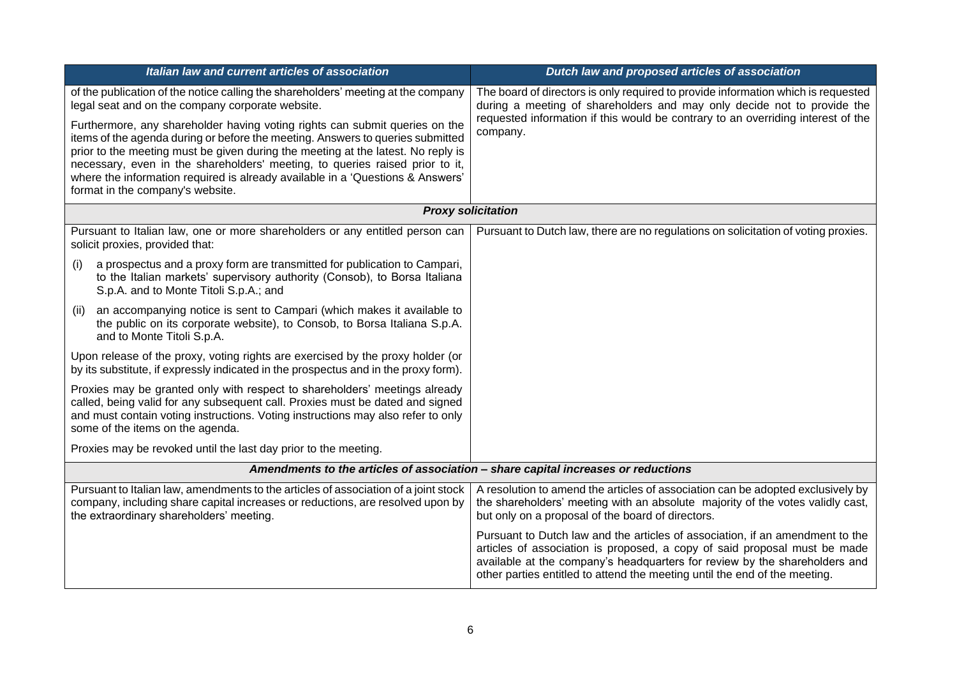| Italian law and current articles of association                                                                                                                                                                                                                                                                                                                                                                                                         | Dutch law and proposed articles of association                                                                                                                                                                                                                                                                         |
|---------------------------------------------------------------------------------------------------------------------------------------------------------------------------------------------------------------------------------------------------------------------------------------------------------------------------------------------------------------------------------------------------------------------------------------------------------|------------------------------------------------------------------------------------------------------------------------------------------------------------------------------------------------------------------------------------------------------------------------------------------------------------------------|
| of the publication of the notice calling the shareholders' meeting at the company<br>legal seat and on the company corporate website.                                                                                                                                                                                                                                                                                                                   | The board of directors is only required to provide information which is requested<br>during a meeting of shareholders and may only decide not to provide the                                                                                                                                                           |
| Furthermore, any shareholder having voting rights can submit queries on the<br>items of the agenda during or before the meeting. Answers to queries submitted<br>prior to the meeting must be given during the meeting at the latest. No reply is<br>necessary, even in the shareholders' meeting, to queries raised prior to it,<br>where the information required is already available in a 'Questions & Answers'<br>format in the company's website. | requested information if this would be contrary to an overriding interest of the<br>company.                                                                                                                                                                                                                           |
| <b>Proxy solicitation</b>                                                                                                                                                                                                                                                                                                                                                                                                                               |                                                                                                                                                                                                                                                                                                                        |
| Pursuant to Italian law, one or more shareholders or any entitled person can<br>solicit proxies, provided that:                                                                                                                                                                                                                                                                                                                                         | Pursuant to Dutch law, there are no regulations on solicitation of voting proxies.                                                                                                                                                                                                                                     |
| a prospectus and a proxy form are transmitted for publication to Campari,<br>(i)<br>to the Italian markets' supervisory authority (Consob), to Borsa Italiana<br>S.p.A. and to Monte Titoli S.p.A.; and                                                                                                                                                                                                                                                 |                                                                                                                                                                                                                                                                                                                        |
| an accompanying notice is sent to Campari (which makes it available to<br>(ii)<br>the public on its corporate website), to Consob, to Borsa Italiana S.p.A.<br>and to Monte Titoli S.p.A.                                                                                                                                                                                                                                                               |                                                                                                                                                                                                                                                                                                                        |
| Upon release of the proxy, voting rights are exercised by the proxy holder (or<br>by its substitute, if expressly indicated in the prospectus and in the proxy form).                                                                                                                                                                                                                                                                                   |                                                                                                                                                                                                                                                                                                                        |
| Proxies may be granted only with respect to shareholders' meetings already<br>called, being valid for any subsequent call. Proxies must be dated and signed<br>and must contain voting instructions. Voting instructions may also refer to only<br>some of the items on the agenda.                                                                                                                                                                     |                                                                                                                                                                                                                                                                                                                        |
| Proxies may be revoked until the last day prior to the meeting.                                                                                                                                                                                                                                                                                                                                                                                         |                                                                                                                                                                                                                                                                                                                        |
|                                                                                                                                                                                                                                                                                                                                                                                                                                                         | Amendments to the articles of association - share capital increases or reductions                                                                                                                                                                                                                                      |
| Pursuant to Italian law, amendments to the articles of association of a joint stock<br>company, including share capital increases or reductions, are resolved upon by<br>the extraordinary shareholders' meeting.                                                                                                                                                                                                                                       | A resolution to amend the articles of association can be adopted exclusively by<br>the shareholders' meeting with an absolute majority of the votes validly cast,<br>but only on a proposal of the board of directors.                                                                                                 |
|                                                                                                                                                                                                                                                                                                                                                                                                                                                         | Pursuant to Dutch law and the articles of association, if an amendment to the<br>articles of association is proposed, a copy of said proposal must be made<br>available at the company's headquarters for review by the shareholders and<br>other parties entitled to attend the meeting until the end of the meeting. |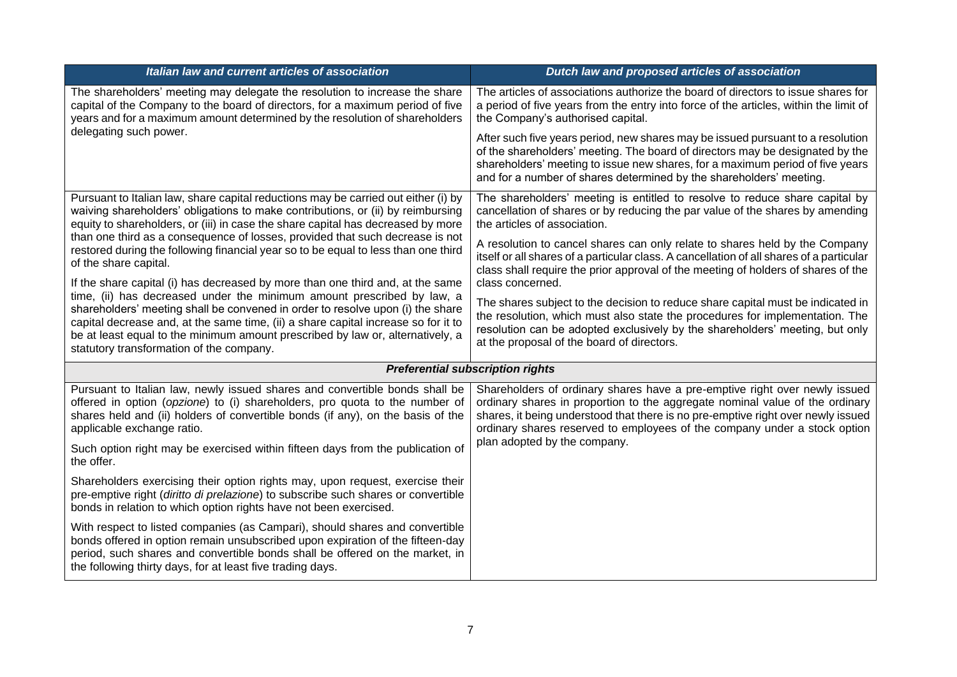| Italian law and current articles of association                                                                                                                                                                                                                                                              | Dutch law and proposed articles of association                                                                                                                                                                                                                                                                              |  |
|--------------------------------------------------------------------------------------------------------------------------------------------------------------------------------------------------------------------------------------------------------------------------------------------------------------|-----------------------------------------------------------------------------------------------------------------------------------------------------------------------------------------------------------------------------------------------------------------------------------------------------------------------------|--|
| The shareholders' meeting may delegate the resolution to increase the share<br>capital of the Company to the board of directors, for a maximum period of five<br>years and for a maximum amount determined by the resolution of shareholders                                                                 | The articles of associations authorize the board of directors to issue shares for<br>a period of five years from the entry into force of the articles, within the limit of<br>the Company's authorised capital.                                                                                                             |  |
| delegating such power.                                                                                                                                                                                                                                                                                       | After such five years period, new shares may be issued pursuant to a resolution<br>of the shareholders' meeting. The board of directors may be designated by the<br>shareholders' meeting to issue new shares, for a maximum period of five years<br>and for a number of shares determined by the shareholders' meeting.    |  |
| Pursuant to Italian law, share capital reductions may be carried out either (i) by<br>waiving shareholders' obligations to make contributions, or (ii) by reimbursing<br>equity to shareholders, or (iii) in case the share capital has decreased by more                                                    | The shareholders' meeting is entitled to resolve to reduce share capital by<br>cancellation of shares or by reducing the par value of the shares by amending<br>the articles of association.                                                                                                                                |  |
| than one third as a consequence of losses, provided that such decrease is not<br>restored during the following financial year so to be equal to less than one third<br>of the share capital.                                                                                                                 | A resolution to cancel shares can only relate to shares held by the Company<br>itself or all shares of a particular class. A cancellation of all shares of a particular<br>class shall require the prior approval of the meeting of holders of shares of the                                                                |  |
| If the share capital (i) has decreased by more than one third and, at the same<br>time, (ii) has decreased under the minimum amount prescribed by law, a                                                                                                                                                     | class concerned.                                                                                                                                                                                                                                                                                                            |  |
| shareholders' meeting shall be convened in order to resolve upon (i) the share<br>capital decrease and, at the same time, (ii) a share capital increase so for it to<br>be at least equal to the minimum amount prescribed by law or, alternatively, a<br>statutory transformation of the company.           | The shares subject to the decision to reduce share capital must be indicated in<br>the resolution, which must also state the procedures for implementation. The<br>resolution can be adopted exclusively by the shareholders' meeting, but only<br>at the proposal of the board of directors.                               |  |
| <b>Preferential subscription rights</b>                                                                                                                                                                                                                                                                      |                                                                                                                                                                                                                                                                                                                             |  |
| Pursuant to Italian law, newly issued shares and convertible bonds shall be<br>offered in option (opzione) to (i) shareholders, pro quota to the number of<br>shares held and (ii) holders of convertible bonds (if any), on the basis of the<br>applicable exchange ratio.                                  | Shareholders of ordinary shares have a pre-emptive right over newly issued<br>ordinary shares in proportion to the aggregate nominal value of the ordinary<br>shares, it being understood that there is no pre-emptive right over newly issued<br>ordinary shares reserved to employees of the company under a stock option |  |
| Such option right may be exercised within fifteen days from the publication of<br>the offer.                                                                                                                                                                                                                 | plan adopted by the company.                                                                                                                                                                                                                                                                                                |  |
| Shareholders exercising their option rights may, upon request, exercise their<br>pre-emptive right (diritto di prelazione) to subscribe such shares or convertible<br>bonds in relation to which option rights have not been exercised.                                                                      |                                                                                                                                                                                                                                                                                                                             |  |
| With respect to listed companies (as Campari), should shares and convertible<br>bonds offered in option remain unsubscribed upon expiration of the fifteen-day<br>period, such shares and convertible bonds shall be offered on the market, in<br>the following thirty days, for at least five trading days. |                                                                                                                                                                                                                                                                                                                             |  |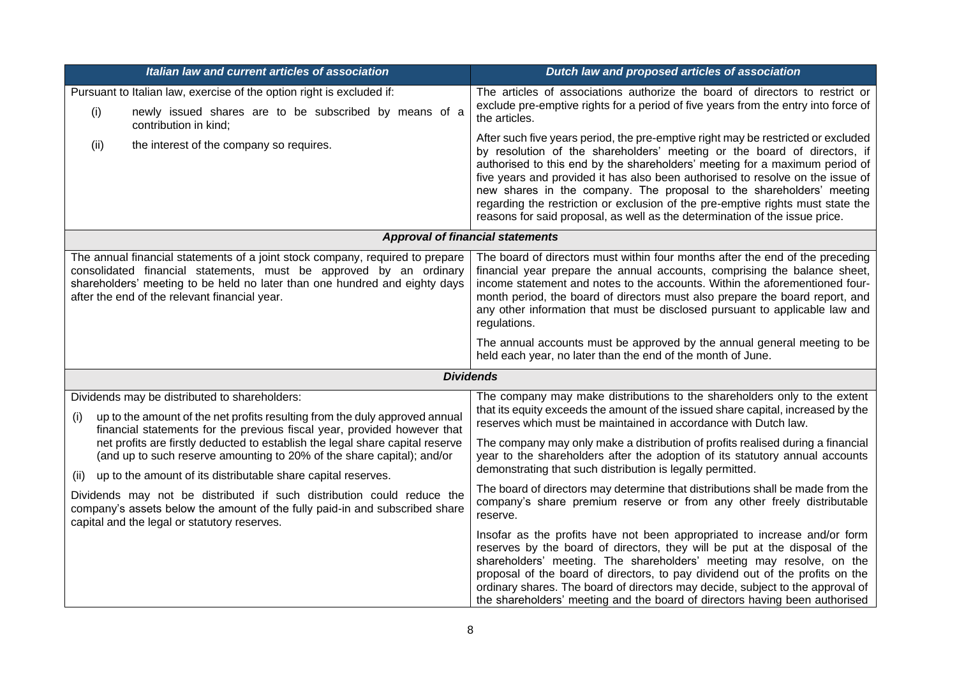| Italian law and current articles of association                                                                                                                                                                                                                                                                                                                                                                                                     | Dutch law and proposed articles of association                                                                                                                                                                                                                                                                                                                                                                                                                                                                                                                           |
|-----------------------------------------------------------------------------------------------------------------------------------------------------------------------------------------------------------------------------------------------------------------------------------------------------------------------------------------------------------------------------------------------------------------------------------------------------|--------------------------------------------------------------------------------------------------------------------------------------------------------------------------------------------------------------------------------------------------------------------------------------------------------------------------------------------------------------------------------------------------------------------------------------------------------------------------------------------------------------------------------------------------------------------------|
| Pursuant to Italian law, exercise of the option right is excluded if:<br>(i)<br>newly issued shares are to be subscribed by means of a<br>contribution in kind;                                                                                                                                                                                                                                                                                     | The articles of associations authorize the board of directors to restrict or<br>exclude pre-emptive rights for a period of five years from the entry into force of<br>the articles.                                                                                                                                                                                                                                                                                                                                                                                      |
| the interest of the company so requires.<br>(ii)                                                                                                                                                                                                                                                                                                                                                                                                    | After such five years period, the pre-emptive right may be restricted or excluded<br>by resolution of the shareholders' meeting or the board of directors, if<br>authorised to this end by the shareholders' meeting for a maximum period of<br>five years and provided it has also been authorised to resolve on the issue of<br>new shares in the company. The proposal to the shareholders' meeting<br>regarding the restriction or exclusion of the pre-emptive rights must state the<br>reasons for said proposal, as well as the determination of the issue price. |
|                                                                                                                                                                                                                                                                                                                                                                                                                                                     | <b>Approval of financial statements</b>                                                                                                                                                                                                                                                                                                                                                                                                                                                                                                                                  |
| The annual financial statements of a joint stock company, required to prepare<br>consolidated financial statements, must be approved by an ordinary<br>shareholders' meeting to be held no later than one hundred and eighty days<br>after the end of the relevant financial year.                                                                                                                                                                  | The board of directors must within four months after the end of the preceding<br>financial year prepare the annual accounts, comprising the balance sheet,<br>income statement and notes to the accounts. Within the aforementioned four-<br>month period, the board of directors must also prepare the board report, and<br>any other information that must be disclosed pursuant to applicable law and<br>regulations.                                                                                                                                                 |
|                                                                                                                                                                                                                                                                                                                                                                                                                                                     | The annual accounts must be approved by the annual general meeting to be<br>held each year, no later than the end of the month of June.                                                                                                                                                                                                                                                                                                                                                                                                                                  |
|                                                                                                                                                                                                                                                                                                                                                                                                                                                     | <b>Dividends</b>                                                                                                                                                                                                                                                                                                                                                                                                                                                                                                                                                         |
| Dividends may be distributed to shareholders:<br>up to the amount of the net profits resulting from the duly approved annual<br>(i)<br>financial statements for the previous fiscal year, provided however that<br>net profits are firstly deducted to establish the legal share capital reserve<br>(and up to such reserve amounting to 20% of the share capital); and/or<br>up to the amount of its distributable share capital reserves.<br>(ii) | The company may make distributions to the shareholders only to the extent<br>that its equity exceeds the amount of the issued share capital, increased by the<br>reserves which must be maintained in accordance with Dutch law.<br>The company may only make a distribution of profits realised during a financial<br>year to the shareholders after the adoption of its statutory annual accounts<br>demonstrating that such distribution is legally permitted.                                                                                                        |
| Dividends may not be distributed if such distribution could reduce the<br>company's assets below the amount of the fully paid-in and subscribed share<br>capital and the legal or statutory reserves.                                                                                                                                                                                                                                               | The board of directors may determine that distributions shall be made from the<br>company's share premium reserve or from any other freely distributable<br>reserve.                                                                                                                                                                                                                                                                                                                                                                                                     |
|                                                                                                                                                                                                                                                                                                                                                                                                                                                     | Insofar as the profits have not been appropriated to increase and/or form<br>reserves by the board of directors, they will be put at the disposal of the<br>shareholders' meeting. The shareholders' meeting may resolve, on the<br>proposal of the board of directors, to pay dividend out of the profits on the<br>ordinary shares. The board of directors may decide, subject to the approval of<br>the shareholders' meeting and the board of directors having been authorised                                                                                       |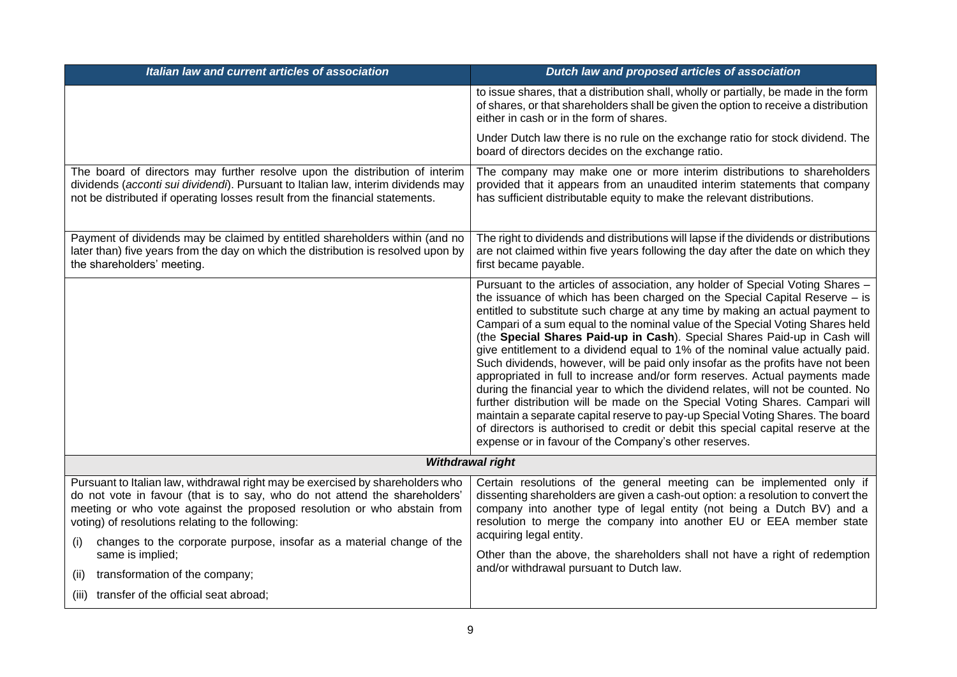| Italian law and current articles of association                                                                                                                                                                                                                                                                                                                              | Dutch law and proposed articles of association                                                                                                                                                                                                                                                                                                                                                                                                                                                                                                                                                                                                                                                                                                                                                                                                                                                                                                                                                                                                                      |
|------------------------------------------------------------------------------------------------------------------------------------------------------------------------------------------------------------------------------------------------------------------------------------------------------------------------------------------------------------------------------|---------------------------------------------------------------------------------------------------------------------------------------------------------------------------------------------------------------------------------------------------------------------------------------------------------------------------------------------------------------------------------------------------------------------------------------------------------------------------------------------------------------------------------------------------------------------------------------------------------------------------------------------------------------------------------------------------------------------------------------------------------------------------------------------------------------------------------------------------------------------------------------------------------------------------------------------------------------------------------------------------------------------------------------------------------------------|
|                                                                                                                                                                                                                                                                                                                                                                              | to issue shares, that a distribution shall, wholly or partially, be made in the form<br>of shares, or that shareholders shall be given the option to receive a distribution<br>either in cash or in the form of shares.                                                                                                                                                                                                                                                                                                                                                                                                                                                                                                                                                                                                                                                                                                                                                                                                                                             |
|                                                                                                                                                                                                                                                                                                                                                                              | Under Dutch law there is no rule on the exchange ratio for stock dividend. The<br>board of directors decides on the exchange ratio.                                                                                                                                                                                                                                                                                                                                                                                                                                                                                                                                                                                                                                                                                                                                                                                                                                                                                                                                 |
| The board of directors may further resolve upon the distribution of interim<br>dividends (acconti sui dividendi). Pursuant to Italian law, interim dividends may<br>not be distributed if operating losses result from the financial statements.                                                                                                                             | The company may make one or more interim distributions to shareholders<br>provided that it appears from an unaudited interim statements that company<br>has sufficient distributable equity to make the relevant distributions.                                                                                                                                                                                                                                                                                                                                                                                                                                                                                                                                                                                                                                                                                                                                                                                                                                     |
| Payment of dividends may be claimed by entitled shareholders within (and no<br>later than) five years from the day on which the distribution is resolved upon by<br>the shareholders' meeting.                                                                                                                                                                               | The right to dividends and distributions will lapse if the dividends or distributions<br>are not claimed within five years following the day after the date on which they<br>first became payable.                                                                                                                                                                                                                                                                                                                                                                                                                                                                                                                                                                                                                                                                                                                                                                                                                                                                  |
|                                                                                                                                                                                                                                                                                                                                                                              | Pursuant to the articles of association, any holder of Special Voting Shares -<br>the issuance of which has been charged on the Special Capital Reserve - is<br>entitled to substitute such charge at any time by making an actual payment to<br>Campari of a sum equal to the nominal value of the Special Voting Shares held<br>(the Special Shares Paid-up in Cash). Special Shares Paid-up in Cash will<br>give entitlement to a dividend equal to 1% of the nominal value actually paid.<br>Such dividends, however, will be paid only insofar as the profits have not been<br>appropriated in full to increase and/or form reserves. Actual payments made<br>during the financial year to which the dividend relates, will not be counted. No<br>further distribution will be made on the Special Voting Shares. Campari will<br>maintain a separate capital reserve to pay-up Special Voting Shares. The board<br>of directors is authorised to credit or debit this special capital reserve at the<br>expense or in favour of the Company's other reserves. |
| Withdrawal right                                                                                                                                                                                                                                                                                                                                                             |                                                                                                                                                                                                                                                                                                                                                                                                                                                                                                                                                                                                                                                                                                                                                                                                                                                                                                                                                                                                                                                                     |
| Pursuant to Italian law, withdrawal right may be exercised by shareholders who<br>do not vote in favour (that is to say, who do not attend the shareholders'<br>meeting or who vote against the proposed resolution or who abstain from<br>voting) of resolutions relating to the following:<br>changes to the corporate purpose, insofar as a material change of the<br>(i) | Certain resolutions of the general meeting can be implemented only if<br>dissenting shareholders are given a cash-out option: a resolution to convert the<br>company into another type of legal entity (not being a Dutch BV) and a<br>resolution to merge the company into another EU or EEA member state<br>acquiring legal entity.                                                                                                                                                                                                                                                                                                                                                                                                                                                                                                                                                                                                                                                                                                                               |
| same is implied;<br>transformation of the company;<br>(ii)                                                                                                                                                                                                                                                                                                                   | Other than the above, the shareholders shall not have a right of redemption<br>and/or withdrawal pursuant to Dutch law.                                                                                                                                                                                                                                                                                                                                                                                                                                                                                                                                                                                                                                                                                                                                                                                                                                                                                                                                             |
| (iii) transfer of the official seat abroad;                                                                                                                                                                                                                                                                                                                                  |                                                                                                                                                                                                                                                                                                                                                                                                                                                                                                                                                                                                                                                                                                                                                                                                                                                                                                                                                                                                                                                                     |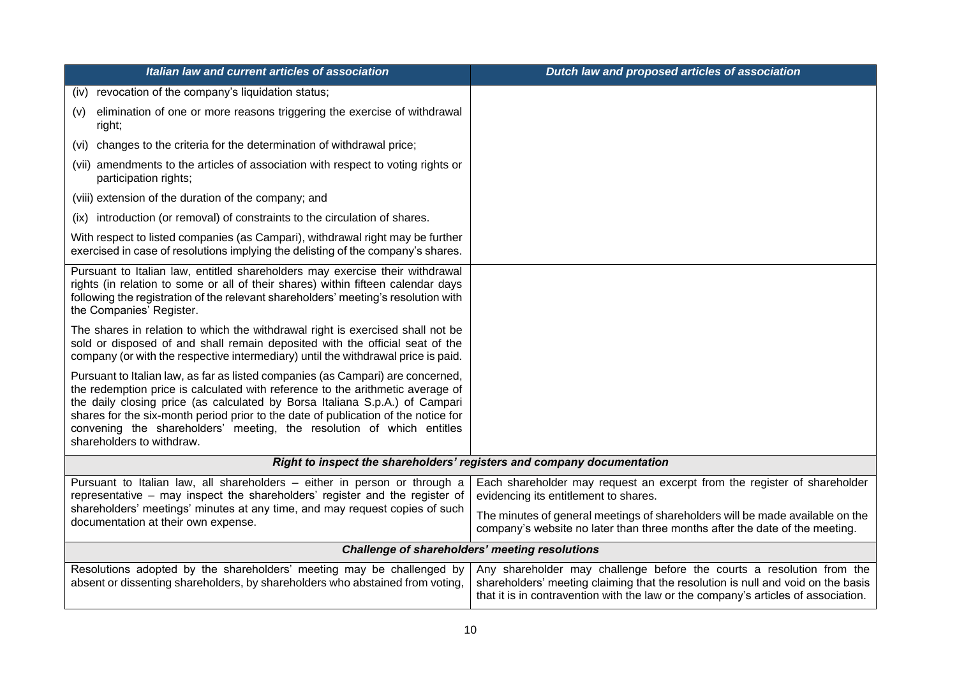| Italian law and current articles of association                                                                                                                                                                                                                                                                                                                                                                                              | Dutch law and proposed articles of association                                                                                                                                                                                                  |
|----------------------------------------------------------------------------------------------------------------------------------------------------------------------------------------------------------------------------------------------------------------------------------------------------------------------------------------------------------------------------------------------------------------------------------------------|-------------------------------------------------------------------------------------------------------------------------------------------------------------------------------------------------------------------------------------------------|
| (iv) revocation of the company's liquidation status;                                                                                                                                                                                                                                                                                                                                                                                         |                                                                                                                                                                                                                                                 |
| elimination of one or more reasons triggering the exercise of withdrawal<br>(v)<br>right;                                                                                                                                                                                                                                                                                                                                                    |                                                                                                                                                                                                                                                 |
| (vi) changes to the criteria for the determination of withdrawal price;                                                                                                                                                                                                                                                                                                                                                                      |                                                                                                                                                                                                                                                 |
| (vii) amendments to the articles of association with respect to voting rights or<br>participation rights;                                                                                                                                                                                                                                                                                                                                    |                                                                                                                                                                                                                                                 |
| (viii) extension of the duration of the company; and                                                                                                                                                                                                                                                                                                                                                                                         |                                                                                                                                                                                                                                                 |
| (ix) introduction (or removal) of constraints to the circulation of shares.                                                                                                                                                                                                                                                                                                                                                                  |                                                                                                                                                                                                                                                 |
| With respect to listed companies (as Campari), withdrawal right may be further<br>exercised in case of resolutions implying the delisting of the company's shares.                                                                                                                                                                                                                                                                           |                                                                                                                                                                                                                                                 |
| Pursuant to Italian law, entitled shareholders may exercise their withdrawal<br>rights (in relation to some or all of their shares) within fifteen calendar days<br>following the registration of the relevant shareholders' meeting's resolution with<br>the Companies' Register.                                                                                                                                                           |                                                                                                                                                                                                                                                 |
| The shares in relation to which the withdrawal right is exercised shall not be<br>sold or disposed of and shall remain deposited with the official seat of the<br>company (or with the respective intermediary) until the withdrawal price is paid.                                                                                                                                                                                          |                                                                                                                                                                                                                                                 |
| Pursuant to Italian law, as far as listed companies (as Campari) are concerned,<br>the redemption price is calculated with reference to the arithmetic average of<br>the daily closing price (as calculated by Borsa Italiana S.p.A.) of Campari<br>shares for the six-month period prior to the date of publication of the notice for<br>convening the shareholders' meeting, the resolution of which entitles<br>shareholders to withdraw. |                                                                                                                                                                                                                                                 |
| Right to inspect the shareholders' registers and company documentation                                                                                                                                                                                                                                                                                                                                                                       |                                                                                                                                                                                                                                                 |
| Pursuant to Italian law, all shareholders - either in person or through a<br>representative - may inspect the shareholders' register and the register of                                                                                                                                                                                                                                                                                     | Each shareholder may request an excerpt from the register of shareholder<br>evidencing its entitlement to shares.                                                                                                                               |
| shareholders' meetings' minutes at any time, and may request copies of such<br>documentation at their own expense.                                                                                                                                                                                                                                                                                                                           | The minutes of general meetings of shareholders will be made available on the<br>company's website no later than three months after the date of the meeting.                                                                                    |
| <b>Challenge of shareholders' meeting resolutions</b>                                                                                                                                                                                                                                                                                                                                                                                        |                                                                                                                                                                                                                                                 |
| Resolutions adopted by the shareholders' meeting may be challenged by<br>absent or dissenting shareholders, by shareholders who abstained from voting,                                                                                                                                                                                                                                                                                       | Any shareholder may challenge before the courts a resolution from the<br>shareholders' meeting claiming that the resolution is null and void on the basis<br>that it is in contravention with the law or the company's articles of association. |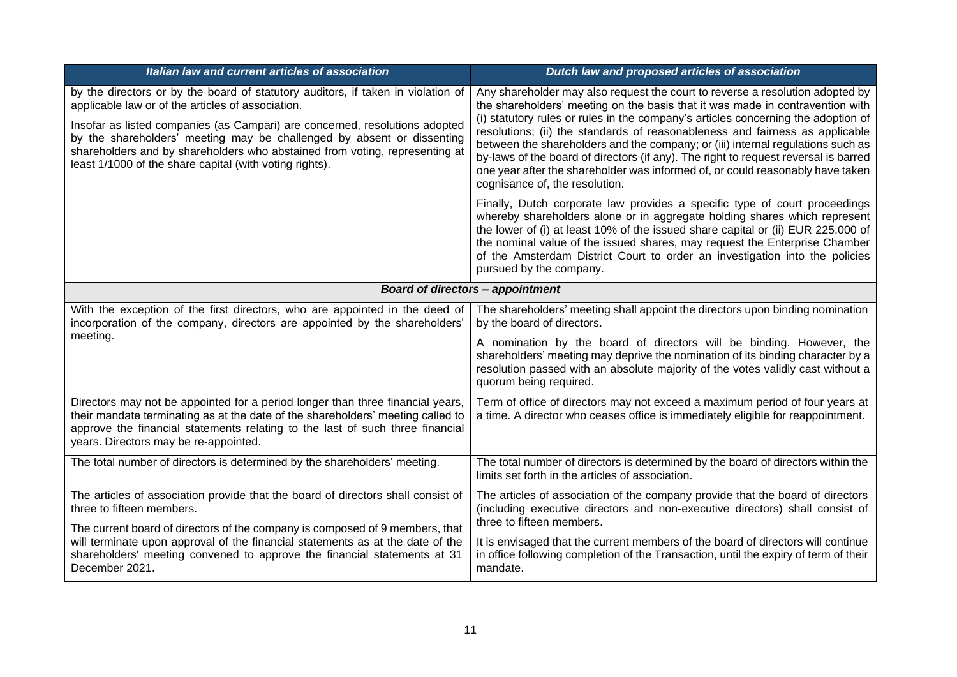| Italian law and current articles of association                                                                                                                                                                                                                                                                                                                                                                                          | Dutch law and proposed articles of association                                                                                                                                                                                                                                                                                                                                                                                                                                                                                                                                                                                    |
|------------------------------------------------------------------------------------------------------------------------------------------------------------------------------------------------------------------------------------------------------------------------------------------------------------------------------------------------------------------------------------------------------------------------------------------|-----------------------------------------------------------------------------------------------------------------------------------------------------------------------------------------------------------------------------------------------------------------------------------------------------------------------------------------------------------------------------------------------------------------------------------------------------------------------------------------------------------------------------------------------------------------------------------------------------------------------------------|
| by the directors or by the board of statutory auditors, if taken in violation of<br>applicable law or of the articles of association.<br>Insofar as listed companies (as Campari) are concerned, resolutions adopted<br>by the shareholders' meeting may be challenged by absent or dissenting<br>shareholders and by shareholders who abstained from voting, representing at<br>least 1/1000 of the share capital (with voting rights). | Any shareholder may also request the court to reverse a resolution adopted by<br>the shareholders' meeting on the basis that it was made in contravention with<br>(i) statutory rules or rules in the company's articles concerning the adoption of<br>resolutions; (ii) the standards of reasonableness and fairness as applicable<br>between the shareholders and the company; or (iii) internal regulations such as<br>by-laws of the board of directors (if any). The right to request reversal is barred<br>one year after the shareholder was informed of, or could reasonably have taken<br>cognisance of, the resolution. |
|                                                                                                                                                                                                                                                                                                                                                                                                                                          | Finally, Dutch corporate law provides a specific type of court proceedings<br>whereby shareholders alone or in aggregate holding shares which represent<br>the lower of (i) at least 10% of the issued share capital or (ii) EUR 225,000 of<br>the nominal value of the issued shares, may request the Enterprise Chamber<br>of the Amsterdam District Court to order an investigation into the policies<br>pursued by the company.                                                                                                                                                                                               |
| <b>Board of directors - appointment</b>                                                                                                                                                                                                                                                                                                                                                                                                  |                                                                                                                                                                                                                                                                                                                                                                                                                                                                                                                                                                                                                                   |
| With the exception of the first directors, who are appointed in the deed of<br>incorporation of the company, directors are appointed by the shareholders'<br>meeting.                                                                                                                                                                                                                                                                    | The shareholders' meeting shall appoint the directors upon binding nomination<br>by the board of directors.<br>A nomination by the board of directors will be binding. However, the<br>shareholders' meeting may deprive the nomination of its binding character by a<br>resolution passed with an absolute majority of the votes validly cast without a                                                                                                                                                                                                                                                                          |
|                                                                                                                                                                                                                                                                                                                                                                                                                                          | quorum being required.                                                                                                                                                                                                                                                                                                                                                                                                                                                                                                                                                                                                            |
| Directors may not be appointed for a period longer than three financial years,<br>their mandate terminating as at the date of the shareholders' meeting called to<br>approve the financial statements relating to the last of such three financial<br>years. Directors may be re-appointed.                                                                                                                                              | Term of office of directors may not exceed a maximum period of four years at<br>a time. A director who ceases office is immediately eligible for reappointment.                                                                                                                                                                                                                                                                                                                                                                                                                                                                   |
| The total number of directors is determined by the shareholders' meeting.                                                                                                                                                                                                                                                                                                                                                                | The total number of directors is determined by the board of directors within the<br>limits set forth in the articles of association.                                                                                                                                                                                                                                                                                                                                                                                                                                                                                              |
| The articles of association provide that the board of directors shall consist of<br>three to fifteen members.                                                                                                                                                                                                                                                                                                                            | The articles of association of the company provide that the board of directors<br>(including executive directors and non-executive directors) shall consist of<br>three to fifteen members.                                                                                                                                                                                                                                                                                                                                                                                                                                       |
| The current board of directors of the company is composed of 9 members, that<br>will terminate upon approval of the financial statements as at the date of the<br>shareholders' meeting convened to approve the financial statements at 31<br>December 2021.                                                                                                                                                                             | It is envisaged that the current members of the board of directors will continue<br>in office following completion of the Transaction, until the expiry of term of their<br>mandate.                                                                                                                                                                                                                                                                                                                                                                                                                                              |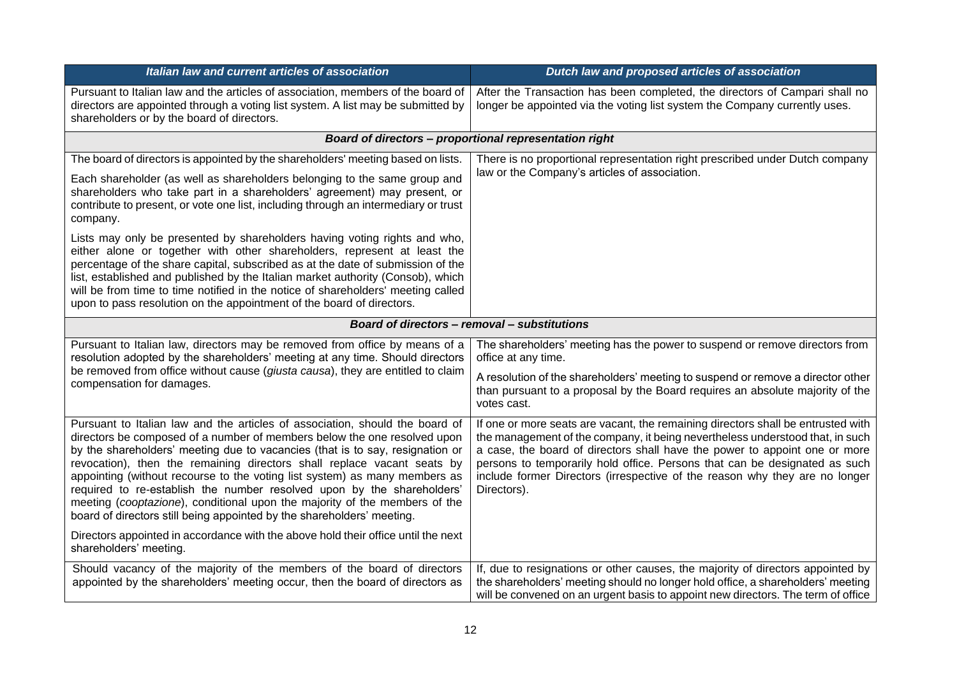| Italian law and current articles of association                                                                                                                                                                                                                                                                                                                                                                                                                                                                                                                                                                                      | Dutch law and proposed articles of association                                                                                                                                                                                                                                                                                                                                                                              |
|--------------------------------------------------------------------------------------------------------------------------------------------------------------------------------------------------------------------------------------------------------------------------------------------------------------------------------------------------------------------------------------------------------------------------------------------------------------------------------------------------------------------------------------------------------------------------------------------------------------------------------------|-----------------------------------------------------------------------------------------------------------------------------------------------------------------------------------------------------------------------------------------------------------------------------------------------------------------------------------------------------------------------------------------------------------------------------|
| Pursuant to Italian law and the articles of association, members of the board of<br>directors are appointed through a voting list system. A list may be submitted by<br>shareholders or by the board of directors.                                                                                                                                                                                                                                                                                                                                                                                                                   | After the Transaction has been completed, the directors of Campari shall no<br>longer be appointed via the voting list system the Company currently uses.                                                                                                                                                                                                                                                                   |
|                                                                                                                                                                                                                                                                                                                                                                                                                                                                                                                                                                                                                                      | Board of directors - proportional representation right                                                                                                                                                                                                                                                                                                                                                                      |
| The board of directors is appointed by the shareholders' meeting based on lists.                                                                                                                                                                                                                                                                                                                                                                                                                                                                                                                                                     | There is no proportional representation right prescribed under Dutch company                                                                                                                                                                                                                                                                                                                                                |
| Each shareholder (as well as shareholders belonging to the same group and<br>shareholders who take part in a shareholders' agreement) may present, or<br>contribute to present, or vote one list, including through an intermediary or trust<br>company.                                                                                                                                                                                                                                                                                                                                                                             | law or the Company's articles of association.                                                                                                                                                                                                                                                                                                                                                                               |
| Lists may only be presented by shareholders having voting rights and who,<br>either alone or together with other shareholders, represent at least the<br>percentage of the share capital, subscribed as at the date of submission of the<br>list, established and published by the Italian market authority (Consob), which<br>will be from time to time notified in the notice of shareholders' meeting called<br>upon to pass resolution on the appointment of the board of directors.                                                                                                                                             |                                                                                                                                                                                                                                                                                                                                                                                                                             |
| Board of directors - removal - substitutions                                                                                                                                                                                                                                                                                                                                                                                                                                                                                                                                                                                         |                                                                                                                                                                                                                                                                                                                                                                                                                             |
| Pursuant to Italian law, directors may be removed from office by means of a<br>resolution adopted by the shareholders' meeting at any time. Should directors                                                                                                                                                                                                                                                                                                                                                                                                                                                                         | The shareholders' meeting has the power to suspend or remove directors from<br>office at any time.                                                                                                                                                                                                                                                                                                                          |
| be removed from office without cause (giusta causa), they are entitled to claim<br>compensation for damages.                                                                                                                                                                                                                                                                                                                                                                                                                                                                                                                         | A resolution of the shareholders' meeting to suspend or remove a director other<br>than pursuant to a proposal by the Board requires an absolute majority of the<br>votes cast.                                                                                                                                                                                                                                             |
| Pursuant to Italian law and the articles of association, should the board of<br>directors be composed of a number of members below the one resolved upon<br>by the shareholders' meeting due to vacancies (that is to say, resignation or<br>revocation), then the remaining directors shall replace vacant seats by<br>appointing (without recourse to the voting list system) as many members as<br>required to re-establish the number resolved upon by the shareholders'<br>meeting (cooptazione), conditional upon the majority of the members of the<br>board of directors still being appointed by the shareholders' meeting. | If one or more seats are vacant, the remaining directors shall be entrusted with<br>the management of the company, it being nevertheless understood that, in such<br>a case, the board of directors shall have the power to appoint one or more<br>persons to temporarily hold office. Persons that can be designated as such<br>include former Directors (irrespective of the reason why they are no longer<br>Directors). |
| Directors appointed in accordance with the above hold their office until the next<br>shareholders' meeting.                                                                                                                                                                                                                                                                                                                                                                                                                                                                                                                          |                                                                                                                                                                                                                                                                                                                                                                                                                             |
| Should vacancy of the majority of the members of the board of directors<br>appointed by the shareholders' meeting occur, then the board of directors as                                                                                                                                                                                                                                                                                                                                                                                                                                                                              | If, due to resignations or other causes, the majority of directors appointed by<br>the shareholders' meeting should no longer hold office, a shareholders' meeting<br>will be convened on an urgent basis to appoint new directors. The term of office                                                                                                                                                                      |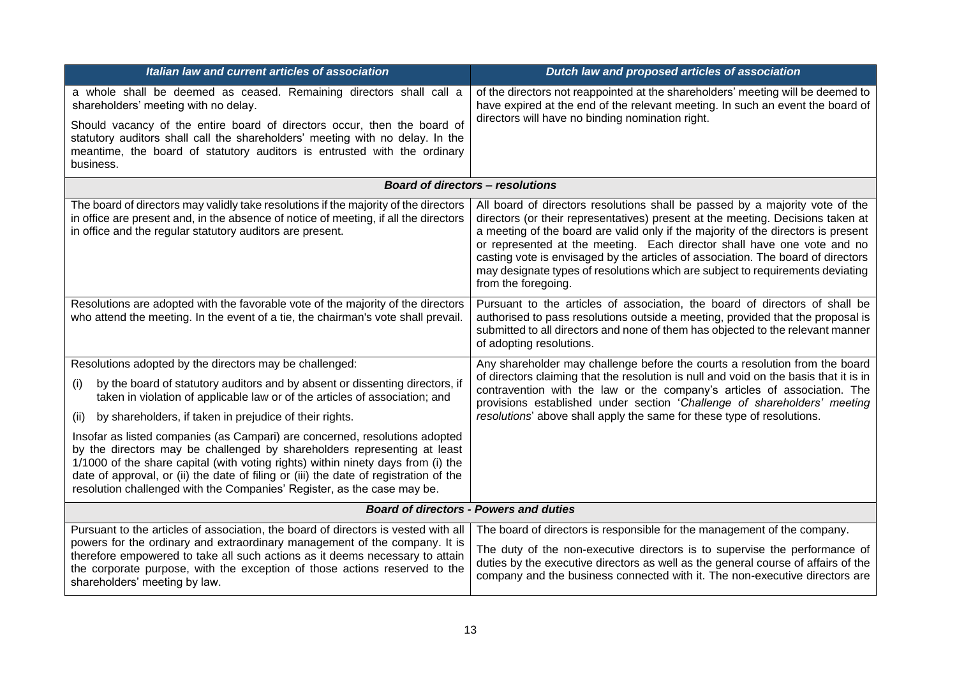| Italian law and current articles of association                                                                                                                                                                                                                                                                                                                                                                 | Dutch law and proposed articles of association                                                                                                                                                                                                                                                                                                                                                                                                                                                                               |  |
|-----------------------------------------------------------------------------------------------------------------------------------------------------------------------------------------------------------------------------------------------------------------------------------------------------------------------------------------------------------------------------------------------------------------|------------------------------------------------------------------------------------------------------------------------------------------------------------------------------------------------------------------------------------------------------------------------------------------------------------------------------------------------------------------------------------------------------------------------------------------------------------------------------------------------------------------------------|--|
| a whole shall be deemed as ceased. Remaining directors shall call a<br>shareholders' meeting with no delay.                                                                                                                                                                                                                                                                                                     | of the directors not reappointed at the shareholders' meeting will be deemed to<br>have expired at the end of the relevant meeting. In such an event the board of                                                                                                                                                                                                                                                                                                                                                            |  |
| Should vacancy of the entire board of directors occur, then the board of<br>statutory auditors shall call the shareholders' meeting with no delay. In the<br>meantime, the board of statutory auditors is entrusted with the ordinary<br>business.                                                                                                                                                              | directors will have no binding nomination right.                                                                                                                                                                                                                                                                                                                                                                                                                                                                             |  |
|                                                                                                                                                                                                                                                                                                                                                                                                                 | <b>Board of directors - resolutions</b>                                                                                                                                                                                                                                                                                                                                                                                                                                                                                      |  |
| The board of directors may validly take resolutions if the majority of the directors<br>in office are present and, in the absence of notice of meeting, if all the directors<br>in office and the regular statutory auditors are present.                                                                                                                                                                       | All board of directors resolutions shall be passed by a majority vote of the<br>directors (or their representatives) present at the meeting. Decisions taken at<br>a meeting of the board are valid only if the majority of the directors is present<br>or represented at the meeting. Each director shall have one vote and no<br>casting vote is envisaged by the articles of association. The board of directors<br>may designate types of resolutions which are subject to requirements deviating<br>from the foregoing. |  |
| Resolutions are adopted with the favorable vote of the majority of the directors<br>who attend the meeting. In the event of a tie, the chairman's vote shall prevail.                                                                                                                                                                                                                                           | Pursuant to the articles of association, the board of directors of shall be<br>authorised to pass resolutions outside a meeting, provided that the proposal is<br>submitted to all directors and none of them has objected to the relevant manner<br>of adopting resolutions.                                                                                                                                                                                                                                                |  |
| Resolutions adopted by the directors may be challenged:                                                                                                                                                                                                                                                                                                                                                         | Any shareholder may challenge before the courts a resolution from the board                                                                                                                                                                                                                                                                                                                                                                                                                                                  |  |
| by the board of statutory auditors and by absent or dissenting directors, if<br>(i)<br>taken in violation of applicable law or of the articles of association; and                                                                                                                                                                                                                                              | of directors claiming that the resolution is null and void on the basis that it is in<br>contravention with the law or the company's articles of association. The<br>provisions established under section 'Challenge of shareholders' meeting                                                                                                                                                                                                                                                                                |  |
| by shareholders, if taken in prejudice of their rights.<br>(ii)                                                                                                                                                                                                                                                                                                                                                 | resolutions' above shall apply the same for these type of resolutions.                                                                                                                                                                                                                                                                                                                                                                                                                                                       |  |
| Insofar as listed companies (as Campari) are concerned, resolutions adopted<br>by the directors may be challenged by shareholders representing at least<br>1/1000 of the share capital (with voting rights) within ninety days from (i) the<br>date of approval, or (ii) the date of filing or (iii) the date of registration of the<br>resolution challenged with the Companies' Register, as the case may be. |                                                                                                                                                                                                                                                                                                                                                                                                                                                                                                                              |  |
|                                                                                                                                                                                                                                                                                                                                                                                                                 | <b>Board of directors - Powers and duties</b>                                                                                                                                                                                                                                                                                                                                                                                                                                                                                |  |
| Pursuant to the articles of association, the board of directors is vested with all<br>powers for the ordinary and extraordinary management of the company. It is                                                                                                                                                                                                                                                | The board of directors is responsible for the management of the company.                                                                                                                                                                                                                                                                                                                                                                                                                                                     |  |
| therefore empowered to take all such actions as it deems necessary to attain<br>the corporate purpose, with the exception of those actions reserved to the<br>shareholders' meeting by law.                                                                                                                                                                                                                     | The duty of the non-executive directors is to supervise the performance of<br>duties by the executive directors as well as the general course of affairs of the<br>company and the business connected with it. The non-executive directors are                                                                                                                                                                                                                                                                               |  |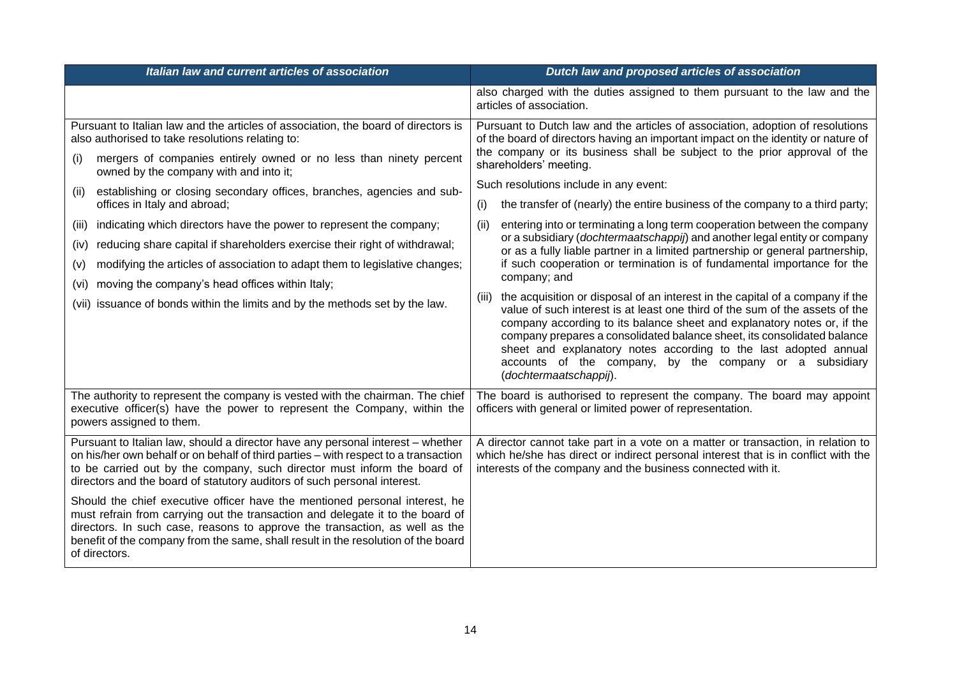| Italian law and current articles of association                                                                                                                                                                                                                                                                                                                                                                                                                                                                                                                                                                                                                                                                                                                                           | Dutch law and proposed articles of association                                                                                                                                                                                                                                                                                                                                                                                                                                                                                                                                                                                                                                                                                                                                                                                                                                                                                                                                                                                                                                                                                                                                                                                                     |
|-------------------------------------------------------------------------------------------------------------------------------------------------------------------------------------------------------------------------------------------------------------------------------------------------------------------------------------------------------------------------------------------------------------------------------------------------------------------------------------------------------------------------------------------------------------------------------------------------------------------------------------------------------------------------------------------------------------------------------------------------------------------------------------------|----------------------------------------------------------------------------------------------------------------------------------------------------------------------------------------------------------------------------------------------------------------------------------------------------------------------------------------------------------------------------------------------------------------------------------------------------------------------------------------------------------------------------------------------------------------------------------------------------------------------------------------------------------------------------------------------------------------------------------------------------------------------------------------------------------------------------------------------------------------------------------------------------------------------------------------------------------------------------------------------------------------------------------------------------------------------------------------------------------------------------------------------------------------------------------------------------------------------------------------------------|
|                                                                                                                                                                                                                                                                                                                                                                                                                                                                                                                                                                                                                                                                                                                                                                                           | also charged with the duties assigned to them pursuant to the law and the<br>articles of association.                                                                                                                                                                                                                                                                                                                                                                                                                                                                                                                                                                                                                                                                                                                                                                                                                                                                                                                                                                                                                                                                                                                                              |
| Pursuant to Italian law and the articles of association, the board of directors is<br>also authorised to take resolutions relating to:<br>mergers of companies entirely owned or no less than ninety percent<br>(i)<br>owned by the company with and into it;<br>establishing or closing secondary offices, branches, agencies and sub-<br>(ii)<br>offices in Italy and abroad;<br>indicating which directors have the power to represent the company;<br>(III)<br>reducing share capital if shareholders exercise their right of withdrawal;<br>(iv)<br>modifying the articles of association to adapt them to legislative changes;<br>(v)<br>moving the company's head offices within Italy;<br>(vi)<br>issuance of bonds within the limits and by the methods set by the law.<br>(vii) | Pursuant to Dutch law and the articles of association, adoption of resolutions<br>of the board of directors having an important impact on the identity or nature of<br>the company or its business shall be subject to the prior approval of the<br>shareholders' meeting.<br>Such resolutions include in any event:<br>the transfer of (nearly) the entire business of the company to a third party;<br>(i)<br>entering into or terminating a long term cooperation between the company<br>(ii)<br>or a subsidiary (dochtermaatschappij) and another legal entity or company<br>or as a fully liable partner in a limited partnership or general partnership,<br>if such cooperation or termination is of fundamental importance for the<br>company; and<br>the acquisition or disposal of an interest in the capital of a company if the<br>(iii)<br>value of such interest is at least one third of the sum of the assets of the<br>company according to its balance sheet and explanatory notes or, if the<br>company prepares a consolidated balance sheet, its consolidated balance<br>sheet and explanatory notes according to the last adopted annual<br>accounts of the company, by the company or a subsidiary<br>(dochtermaatschappij). |
| The authority to represent the company is vested with the chairman. The chief<br>executive officer(s) have the power to represent the Company, within the<br>powers assigned to them.                                                                                                                                                                                                                                                                                                                                                                                                                                                                                                                                                                                                     | The board is authorised to represent the company. The board may appoint<br>officers with general or limited power of representation.                                                                                                                                                                                                                                                                                                                                                                                                                                                                                                                                                                                                                                                                                                                                                                                                                                                                                                                                                                                                                                                                                                               |
| Pursuant to Italian law, should a director have any personal interest - whether<br>on his/her own behalf or on behalf of third parties - with respect to a transaction<br>to be carried out by the company, such director must inform the board of<br>directors and the board of statutory auditors of such personal interest.                                                                                                                                                                                                                                                                                                                                                                                                                                                            | A director cannot take part in a vote on a matter or transaction, in relation to<br>which he/she has direct or indirect personal interest that is in conflict with the<br>interests of the company and the business connected with it.                                                                                                                                                                                                                                                                                                                                                                                                                                                                                                                                                                                                                                                                                                                                                                                                                                                                                                                                                                                                             |
| Should the chief executive officer have the mentioned personal interest, he<br>must refrain from carrying out the transaction and delegate it to the board of<br>directors. In such case, reasons to approve the transaction, as well as the<br>benefit of the company from the same, shall result in the resolution of the board<br>of directors.                                                                                                                                                                                                                                                                                                                                                                                                                                        |                                                                                                                                                                                                                                                                                                                                                                                                                                                                                                                                                                                                                                                                                                                                                                                                                                                                                                                                                                                                                                                                                                                                                                                                                                                    |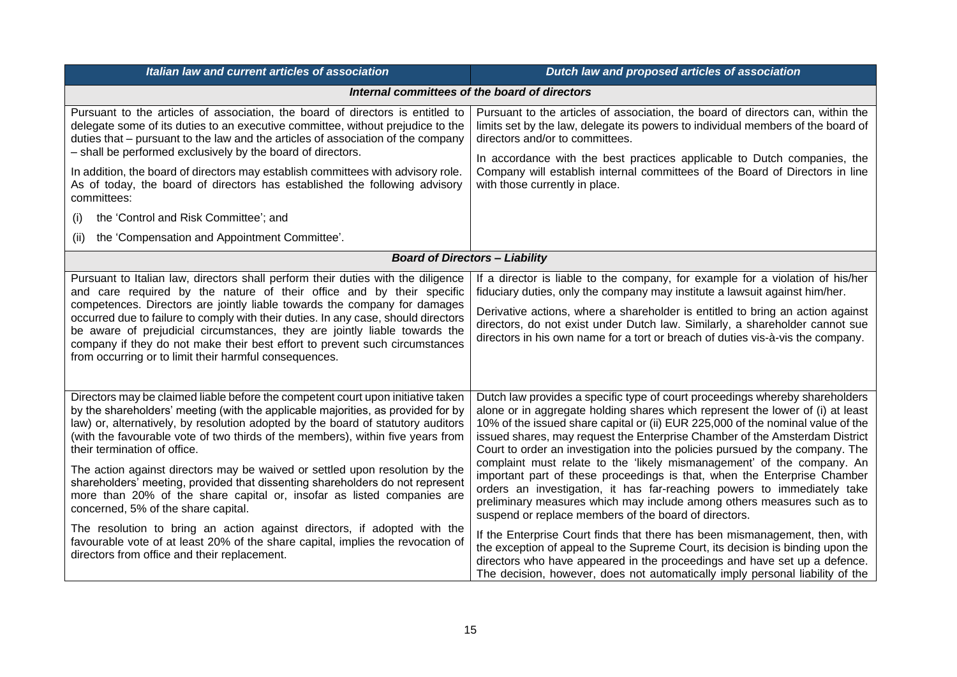| Italian law and current articles of association                                                                                                                                                                                                                                                                                                                                                                                                                                                                                                                                                                                                                                                                                                                                                                                                                              | Dutch law and proposed articles of association                                                                                                                                                                                                                                                                                                                                                                                                                                                                                                                                                                                                                                                                                                                                                                                                                                                                                                                                                                                                                                                                        |  |
|------------------------------------------------------------------------------------------------------------------------------------------------------------------------------------------------------------------------------------------------------------------------------------------------------------------------------------------------------------------------------------------------------------------------------------------------------------------------------------------------------------------------------------------------------------------------------------------------------------------------------------------------------------------------------------------------------------------------------------------------------------------------------------------------------------------------------------------------------------------------------|-----------------------------------------------------------------------------------------------------------------------------------------------------------------------------------------------------------------------------------------------------------------------------------------------------------------------------------------------------------------------------------------------------------------------------------------------------------------------------------------------------------------------------------------------------------------------------------------------------------------------------------------------------------------------------------------------------------------------------------------------------------------------------------------------------------------------------------------------------------------------------------------------------------------------------------------------------------------------------------------------------------------------------------------------------------------------------------------------------------------------|--|
|                                                                                                                                                                                                                                                                                                                                                                                                                                                                                                                                                                                                                                                                                                                                                                                                                                                                              | Internal committees of the board of directors                                                                                                                                                                                                                                                                                                                                                                                                                                                                                                                                                                                                                                                                                                                                                                                                                                                                                                                                                                                                                                                                         |  |
| Pursuant to the articles of association, the board of directors is entitled to<br>delegate some of its duties to an executive committee, without prejudice to the<br>duties that – pursuant to the law and the articles of association of the company<br>- shall be performed exclusively by the board of directors.<br>In addition, the board of directors may establish committees with advisory role.<br>As of today, the board of directors has established the following advisory<br>committees:<br>the 'Control and Risk Committee'; and<br>(i)<br>the 'Compensation and Appointment Committee'.<br>(ii)                                                                                                                                                                                                                                                               | Pursuant to the articles of association, the board of directors can, within the<br>limits set by the law, delegate its powers to individual members of the board of<br>directors and/or to committees.<br>In accordance with the best practices applicable to Dutch companies, the<br>Company will establish internal committees of the Board of Directors in line<br>with those currently in place.                                                                                                                                                                                                                                                                                                                                                                                                                                                                                                                                                                                                                                                                                                                  |  |
| <b>Board of Directors - Liability</b>                                                                                                                                                                                                                                                                                                                                                                                                                                                                                                                                                                                                                                                                                                                                                                                                                                        |                                                                                                                                                                                                                                                                                                                                                                                                                                                                                                                                                                                                                                                                                                                                                                                                                                                                                                                                                                                                                                                                                                                       |  |
| Pursuant to Italian law, directors shall perform their duties with the diligence<br>and care required by the nature of their office and by their specific<br>competences. Directors are jointly liable towards the company for damages<br>occurred due to failure to comply with their duties. In any case, should directors<br>be aware of prejudicial circumstances, they are jointly liable towards the<br>company if they do not make their best effort to prevent such circumstances<br>from occurring or to limit their harmful consequences.                                                                                                                                                                                                                                                                                                                          | If a director is liable to the company, for example for a violation of his/her<br>fiduciary duties, only the company may institute a lawsuit against him/her.<br>Derivative actions, where a shareholder is entitled to bring an action against<br>directors, do not exist under Dutch law. Similarly, a shareholder cannot sue<br>directors in his own name for a tort or breach of duties vis-à-vis the company.                                                                                                                                                                                                                                                                                                                                                                                                                                                                                                                                                                                                                                                                                                    |  |
| Directors may be claimed liable before the competent court upon initiative taken<br>by the shareholders' meeting (with the applicable majorities, as provided for by<br>law) or, alternatively, by resolution adopted by the board of statutory auditors<br>(with the favourable vote of two thirds of the members), within five years from<br>their termination of office.<br>The action against directors may be waived or settled upon resolution by the<br>shareholders' meeting, provided that dissenting shareholders do not represent<br>more than 20% of the share capital or, insofar as listed companies are<br>concerned, 5% of the share capital.<br>The resolution to bring an action against directors, if adopted with the<br>favourable vote of at least 20% of the share capital, implies the revocation of<br>directors from office and their replacement. | Dutch law provides a specific type of court proceedings whereby shareholders<br>alone or in aggregate holding shares which represent the lower of (i) at least<br>10% of the issued share capital or (ii) EUR 225,000 of the nominal value of the<br>issued shares, may request the Enterprise Chamber of the Amsterdam District<br>Court to order an investigation into the policies pursued by the company. The<br>complaint must relate to the 'likely mismanagement' of the company. An<br>important part of these proceedings is that, when the Enterprise Chamber<br>orders an investigation, it has far-reaching powers to immediately take<br>preliminary measures which may include among others measures such as to<br>suspend or replace members of the board of directors.<br>If the Enterprise Court finds that there has been mismanagement, then, with<br>the exception of appeal to the Supreme Court, its decision is binding upon the<br>directors who have appeared in the proceedings and have set up a defence.<br>The decision, however, does not automatically imply personal liability of the |  |